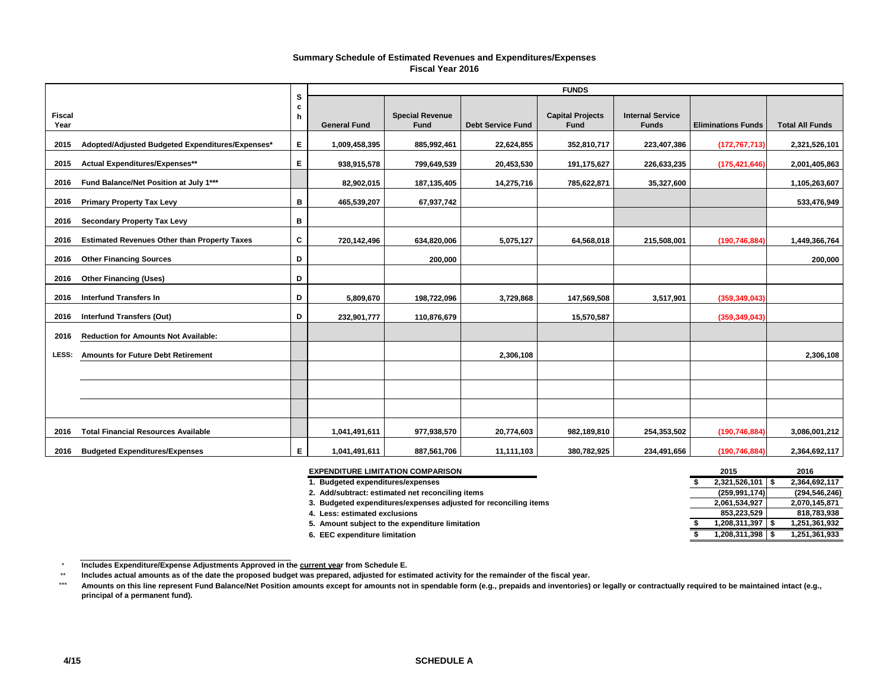#### **Summary Schedule of Estimated Revenues and Expenditures/Expenses Fiscal Year 2016**

|                       |                                                     |             |                     |                                       |                          | <b>FUNDS</b>                           |                                         |                           |                        |
|-----------------------|-----------------------------------------------------|-------------|---------------------|---------------------------------------|--------------------------|----------------------------------------|-----------------------------------------|---------------------------|------------------------|
| <b>Fiscal</b><br>Year |                                                     | s<br>c<br>h | <b>General Fund</b> | <b>Special Revenue</b><br><b>Fund</b> | <b>Debt Service Fund</b> | <b>Capital Projects</b><br><b>Fund</b> | <b>Internal Service</b><br><b>Funds</b> | <b>Eliminations Funds</b> | <b>Total All Funds</b> |
| 2015                  | Adopted/Adjusted Budgeted Expenditures/Expenses*    | Е.          | 1,009,458,395       | 885,992,461                           | 22,624,855               | 352,810,717                            | 223,407,386                             | (172, 767, 713)           | 2,321,526,101          |
| 2015                  | Actual Expenditures/Expenses**                      | E.          | 938,915,578         | 799,649,539                           | 20,453,530               | 191,175,627                            | 226,633,235                             | (175, 421, 646)           | 2,001,405,863          |
| 2016                  | Fund Balance/Net Position at July 1***              |             | 82,902,015          | 187, 135, 405                         | 14,275,716               | 785,622,871                            | 35,327,600                              |                           | 1,105,263,607          |
| 2016                  | <b>Primary Property Tax Levy</b>                    | в           | 465,539,207         | 67,937,742                            |                          |                                        |                                         |                           | 533,476,949            |
| 2016                  | <b>Secondary Property Tax Levy</b>                  | в           |                     |                                       |                          |                                        |                                         |                           |                        |
| 2016                  | <b>Estimated Revenues Other than Property Taxes</b> | C           | 720,142,496         | 634,820,006                           | 5,075,127                | 64,568,018                             | 215,508,001                             | (190, 746, 884)           | 1,449,366,764          |
| 2016                  | <b>Other Financing Sources</b>                      | D           |                     | 200,000                               |                          |                                        |                                         |                           | 200,000                |
| 2016                  | <b>Other Financing (Uses)</b>                       | D           |                     |                                       |                          |                                        |                                         |                           |                        |
| 2016                  | <b>Interfund Transfers In</b>                       | D           | 5,809,670           | 198,722,096                           | 3,729,868                | 147,569,508                            | 3,517,901                               | (359, 349, 043)           |                        |
| 2016                  | <b>Interfund Transfers (Out)</b>                    | D           | 232,901,777         | 110,876,679                           |                          | 15,570,587                             |                                         | (359, 349, 043)           |                        |
| 2016                  | <b>Reduction for Amounts Not Available:</b>         |             |                     |                                       |                          |                                        |                                         |                           |                        |
| LESS:                 | <b>Amounts for Future Debt Retirement</b>           |             |                     |                                       | 2,306,108                |                                        |                                         |                           | 2,306,108              |
|                       |                                                     |             |                     |                                       |                          |                                        |                                         |                           |                        |
|                       |                                                     |             |                     |                                       |                          |                                        |                                         |                           |                        |
|                       |                                                     |             |                     |                                       |                          |                                        |                                         |                           |                        |
| 2016                  | <b>Total Financial Resources Available</b>          |             | 1,041,491,611       | 977,938,570                           | 20,774,603               | 982,189,810                            | 254,353,502                             | (190, 746, 884)           | 3,086,001,212          |
| 2016                  | <b>Budgeted Expenditures/Expenses</b>               | E.          | 1,041,491,611       | 887,561,706                           | 11,111,103               | 380,782,925                            | 234,491,656                             | (190, 746, 884)           | 2,364,692,117          |

| <b>EXPENDITURE LIMITATION COMPARISON</b>                         | 2015            | 2016            |
|------------------------------------------------------------------|-----------------|-----------------|
| <b>Budgeted expenditures/expenses</b>                            | 2,321,526,101   | 2,364,692,117   |
| 2. Add/subtract: estimated net reconciling items                 | (259, 991, 174) | (294, 546, 246) |
| 3. Budgeted expenditures/expenses adjusted for reconciling items | 2,061,534,927   | 2,070,145,871   |
| 4. Less: estimated exclusions                                    | 853.223.529     | 818,783,938     |
| 5. Amount subject to the expenditure limitation                  | 1,208,311,397   | 1,251,361,932   |
| 6. EEC expenditure limitation                                    | 1,208,311,398   | 1,251,361,933   |

 $^\star$ **Includes Expenditure/Expense Adjustments Approved in the current year from Schedule E.** 

<sup>\*\*</sup>**Includes actual amounts as of the date the proposed budget was prepared, adjusted for estimated activity for the remainder of the fiscal year.**

\*\*\***Amounts on this line represent Fund Balance/Net Position amounts except for amounts not in spendable form (e.g., prepaids and inventories) or legally or contractually required to be maintained intact (e.g., principal of a permanent fund).**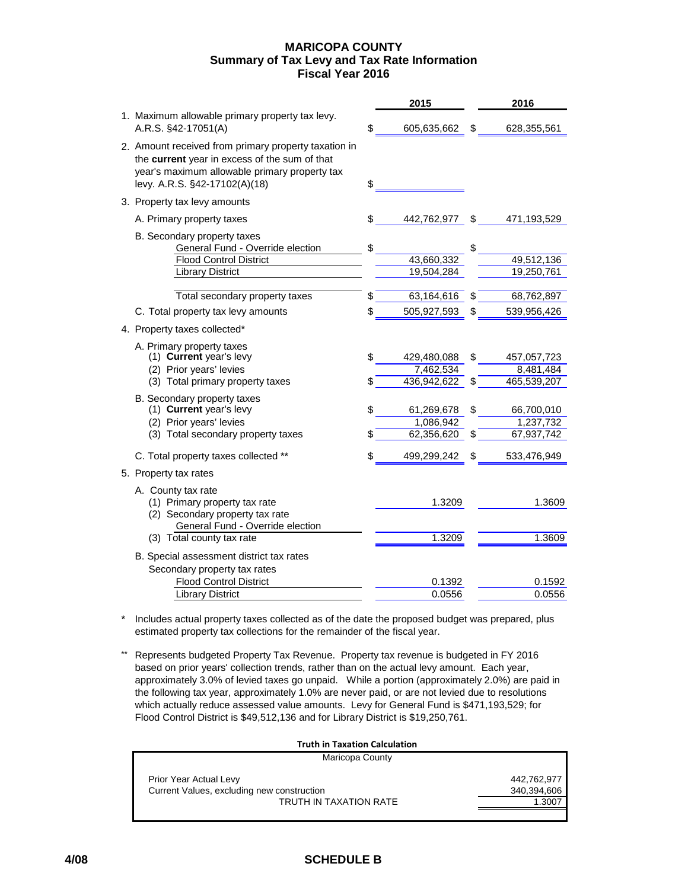### **MARICOPA COUNTY Summary of Tax Levy and Tax Rate Information Fiscal Year 2016**

|                                                                                                                                                                                         |    | 2015        |    | 2016        |
|-----------------------------------------------------------------------------------------------------------------------------------------------------------------------------------------|----|-------------|----|-------------|
| 1. Maximum allowable primary property tax levy.<br>A.R.S. §42-17051(A)                                                                                                                  | S  | 605,635,662 | S  | 628,355,561 |
| 2. Amount received from primary property taxation in<br>the current year in excess of the sum of that<br>year's maximum allowable primary property tax<br>levy. A.R.S. §42-17102(A)(18) | \$ |             |    |             |
| 3. Property tax levy amounts                                                                                                                                                            |    |             |    |             |
| A. Primary property taxes                                                                                                                                                               | \$ | 442,762,977 | \$ | 471,193,529 |
| B. Secondary property taxes<br>General Fund - Override election                                                                                                                         | \$ |             | \$ |             |
| <b>Flood Control District</b>                                                                                                                                                           |    | 43,660,332  |    | 49,512,136  |
| Library District                                                                                                                                                                        |    | 19,504,284  |    | 19,250,761  |
| Total secondary property taxes                                                                                                                                                          | \$ | 63,164,616  | S  | 68,762,897  |
| C. Total property tax levy amounts                                                                                                                                                      | \$ | 505,927,593 | \$ | 539,956,426 |
| 4. Property taxes collected*                                                                                                                                                            |    |             |    |             |
| A. Primary property taxes                                                                                                                                                               |    |             |    |             |
| (1) Current year's levy                                                                                                                                                                 | \$ | 429,480,088 | \$ | 457,057,723 |
| (2) Prior years' levies                                                                                                                                                                 |    | 7,462,534   |    | 8,481,484   |
| (3) Total primary property taxes                                                                                                                                                        | \$ | 436,942,622 | \$ | 465,539,207 |
| B. Secondary property taxes                                                                                                                                                             |    |             |    |             |
| (1) Current year's levy                                                                                                                                                                 | \$ | 61,269,678  | \$ | 66,700,010  |
| (2) Prior years' levies                                                                                                                                                                 |    | 1,086,942   |    | 1,237,732   |
| (3) Total secondary property taxes                                                                                                                                                      | S  | 62,356,620  | \$ | 67,937,742  |
| C. Total property taxes collected **                                                                                                                                                    | \$ | 499,299,242 | \$ | 533,476,949 |
| 5. Property tax rates                                                                                                                                                                   |    |             |    |             |
| A. County tax rate                                                                                                                                                                      |    |             |    |             |
| (1) Primary property tax rate                                                                                                                                                           |    | 1.3209      |    | 1.3609      |
| (2) Secondary property tax rate                                                                                                                                                         |    |             |    |             |
| General Fund - Override election                                                                                                                                                        |    |             |    |             |
| (3) Total county tax rate                                                                                                                                                               |    | 1.3209      |    | 1.3609      |
| B. Special assessment district tax rates                                                                                                                                                |    |             |    |             |
| Secondary property tax rates                                                                                                                                                            |    |             |    |             |
| <b>Flood Control District</b>                                                                                                                                                           |    | 0.1392      |    | 0.1592      |
| <b>Library District</b>                                                                                                                                                                 |    | 0.0556      |    | 0.0556      |

- \* Includes actual property taxes collected as of the date the proposed budget was prepared, plus estimated property tax collections for the remainder of the fiscal year.
- \*\* Represents budgeted Property Tax Revenue. Property tax revenue is budgeted in FY 2016 based on prior years' collection trends, rather than on the actual levy amount. Each year, approximately 3.0% of levied taxes go unpaid. While a portion (approximately 2.0%) are paid in the following tax year, approximately 1.0% are never paid, or are not levied due to resolutions which actually reduce assessed value amounts. Levy for General Fund is \$471,193,529; for Flood Control District is \$49,512,136 and for Library District is \$19,250,761.

### **Truth in Taxation Calculation**

| Maricopa County                            |             |
|--------------------------------------------|-------------|
| Prior Year Actual Levy                     | 442.762.977 |
| Current Values, excluding new construction | 340,394,606 |
| <b>TRUTH IN TAXATION RATE</b>              | 1.3007      |
|                                            |             |

## **4/08 SCHEDULE B**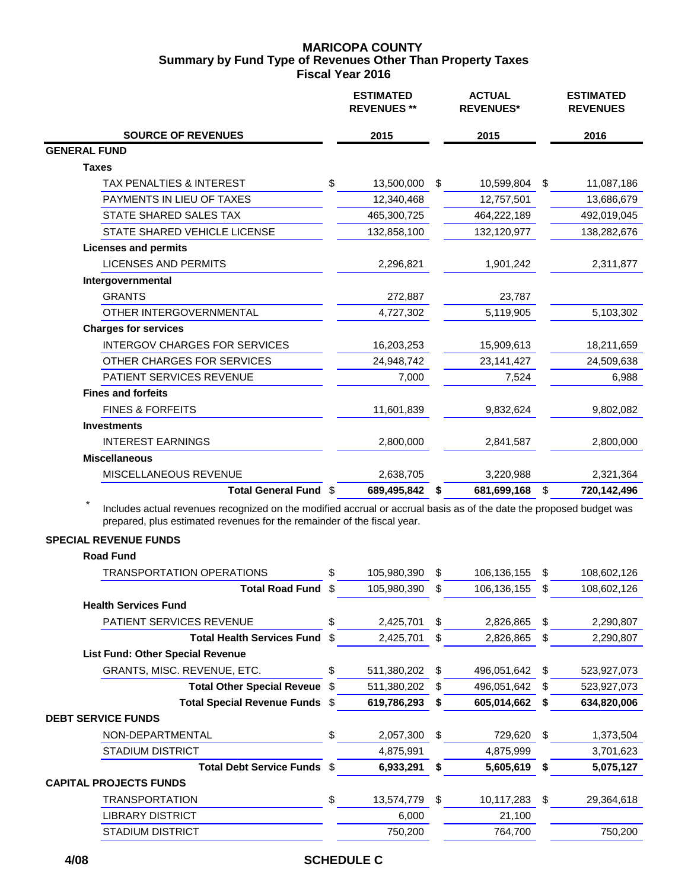## **MARICOPA COUNTY Fiscal Year 2016 Summary by Fund Type of Revenues Other Than Property Taxes**

|                                           | <b>ESTIMATED</b><br><b>REVENUES **</b> | <b>ACTUAL</b><br><b>REVENUES*</b> | <b>ESTIMATED</b><br><b>REVENUES</b> |
|-------------------------------------------|----------------------------------------|-----------------------------------|-------------------------------------|
| <b>SOURCE OF REVENUES</b>                 | 2015                                   | 2015                              | 2016                                |
| <b>GENERAL FUND</b>                       |                                        |                                   |                                     |
| <b>Taxes</b>                              |                                        |                                   |                                     |
| \$<br><b>TAX PENALTIES &amp; INTEREST</b> | 13,500,000                             | \$<br>10,599,804                  | \$<br>11,087,186                    |
| PAYMENTS IN LIEU OF TAXES                 | 12,340,468                             | 12,757,501                        | 13,686,679                          |
| STATE SHARED SALES TAX                    | 465,300,725                            | 464,222,189                       | 492,019,045                         |
| STATE SHARED VEHICLE LICENSE              | 132,858,100                            | 132,120,977                       | 138,282,676                         |
| <b>Licenses and permits</b>               |                                        |                                   |                                     |
| <b>LICENSES AND PERMITS</b>               | 2,296,821                              | 1,901,242                         | 2,311,877                           |
| Intergovernmental                         |                                        |                                   |                                     |
| <b>GRANTS</b>                             | 272,887                                | 23,787                            |                                     |
| OTHER INTERGOVERNMENTAL                   | 4,727,302                              | 5,119,905                         | 5,103,302                           |
| <b>Charges for services</b>               |                                        |                                   |                                     |
| <b>INTERGOV CHARGES FOR SERVICES</b>      | 16,203,253                             | 15,909,613                        | 18,211,659                          |
| OTHER CHARGES FOR SERVICES                | 24,948,742                             | 23,141,427                        | 24,509,638                          |
| PATIENT SERVICES REVENUE                  | 7,000                                  | 7,524                             | 6,988                               |
| <b>Fines and forfeits</b>                 |                                        |                                   |                                     |
| <b>FINES &amp; FORFEITS</b>               | 11,601,839                             | 9,832,624                         | 9,802,082                           |
| <b>Investments</b>                        |                                        |                                   |                                     |
| <b>INTEREST EARNINGS</b>                  | 2,800,000                              | 2,841,587                         | 2,800,000                           |
| <b>Miscellaneous</b>                      |                                        |                                   |                                     |
| MISCELLANEOUS REVENUE                     | 2,638,705                              | 3,220,988                         | 2,321,364                           |
| Total General Fund \$                     | 689,495,842                            | 681,699,168<br>S                  | \$<br>720,142,496                   |

Includes actual revenues recognized on the modified accrual or accrual basis as of the date the proposed budget was prepared, plus estimated revenues for the remainder of the fiscal year.

## **SPECIAL REVENUE FUNDS**

## **Road Fund**

| <b>TRANSPORTATION OPERATIONS</b>        | \$   | 105,980,390 | \$ | 106,136,155 | S  | 108,602,126 |
|-----------------------------------------|------|-------------|----|-------------|----|-------------|
| <b>Total Road Fund</b>                  | \$   | 105,980,390 | \$ | 106,136,155 | \$ | 108,602,126 |
| <b>Health Services Fund</b>             |      |             |    |             |    |             |
| <b>PATIENT SERVICES REVENUE</b>         | \$   | 2,425,701   | S  | 2,826,865   | S  | 2,290,807   |
| <b>Total Health Services Fund</b>       | -S   | 2,425,701   | \$ | 2,826,865   | S  | 2,290,807   |
| <b>List Fund: Other Special Revenue</b> |      |             |    |             |    |             |
| GRANTS, MISC. REVENUE, ETC.             | \$   | 511,380,202 | S  | 496,051,642 | S  | 523,927,073 |
| <b>Total Other Special Reveue</b>       | - \$ | 511,380,202 | S  | 496,051,642 | S  | 523,927,073 |
| Total Special Revenue Funds \$          |      | 619,786,293 |    | 605,014,662 |    | 634,820,006 |
| <b>DEBT SERVICE FUNDS</b>               |      |             |    |             |    |             |
| NON-DEPARTMENTAL                        | \$   | 2,057,300   | \$ | 729,620     | \$ | 1,373,504   |
| <b>STADIUM DISTRICT</b>                 |      | 4,875,991   |    | 4,875,999   |    | 3,701,623   |
| Total Debt Service Funds \$             |      | 6,933,291   | S  | 5,605,619   | S  | 5,075,127   |
| <b>CAPITAL PROJECTS FUNDS</b>           |      |             |    |             |    |             |
| <b>TRANSPORTATION</b>                   | \$   | 13,574,779  | \$ | 10,117,283  | \$ | 29,364,618  |
| <b>LIBRARY DISTRICT</b>                 |      | 6,000       |    | 21,100      |    |             |
| <b>STADIUM DISTRICT</b>                 |      | 750,200     |    | 764,700     |    | 750,200     |
|                                         |      |             |    |             |    |             |

## **4/08 SCHEDULE C**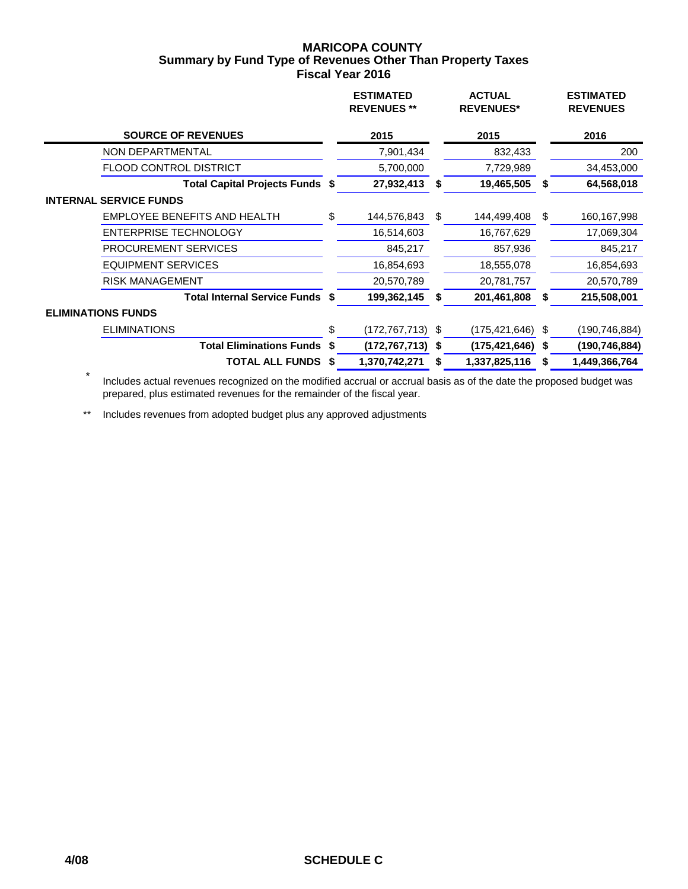## **MARICOPA COUNTY Fiscal Year 2016 Summary by Fund Type of Revenues Other Than Property Taxes**

|                                        | <b>ESTIMATED</b><br><b>REVENUES</b> ** |    | <b>ACTUAL</b><br><b>REVENUES*</b> |    | <b>ESTIMATED</b><br><b>REVENUES</b> |
|----------------------------------------|----------------------------------------|----|-----------------------------------|----|-------------------------------------|
| <b>SOURCE OF REVENUES</b>              | 2015                                   |    | 2015                              |    | 2016                                |
| NON DEPARTMENTAL                       | 7,901,434                              |    | 832,433                           |    | 200                                 |
| <b>FLOOD CONTROL DISTRICT</b>          | 5,700,000                              |    | 7,729,989                         |    | 34,453,000                          |
| Total Capital Projects Funds \$        | 27,932,413                             | S  | 19,465,505                        |    | 64,568,018                          |
| <b>INTERNAL SERVICE FUNDS</b>          |                                        |    |                                   |    |                                     |
| <b>EMPLOYEE BENEFITS AND HEALTH</b>    | \$<br>144,576,843                      | \$ | 144,499,408                       | \$ | 160,167,998                         |
| <b>ENTERPRISE TECHNOLOGY</b>           | 16,514,603                             |    | 16,767,629                        |    | 17,069,304                          |
| <b>PROCUREMENT SERVICES</b>            | 845,217                                |    | 857,936                           |    | 845,217                             |
| <b>EQUIPMENT SERVICES</b>              | 16,854,693                             |    | 18,555,078                        |    | 16,854,693                          |
| <b>RISK MANAGEMENT</b>                 | 20,570,789                             |    | 20,781,757                        |    | 20,570,789                          |
| <b>Total Internal Service Funds \$</b> | 199,362,145                            | S  | 201,461,808                       | S  | 215,508,001                         |
| <b>ELIMINATIONS FUNDS</b>              |                                        |    |                                   |    |                                     |
| <b>ELIMINATIONS</b>                    | \$<br>(172,767,713)                    | \$ | $(175, 421, 646)$ \$              |    | (190,746,884)                       |
| <b>Total Eliminations Funds \$</b>     | (172,767,713)                          | S. | $(175, 421, 646)$ \$              |    | (190, 746, 884)                     |
| <b>TOTAL ALL FUNDS \$</b>              | 1,370,742,271                          | S  | 1,337,825,116                     | S  | 1,449,366,764                       |

 \* Includes actual revenues recognized on the modified accrual or accrual basis as of the date the proposed budget was prepared, plus estimated revenues for the remainder of the fiscal year.

\*\* Includes revenues from adopted budget plus any approved adjustments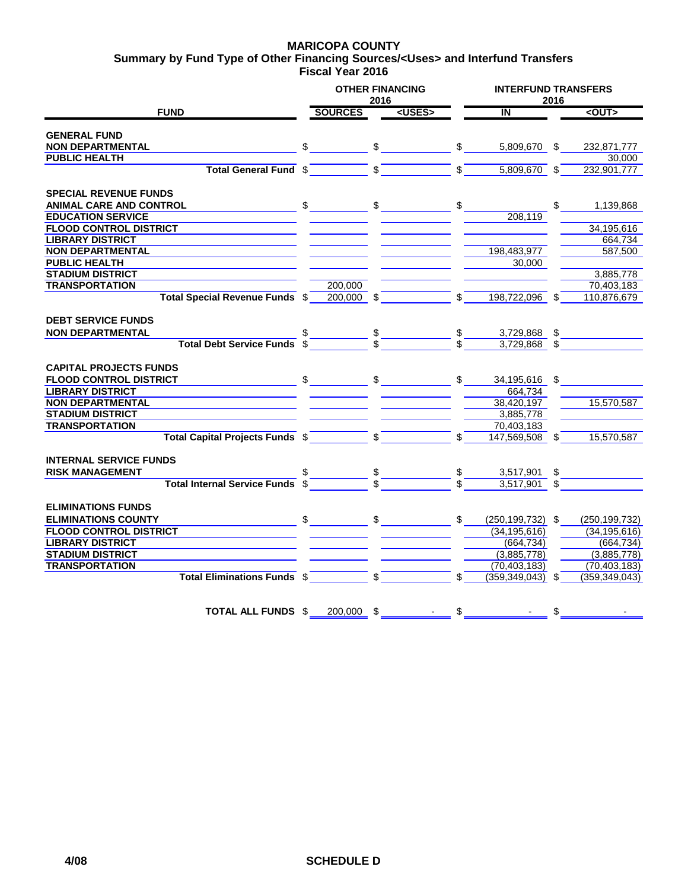#### **MARICOPA COUNTY Fiscal Year 2016 Summary by Fund Type of Other Financing Sources/<Uses> and Interfund Transfers**

|                                        |                | <b>OTHER FINANCING</b><br>2016 |                  | <b>INTERFUND TRANSFERS</b><br>2016 |               |                 |  |  |  |  |
|----------------------------------------|----------------|--------------------------------|------------------|------------------------------------|---------------|-----------------|--|--|--|--|
| <b>FUND</b>                            | <b>SOURCES</b> | <uses></uses>                  |                  | IN                                 |               | $<$ OUT $>$     |  |  |  |  |
| <b>GENERAL FUND</b>                    |                |                                |                  |                                    |               |                 |  |  |  |  |
| <b>NON DEPARTMENTAL</b>                | \$             | \$                             | \$               | 5,809,670 \$                       |               | 232,871,777     |  |  |  |  |
| <b>PUBLIC HEALTH</b>                   |                |                                |                  |                                    |               | 30,000          |  |  |  |  |
| <b>Total General Fund \$</b>           |                | \$                             | $\mathsf{s}$     | $5,809,670$ \$                     |               | 232,901,777     |  |  |  |  |
| <b>SPECIAL REVENUE FUNDS</b>           |                |                                |                  |                                    |               |                 |  |  |  |  |
| ANIMAL CARE AND CONTROL                | \$             | \$                             | \$               |                                    | \$            | 1,139,868       |  |  |  |  |
| <b>EDUCATION SERVICE</b>               |                |                                |                  | 208,119                            |               |                 |  |  |  |  |
| <b>FLOOD CONTROL DISTRICT</b>          |                |                                |                  |                                    |               | 34,195,616      |  |  |  |  |
| <b>LIBRARY DISTRICT</b>                |                |                                |                  |                                    |               | 664,734         |  |  |  |  |
| <b>NON DEPARTMENTAL</b>                |                |                                |                  | 198,483,977                        |               | 587,500         |  |  |  |  |
| <b>PUBLIC HEALTH</b>                   |                |                                |                  | 30.000                             |               |                 |  |  |  |  |
| <b>STADIUM DISTRICT</b>                |                |                                |                  |                                    |               | 3,885,778       |  |  |  |  |
| <b>TRANSPORTATION</b>                  | 200,000        |                                |                  |                                    |               | 70,403,183      |  |  |  |  |
| <b>Total Special Revenue Funds \$</b>  | $200,000$ \$   |                                |                  | 198,722,096 \$                     |               | 110,876,679     |  |  |  |  |
| <b>DEBT SERVICE FUNDS</b>              |                |                                |                  |                                    |               |                 |  |  |  |  |
| <b>NON DEPARTMENTAL</b>                |                |                                |                  | 3,729,868 \$                       |               |                 |  |  |  |  |
| <b>Total Debt Service Funds</b>        |                | $\frac{\text{I}}{\text{s}}$    | $-\frac{\$}{\$}$ | $3,729,868$ \$                     |               |                 |  |  |  |  |
| <b>CAPITAL PROJECTS FUNDS</b>          |                |                                |                  |                                    |               |                 |  |  |  |  |
| <b>FLOOD CONTROL DISTRICT</b>          | $\sim$         | $\frac{1}{2}$                  | $\mathsf{\$}$    | 34,195,616 \$                      |               |                 |  |  |  |  |
| <b>LIBRARY DISTRICT</b>                |                |                                |                  | 664,734                            |               |                 |  |  |  |  |
| <b>NON DEPARTMENTAL</b>                |                |                                |                  | 38,420,197                         |               | 15,570,587      |  |  |  |  |
| <b>STADIUM DISTRICT</b>                |                |                                |                  | 3,885,778                          |               |                 |  |  |  |  |
| <b>TRANSPORTATION</b>                  |                |                                |                  | 70,403,183                         |               |                 |  |  |  |  |
| <b>Total Capital Projects Funds \$</b> |                | $\sqrt{s}$                     | \$               | 147,569,508 \$                     |               | 15,570,587      |  |  |  |  |
| <b>INTERNAL SERVICE FUNDS</b>          |                |                                |                  |                                    |               |                 |  |  |  |  |
| <b>RISK MANAGEMENT</b>                 |                |                                |                  | 3,517,901                          | \$            |                 |  |  |  |  |
| <b>Total Internal Service Funds</b>    |                |                                |                  | $3,517,901$ \$                     |               |                 |  |  |  |  |
| <b>ELIMINATIONS FUNDS</b>              |                |                                |                  |                                    |               |                 |  |  |  |  |
| <b>ELIMINATIONS COUNTY</b>             |                | \$                             | \$               | $(250, 199, 732)$ \$               |               | (250, 199, 732) |  |  |  |  |
| <b>FLOOD CONTROL DISTRICT</b>          |                |                                |                  | (34, 195, 616)                     |               | (34, 195, 616)  |  |  |  |  |
| <b>LIBRARY DISTRICT</b>                |                |                                |                  | (664, 734)                         |               | (664, 734)      |  |  |  |  |
| <b>STADIUM DISTRICT</b>                |                |                                |                  | (3,885,778)                        |               | (3,885,778)     |  |  |  |  |
| <b>TRANSPORTATION</b>                  |                |                                |                  | (70, 403, 183)                     |               | (70, 403, 183)  |  |  |  |  |
| <b>Total Eliminations Funds \$</b>     |                |                                |                  | $(359, 349, 043)$ \$               |               | (359, 349, 043) |  |  |  |  |
|                                        |                |                                |                  |                                    |               |                 |  |  |  |  |
| <b>TOTAL ALL FUNDS \$</b>              | 200,000        | \$                             | $\frac{1}{2}$    |                                    | $\frac{1}{2}$ |                 |  |  |  |  |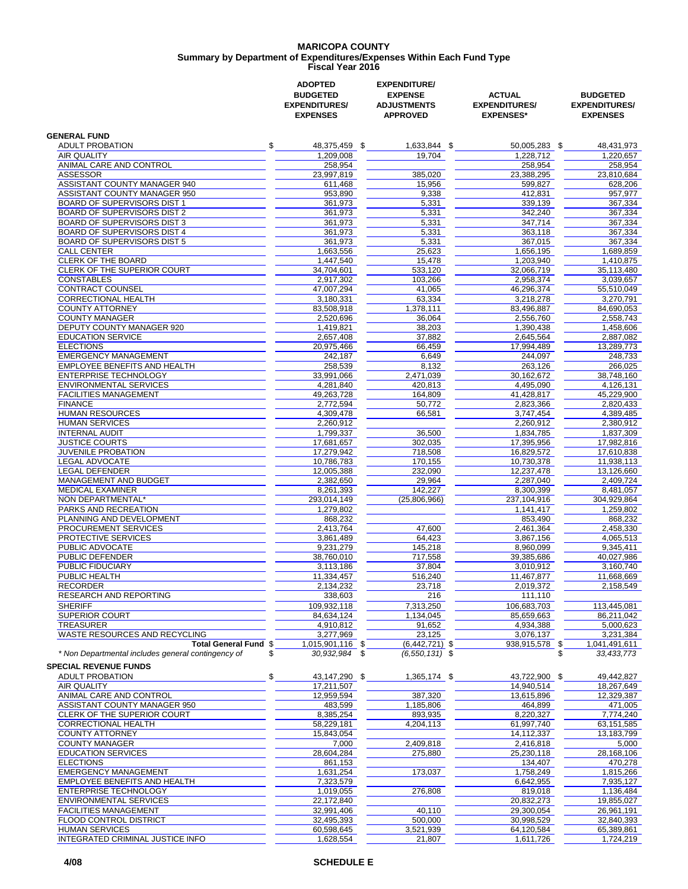#### **MARICOPA COUNTY Fiscal Year 2016 Summary by Department of Expenditures/Expenses Within Each Fund Type**

|                                                               | <b>ADOPTED</b><br><b>BUDGETED</b><br><b>EXPENDITURES/</b><br><b>EXPENSES</b> | <b>EXPENDITURE/</b><br><b>EXPENSE</b><br><b>ADJUSTMENTS</b><br><b>APPROVED</b> | <b>ACTUAL</b><br><b>EXPENDITURES/</b><br><b>EXPENSES*</b> | <b>BUDGETED</b><br><b>EXPENDITURES/</b><br><b>EXPENSES</b> |
|---------------------------------------------------------------|------------------------------------------------------------------------------|--------------------------------------------------------------------------------|-----------------------------------------------------------|------------------------------------------------------------|
| <b>GENERAL FUND</b>                                           |                                                                              |                                                                                |                                                           |                                                            |
| \$<br><b>ADULT PROBATION</b>                                  | 48,375,459 \$                                                                | 1,633,844 \$                                                                   | 50,005,283 \$                                             | 48,431,973                                                 |
| <b>AIR QUALITY</b>                                            | 1.209.008                                                                    | 19,704                                                                         | 1,228,712                                                 | 1,220,657                                                  |
| ANIMAL CARE AND CONTROL                                       | 258,954                                                                      |                                                                                | 258,954                                                   | 258,954                                                    |
| <b>ASSESSOR</b>                                               | 23,997,819                                                                   | 385,020                                                                        | 23,388,295                                                | 23,810,684                                                 |
| ASSISTANT COUNTY MANAGER 940<br>ASSISTANT COUNTY MANAGER 950  | 611,468<br>953,890                                                           | 15,956<br>9,338                                                                | 599,827<br>412,831                                        | 628,206<br>957,977                                         |
| <b>BOARD OF SUPERVISORS DIST 1</b>                            | 361,973                                                                      | 5,331                                                                          | 339.139                                                   | 367,334                                                    |
| BOARD OF SUPERVISORS DIST 2                                   | 361,973                                                                      | 5,331                                                                          | 342,240                                                   | 367,334                                                    |
| <b>BOARD OF SUPERVISORS DIST 3</b>                            | 361,973                                                                      | 5,331                                                                          | 347.714                                                   | 367,334                                                    |
| BOARD OF SUPERVISORS DIST 4                                   | 361,973                                                                      | 5,331                                                                          | 363,118                                                   | 367,334                                                    |
| <b>BOARD OF SUPERVISORS DIST 5</b><br><b>CALL CENTER</b>      | 361,973                                                                      | 5,331<br>25.623                                                                | 367,015                                                   | 367,334                                                    |
| CLERK OF THE BOARD                                            | 1,663,556<br>1,447,540                                                       | 15,478                                                                         | 1,656,195<br>1,203,940                                    | 1,689,859<br>1,410,875                                     |
| <b>CLERK OF THE SUPERIOR COURT</b>                            | 34,704,601                                                                   | 533,120                                                                        | 32,066,719                                                | 35,113,480                                                 |
| <b>CONSTABLES</b>                                             | 2,917,302                                                                    | 103,266                                                                        | 2,958,374                                                 | 3,039,657                                                  |
| <b>CONTRACT COUNSEL</b>                                       | 47,007,294                                                                   | 41,065                                                                         | 46,296,374                                                | 55,510,049                                                 |
| <b>CORRECTIONAL HEALTH</b>                                    | 3,180,331                                                                    | 63,334                                                                         | 3,218,278                                                 | 3,270,791                                                  |
| <b>COUNTY ATTORNEY</b><br><b>COUNTY MANAGER</b>               | 83,508,918<br>2,520,696                                                      | 1,378,111<br>36,064                                                            | 83,496,887<br>2,556,760                                   | 84,690,053<br>2,558,743                                    |
| <b>DEPUTY COUNTY MANAGER 920</b>                              | 1,419,821                                                                    | 38,203                                                                         | 1,390,438                                                 | 1,458,606                                                  |
| <b>EDUCATION SERVICE</b>                                      | 2,657,408                                                                    | 37,882                                                                         | 2,645,564                                                 | 2,887,082                                                  |
| <b>ELECTIONS</b>                                              | 20,975,466                                                                   | 66,459                                                                         | 17,994,489                                                | 13,289,773                                                 |
| <b>EMERGENCY MANAGEMENT</b>                                   | 242,187                                                                      | 6,649                                                                          | 244,097                                                   | 248,733                                                    |
| EMPLOYEE BENEFITS AND HEALTH                                  | 258,539                                                                      | 8,132                                                                          | 263,126                                                   | 266,025                                                    |
| <b>ENTERPRISE TECHNOLOGY</b><br><b>ENVIRONMENTAL SERVICES</b> | 33,991,066<br>4,281,840                                                      | 2,471,039<br>420.813                                                           | 30,162,672<br>4,495,090                                   | 38,748,160<br>4,126,131                                    |
| <b>FACILITIES MANAGEMENT</b>                                  | 49,263,728                                                                   | 164,809                                                                        | 41,428,817                                                | 45,229,900                                                 |
| <b>FINANCE</b>                                                | 2,772,594                                                                    | 50,772                                                                         | 2,823,366                                                 | 2,820,433                                                  |
| <b>HUMAN RESOURCES</b>                                        | 4,309,478                                                                    | 66,581                                                                         | 3,747,454                                                 | 4,389,485                                                  |
| <b>HUMAN SERVICES</b>                                         | 2,260,912                                                                    |                                                                                | 2,260,912                                                 | 2,380,912                                                  |
| <b>INTERNAL AUDIT</b>                                         | 1,799,337                                                                    | 36,500                                                                         | 1,834,785                                                 | 1,837,309                                                  |
| <b>JUSTICE COURTS</b><br><b>JUVENILE PROBATION</b>            | 17,681,657<br>17,279,942                                                     | 302,035<br>718,508                                                             | 17,395,956<br>16,829,572                                  | 17,982,816<br>17,610,838                                   |
| <b>LEGAL ADVOCATE</b>                                         | 10,786,783                                                                   | 170,155                                                                        | 10,730,378                                                | 11,938,113                                                 |
| <b>LEGAL DEFENDER</b>                                         | 12,005,388                                                                   | 232,090                                                                        | 12,237,478                                                | 13,126,660                                                 |
| MANAGEMENT AND BUDGET                                         | 2,382,650                                                                    | 29,964                                                                         | 2,287,040                                                 | 2,409,724                                                  |
| <b>MEDICAL EXAMINER</b>                                       | 8,261,393                                                                    | 142.227                                                                        | 8,300,399                                                 | 8,481,057                                                  |
| NON DEPARTMENTAL*<br>PARKS AND RECREATION                     | 293,014,149<br>1,279,802                                                     | (25,806,966)                                                                   | 237,104,916<br>1,141,417                                  | 304,929,864<br>1,259,802                                   |
| PLANNING AND DEVELOPMENT                                      | 868,232                                                                      |                                                                                | 853,490                                                   | 868,232                                                    |
| PROCUREMENT SERVICES                                          | 2.413.764                                                                    | 47,600                                                                         | 2,461,364                                                 | 2,458,330                                                  |
| PROTECTIVE SERVICES                                           | 3,861,489                                                                    | 64,423                                                                         | 3,867,156                                                 | 4,065,513                                                  |
| PUBLIC ADVOCATE                                               | 9,231,279                                                                    | 145,218                                                                        | 8,960,099                                                 | 9,345,411                                                  |
| PUBLIC DEFENDER                                               | 38,760,010                                                                   | 717,558                                                                        | 39,385,686                                                | 40,027,986                                                 |
| PUBLIC FIDUCIARY<br>PUBLIC HEALTH                             | 3,113,186<br>11,334,457                                                      | 37,804<br>516,240                                                              | 3.010.912<br>11,467,877                                   | 3,160,740<br>11,668,669                                    |
| RECORDER                                                      | 2,134,232                                                                    | 23,718                                                                         | 2,019,372                                                 | 2,158,549                                                  |
| RESEARCH AND REPORTING                                        | 338,603                                                                      | 216                                                                            | 111,110                                                   |                                                            |
| <b>SHERIFF</b>                                                | 109.932.118                                                                  | 7,313,250                                                                      | 106,683,703                                               | 113,445,081                                                |
| SUPERIOR COURT                                                | 84,634,124                                                                   | 1,134,045                                                                      | 85,659,663                                                | 86,211,042                                                 |
| <b>TREASURER</b>                                              | 4,910,812                                                                    | 91,652                                                                         | 4,934,388                                                 | 5,000,623                                                  |
| WASTE RESOURCES AND RECYCLING<br><b>Total General Fund \$</b> | 3,277,969<br>1,015,901,116 \$                                                | 23,125<br>$(6,442,721)$ \$                                                     | 3,076,137<br>938,915,578 \$                               | 3,231,384<br>1,041,491,611                                 |
| * Non Departmental includes general contingency of<br>\$      | $30,932,984$ \$                                                              | $(6,550,131)$ \$                                                               |                                                           | \$<br>33,433,773                                           |
| <b>SPECIAL REVENUE FUNDS</b>                                  | 43,147,290 \$                                                                |                                                                                |                                                           |                                                            |
| \$<br><b>ADULT PROBATION</b><br><b>AIR QUALITY</b>            | 17,211,507                                                                   | 1,365,174 \$                                                                   | 43,722,900 \$<br>14,940,514                               | 49,442,827<br>18,267,649                                   |
| ANIMAL CARE AND CONTROL                                       | 12,959,594                                                                   | 387,320                                                                        | 13,615,896                                                | 12,329,387                                                 |
| ASSISTANT COUNTY MANAGER 950                                  | 483,599                                                                      | 1,185,806                                                                      | 464,899                                                   | 471,005                                                    |
| CLERK OF THE SUPERIOR COURT                                   | 8,385,254                                                                    | 893,935                                                                        | 8,220,327                                                 | 7,774,240                                                  |
| <b>CORRECTIONAL HEALTH</b>                                    | 58,229,181                                                                   | 4,204,113                                                                      | 61,997,740                                                | 63,151,585                                                 |
| <b>COUNTY ATTORNEY</b>                                        | 15,843,054                                                                   |                                                                                | 14,112,337                                                | 13,183,799                                                 |
| <b>COUNTY MANAGER</b><br><b>EDUCATION SERVICES</b>            | 7,000<br>28,604,284                                                          | 2,409,818<br>275,880                                                           | 2,416,818<br>25,230,118                                   | 5,000<br>28,168,106                                        |
| <b>ELECTIONS</b>                                              | 861,153                                                                      |                                                                                | 134,407                                                   | 470,278                                                    |
| <b>EMERGENCY MANAGEMENT</b>                                   | 1,631,254                                                                    | 173,037                                                                        | 1,758,249                                                 | 1,815,266                                                  |
| EMPLOYEE BENEFITS AND HEALTH                                  | 7,323,579                                                                    |                                                                                | 6,642,955                                                 | 7,935,127                                                  |
| ENTERPRISE TECHNOLOGY                                         | 1,019,055                                                                    | 276,808                                                                        | 819,018                                                   | 1,136,484                                                  |
| <b>ENVIRONMENTAL SERVICES</b>                                 | 22,172,840                                                                   |                                                                                | 20,832,273                                                | 19,855,027                                                 |
| <b>FACILITIES MANAGEMENT</b>                                  | 32,991,406                                                                   | 40,110                                                                         | 29,300,054                                                | 26,961,191                                                 |
| FLOOD CONTROL DISTRICT<br><b>HUMAN SERVICES</b>               | 32,495,393<br>60,598,645                                                     | 500,000<br>3,521,939                                                           | 30,998,529<br>64,120,584                                  | 32,840,393<br>65,389,861                                   |
| INTEGRATED CRIMINAL JUSTICE INFO                              | 1,628,554                                                                    | 21,807                                                                         | 1,611,726                                                 | 1,724,219                                                  |
|                                                               |                                                                              |                                                                                |                                                           |                                                            |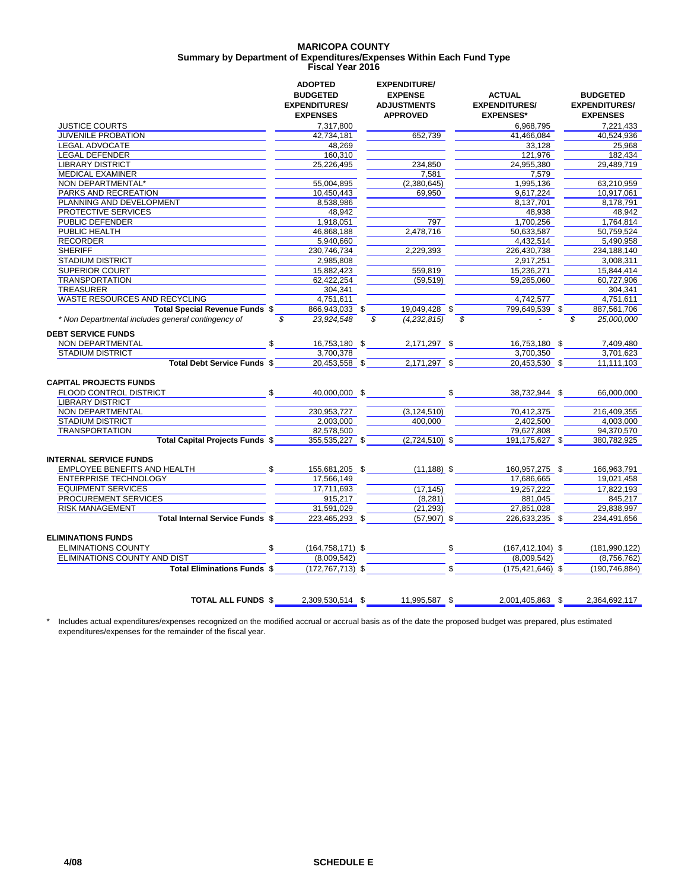#### **MARICOPA COUNTY Fiscal Year 2016 Summary by Department of Expenditures/Expenses Within Each Fund Type**

|                                                    | <b>ADOPTED</b><br><b>BUDGETED</b><br><b>EXPENDITURES/</b> | <b>EXPENDITURE/</b><br><b>EXPENSE</b><br><b>ADJUSTMENTS</b> | <b>ACTUAL</b><br><b>EXPENDITURES/</b> | <b>BUDGETED</b><br><b>EXPENDITURES/</b> |
|----------------------------------------------------|-----------------------------------------------------------|-------------------------------------------------------------|---------------------------------------|-----------------------------------------|
|                                                    | <b>EXPENSES</b>                                           | <b>APPROVED</b>                                             | <b>EXPENSES*</b>                      | <b>EXPENSES</b>                         |
| <b>JUSTICE COURTS</b>                              | 7,317,800                                                 |                                                             | 6.968.795                             | 7.221.433                               |
| JUVENILE PROBATION                                 | 42,734,181                                                | 652,739                                                     | 41,466,084                            | 40,524,936                              |
| <b>LEGAL ADVOCATE</b>                              | 48,269                                                    |                                                             | 33,128                                | 25,968                                  |
| <b>LEGAL DEFENDER</b>                              | 160,310                                                   |                                                             | 121,976                               | 182,434                                 |
| <b>LIBRARY DISTRICT</b>                            | 25,226,495                                                | 234,850                                                     | 24,955,380                            | 29,489,719                              |
| <b>MEDICAL EXAMINER</b>                            |                                                           | 7,581                                                       | 7,579                                 |                                         |
| NON DEPARTMENTAL*                                  | 55,004,895                                                | (2,380,645)                                                 | 1,995,136                             | 63,210,959                              |
| <b>PARKS AND RECREATION</b>                        | 10,450,443                                                | 69,950                                                      | 9,617,224                             | 10,917,061                              |
| PLANNING AND DEVELOPMENT                           | 8,538,986                                                 |                                                             | 8,137,701                             | 8,178,791                               |
| PROTECTIVE SERVICES                                | 48,942                                                    |                                                             | 48,938                                | 48,942                                  |
| PUBLIC DEFENDER                                    | 1,918,051                                                 | 797                                                         | 1,700,256                             | 1,764,814                               |
| PUBLIC HEALTH                                      | 46,868,188                                                | 2.478.716                                                   | 50,633,587                            | 50,759,524                              |
| <b>RECORDER</b>                                    | 5,940,660                                                 |                                                             | 4.432.514                             | 5.490.958                               |
| <b>SHERIFF</b>                                     | 230,746,734                                               | 2,229,393                                                   | 226,430,738                           | 234,188,140                             |
| <b>STADIUM DISTRICT</b>                            | 2,985,808                                                 |                                                             | 2,917,251                             | 3,008,311                               |
| <b>SUPERIOR COURT</b>                              | 15,882,423                                                | 559,819                                                     | 15,236,271                            | 15,844,414                              |
| <b>TRANSPORTATION</b>                              | 62,422,254                                                | (59, 519)                                                   | 59,265,060                            | 60,727,906                              |
| <b>TREASURER</b>                                   | 304,341                                                   |                                                             |                                       | 304,341                                 |
| WASTE RESOURCES AND RECYCLING                      | 4,751,611                                                 |                                                             | 4,742,577                             | 4,751,611                               |
| Total Special Revenue Funds \$                     | 866,943,033 \$                                            | 19,049,428 \$                                               | 799,649,539 \$                        | 887,561,706                             |
| * Non Departmental includes general contingency of | \$<br>23,924,548                                          | \$<br>(4,232,815)                                           | \$                                    | \$<br>25,000,000                        |
| <b>DEBT SERVICE FUNDS</b>                          |                                                           |                                                             |                                       |                                         |
| NON DEPARTMENTAL                                   | \$<br>16,753,180 \$                                       | 2,171,297 \$                                                | 16,753,180 \$                         | 7,409,480                               |
| <b>STADIUM DISTRICT</b>                            | 3,700,378                                                 |                                                             | 3,700,350                             | 3,701,623                               |
| Total Debt Service Funds \$                        | 20,453,558 \$                                             | 2,171,297 \$                                                | 20,453,530 \$                         | 11,111,103                              |
| <b>CAPITAL PROJECTS FUNDS</b>                      |                                                           |                                                             |                                       |                                         |
| <b>FLOOD CONTROL DISTRICT</b>                      | \$<br>40,000,000 \$                                       |                                                             | \$<br>38,732,944 \$                   | 66,000,000                              |
| <b>LIBRARY DISTRICT</b>                            |                                                           |                                                             |                                       |                                         |
| NON DEPARTMENTAL                                   | 230.953.727                                               | (3, 124, 510)                                               | 70.412.375                            | 216.409.355                             |
| <b>STADIUM DISTRICT</b>                            | 2,003,000                                                 | 400,000                                                     | 2,402,500                             | 4,003,000                               |
| <b>TRANSPORTATION</b>                              | 82,578,500                                                |                                                             | 79,627,808                            | 94,370,570                              |
| Total Capital Projects Funds \$                    | 355,535,227 \$                                            | $(2,724,510)$ \$                                            | 191,175,627 \$                        | 380,782,925                             |
| <b>INTERNAL SERVICE FUNDS</b>                      |                                                           |                                                             |                                       |                                         |
| EMPLOYEE BENEFITS AND HEALTH                       | \$<br>155,681,205 \$                                      | $(11, 188)$ \$                                              | 160,957,275 \$                        | 166,963,791                             |
| <b>ENTERPRISE TECHNOLOGY</b>                       | 17,566,149                                                |                                                             | 17,686,665                            | 19,021,458                              |
| <b>EQUIPMENT SERVICES</b>                          | 17.711.693                                                | (17, 145)                                                   | 19.257.222                            | 17.822.193                              |
| PROCUREMENT SERVICES                               | 915,217                                                   | (8, 281)                                                    | 881,045                               | 845,217                                 |
| <b>RISK MANAGEMENT</b>                             | 31,591,029                                                | (21, 293)                                                   | 27,851,028                            | 29,838,997                              |
| Total Internal Service Funds \$                    | 223,465,293 \$                                            | $(57,907)$ \$                                               | 226,633,235 \$                        | 234,491,656                             |
| <b>ELIMINATIONS FUNDS</b>                          |                                                           |                                                             |                                       |                                         |
| <b>ELIMINATIONS COUNTY</b>                         | \$<br>$(164, 758, 171)$ \$                                |                                                             | \$<br>$(167, 412, 104)$ \$            | (181, 990, 122)                         |
| ELIMINATIONS COUNTY AND DIST                       | (8,009,542)                                               |                                                             | (8,009,542)                           | (8,756,762)                             |
| <b>Total Eliminations Funds \$</b>                 | $(172, 767, 713)$ \$                                      |                                                             | \$<br>$(175, 421, 646)$ \$            | (190, 746, 884)                         |
|                                                    |                                                           | 11,995,587 \$                                               |                                       |                                         |
| <b>TOTAL ALL FUNDS \$</b>                          | 2,309,530,514 \$                                          |                                                             | 2,001,405,863 \$                      | 2,364,692,117                           |

\* Includes actual expenditures/expenses recognized on the modified accrual or accrual basis as of the date the proposed budget was prepared, plus estimated expenditures/expenses for the remainder of the fiscal year.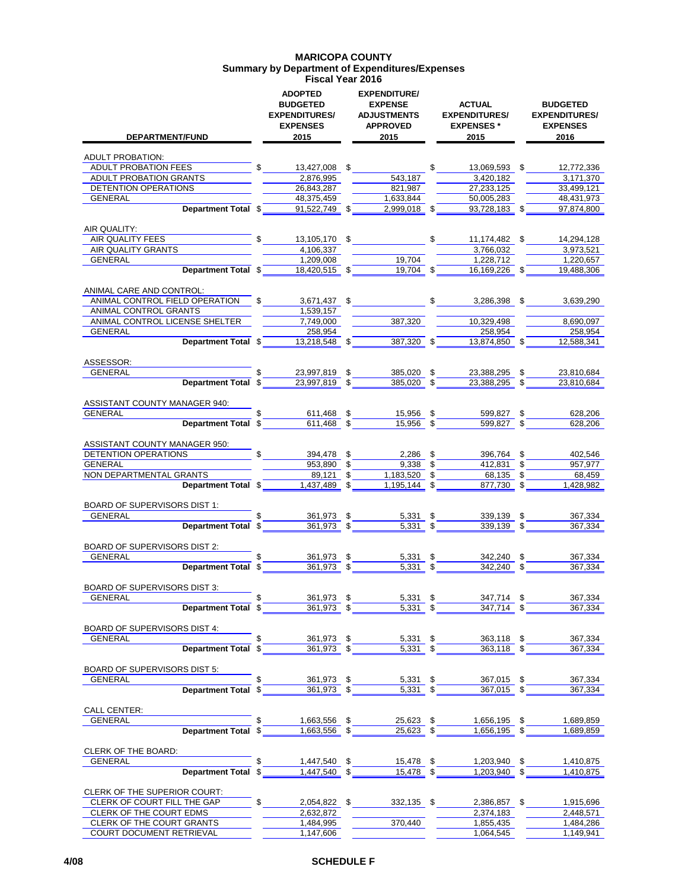#### **MARICOPA COUNTY Summary by Department of Expenditures/Expenses Fiscal Year 2016**

| <b>DEPARTMENT/FUND</b>                                  | <b>ADOPTED</b><br><b>BUDGETED</b><br><b>EXPENDITURES/</b><br><b>EXPENSES</b><br>2015 | <b>EXPENDITURE/</b><br><b>EXPENSE</b><br><b>ADJUSTMENTS</b><br><b>APPROVED</b><br>2015 | <b>ACTUAL</b><br><b>EXPENDITURES/</b><br><b>EXPENSES*</b><br>2015 |     | <b>BUDGETED</b><br><b>EXPENDITURES/</b><br><b>EXPENSES</b><br>2016 |
|---------------------------------------------------------|--------------------------------------------------------------------------------------|----------------------------------------------------------------------------------------|-------------------------------------------------------------------|-----|--------------------------------------------------------------------|
| <b>ADULT PROBATION:</b>                                 |                                                                                      |                                                                                        |                                                                   |     |                                                                    |
| <b>ADULT PROBATION FEES</b>                             | 13,427,008                                                                           | \$                                                                                     | \$<br>13.069.593 \$                                               |     | 12.772.336                                                         |
| ADULT PROBATION GRANTS                                  | 2,876,995                                                                            | 543,187                                                                                | 3,420,182                                                         |     | 3,171,370                                                          |
| DETENTION OPERATIONS                                    | 26,843,287                                                                           | 821,987                                                                                | 27,233,125                                                        |     | 33,499,121                                                         |
| <b>GENERAL</b>                                          | 48,375,459                                                                           | 1,633,844                                                                              | 50,005,283                                                        |     | 48,431,973                                                         |
| Department Total \$                                     | $91,522,749$ \$                                                                      | 2,999,018 \$                                                                           | 93,728,183 \$                                                     |     | 97,874,800                                                         |
| AIR QUALITY:                                            |                                                                                      |                                                                                        |                                                                   |     |                                                                    |
| AIR QUALITY FEES                                        | \$<br>13,105,170 \$                                                                  |                                                                                        | \$<br>11,174,482 \$                                               |     | 14,294,128                                                         |
| AIR QUALITY GRANTS<br><b>GENERAL</b>                    | 4,106,337<br>1,209,008                                                               | 19,704                                                                                 | 3,766,032<br>1,228,712                                            |     | 3.973.521<br>1,220,657                                             |
| Department Total \$                                     | 18,420,515 \$                                                                        | 19,704 \$                                                                              | 16,169,226 \$                                                     |     | 19,488,306                                                         |
|                                                         |                                                                                      |                                                                                        |                                                                   |     |                                                                    |
| ANIMAL CARE AND CONTROL:                                |                                                                                      |                                                                                        |                                                                   |     |                                                                    |
| ANIMAL CONTROL FIELD OPERATION                          | 3,671,437 \$                                                                         |                                                                                        | \$<br>3,286,398                                                   | \$. | 3,639,290                                                          |
| ANIMAL CONTROL GRANTS<br>ANIMAL CONTROL LICENSE SHELTER | 1,539,157                                                                            |                                                                                        |                                                                   |     |                                                                    |
| <b>GENERAL</b>                                          | 7,749,000<br>258,954                                                                 | 387,320                                                                                | 10,329,498<br>258,954                                             |     | 8,690,097<br>258,954                                               |
| Department Total \$                                     | $13,218,548$ \$                                                                      | 387,320 \$                                                                             | 13,874,850                                                        |     | 12,588,341                                                         |
|                                                         |                                                                                      |                                                                                        |                                                                   |     |                                                                    |
| ASSESSOR:                                               |                                                                                      |                                                                                        |                                                                   |     |                                                                    |
| <b>GENERAL</b>                                          | 23,997,819                                                                           | \$<br>385,020                                                                          | \$<br>23,388,295                                                  |     | 23,810,684                                                         |
| Department Total \$                                     | 23.997.819                                                                           | \$<br>385,020                                                                          | \$<br>23,388,295                                                  |     | 23,810,684                                                         |
| ASSISTANT COUNTY MANAGER 940:                           |                                                                                      |                                                                                        |                                                                   |     |                                                                    |
| <b>GENERAL</b>                                          | 611,468 \$                                                                           | 15,956                                                                                 | \$<br>599,827                                                     |     | 628,206                                                            |
| Department Total \$                                     | $611,468$ \$                                                                         | 15,956                                                                                 | \$<br>599,827 \$                                                  |     | 628,206                                                            |
| ASSISTANT COUNTY MANAGER 950:                           |                                                                                      |                                                                                        |                                                                   |     |                                                                    |
| DETENTION OPERATIONS                                    | 394,478 \$                                                                           | $2,286$ \$                                                                             | 396,764 \$                                                        |     | 402,546                                                            |
| <b>GENERAL</b>                                          | 953,890                                                                              | \$<br>9,338                                                                            | \$<br>412,831 \$                                                  |     | 957,977                                                            |
| NON DEPARTMENTAL GRANTS                                 | 89,121                                                                               | \$<br>1,183,520                                                                        | \$<br>68,135                                                      | \$  | 68,459                                                             |
| Department Total \$                                     | $1,437,489$ \$                                                                       | 1,195,144                                                                              | \$<br>877,730 \$                                                  |     | 1,428,982                                                          |
|                                                         |                                                                                      |                                                                                        |                                                                   |     |                                                                    |
| BOARD OF SUPERVISORS DIST 1:<br><b>GENERAL</b>          | 361,973 \$                                                                           | $5,331$ \$                                                                             | 339,139                                                           | \$  | 367,334                                                            |
| Department Total \$                                     | 361,973 \$                                                                           | $5.331$ \$                                                                             | 339.139                                                           | \$  | 367,334                                                            |
|                                                         |                                                                                      |                                                                                        |                                                                   |     |                                                                    |
| <b>BOARD OF SUPERVISORS DIST 2:</b>                     |                                                                                      |                                                                                        |                                                                   |     |                                                                    |
| <b>GENERAL</b>                                          | 361.973                                                                              | \$<br>5,331                                                                            | \$<br>342,240                                                     | \$  | 367,334                                                            |
| Department Total \$                                     | 361,973                                                                              | \$<br>5,331                                                                            | \$<br>342.240                                                     | \$  | 367,334                                                            |
| <b>BOARD OF SUPERVISORS DIST 3:</b>                     |                                                                                      |                                                                                        |                                                                   |     |                                                                    |
| GENERAL                                                 | \$<br>361,973 \$                                                                     | $5,331$ \$                                                                             | 347,714 \$                                                        |     | 367,334                                                            |
| Department Total \$                                     | $361,973$ \$                                                                         | $5,331$ $$$                                                                            | 347,714 \$                                                        |     | 367,334                                                            |
|                                                         |                                                                                      |                                                                                        |                                                                   |     |                                                                    |
| BOARD OF SUPERVISORS DIST 4:                            |                                                                                      |                                                                                        |                                                                   |     |                                                                    |
| GENERAL                                                 | \$<br>361,973 \$                                                                     | $\frac{5,331}{5,331}$ \$                                                               | 363,118 \$                                                        |     | 367,334                                                            |
| Department Total \$                                     | $361,973$ \$                                                                         |                                                                                        | $\frac{363,118}{9}$ \$                                            |     | 367,334                                                            |
| BOARD OF SUPERVISORS DIST 5:                            |                                                                                      |                                                                                        |                                                                   |     |                                                                    |
| GENERAL                                                 | 361,973 \$                                                                           | $5,331$ \$                                                                             | 367,015 \$                                                        |     | 367,334                                                            |
| Department Total \$                                     | $361,973$ \$                                                                         | $\overline{5,331}$ \$                                                                  | $367,015$ \$                                                      |     | 367,334                                                            |
|                                                         |                                                                                      |                                                                                        |                                                                   |     |                                                                    |
| <b>CALL CENTER:</b>                                     |                                                                                      |                                                                                        |                                                                   |     |                                                                    |
| <b>GENERAL</b>                                          | 1,663,556 \$                                                                         | 25,623 \$                                                                              | $1,656,195$ \$                                                    |     | 1,689,859                                                          |
| Department Total \$                                     | $1,663,556$ \$                                                                       | $25,623$ \$                                                                            | $1,656,195$ \$                                                    |     | 1,689,859                                                          |
| CLERK OF THE BOARD:                                     |                                                                                      |                                                                                        |                                                                   |     |                                                                    |
| GENERAL                                                 | \$<br>1,447,540 \$                                                                   | $15,478$ \$                                                                            | $1,203,940$ \$                                                    |     | 1,410,875                                                          |
| Department Total \$                                     | $1,447,540$ \$                                                                       | $15,478$ \$                                                                            | 1,203,940 \$                                                      |     | 1,410,875                                                          |
|                                                         |                                                                                      |                                                                                        |                                                                   |     |                                                                    |
| CLERK OF THE SUPERIOR COURT:                            |                                                                                      |                                                                                        |                                                                   |     |                                                                    |
| CLERK OF COURT FILL THE GAP                             | \$                                                                                   | 2,054,822 \$332,135 \$                                                                 | 2,386,857 \$                                                      |     | 1,915,696                                                          |
| CLERK OF THE COURT EDMS                                 | 2,632,872                                                                            |                                                                                        | 2,374,183                                                         |     | 2,448,571                                                          |
| CLERK OF THE COURT GRANTS<br>COURT DOCUMENT RETRIEVAL   | 1,484,995<br>1,147,606                                                               | 370,440                                                                                | 1,855,435<br>1,064,545                                            |     | 1,484,286<br>1,149,941                                             |
|                                                         |                                                                                      |                                                                                        |                                                                   |     |                                                                    |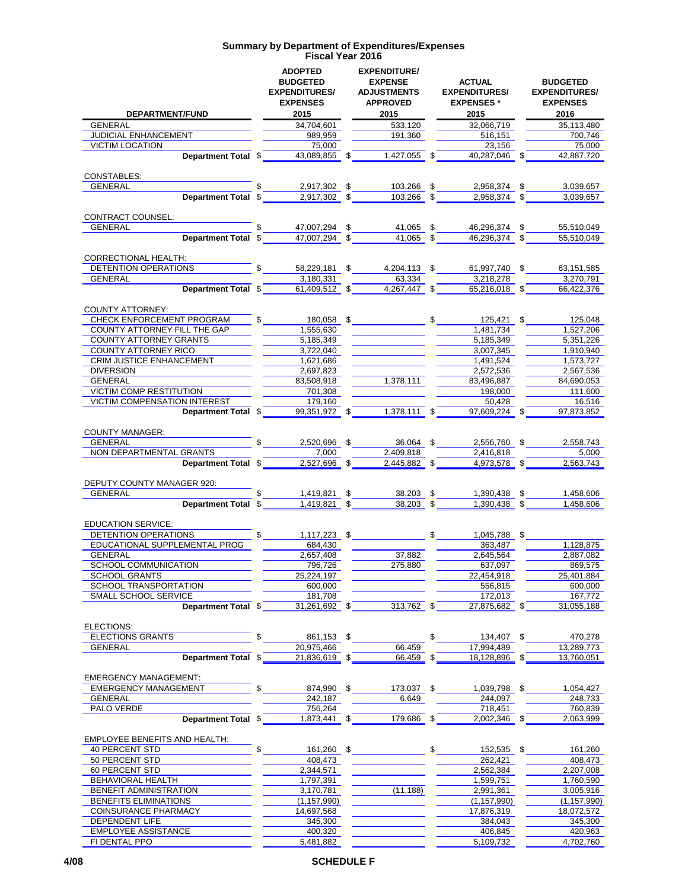|                                                               | <b>ADOPTED</b><br><b>BUDGETED</b><br><b>EXPENDITURES/</b><br><b>EXPENSES</b><br>2015 | <b>EXPENDITURE/</b><br><b>EXPENSE</b><br><b>ADJUSTMENTS</b><br><b>APPROVED</b><br>2015 | <b>ACTUAL</b><br><b>EXPENDITURES/</b><br><b>EXPENSES*</b> | <b>BUDGETED</b><br><b>EXPENDITURES/</b><br><b>EXPENSES</b><br>2016 |
|---------------------------------------------------------------|--------------------------------------------------------------------------------------|----------------------------------------------------------------------------------------|-----------------------------------------------------------|--------------------------------------------------------------------|
| DEPARTMENT/FUND<br><b>GENERAL</b>                             | 34,704,601                                                                           | 533,120                                                                                | 2015<br>32,066,719                                        | 35,113,480                                                         |
| JUDICIAL ENHANCEMENT                                          | 989,959                                                                              | 191,360                                                                                | 516,151                                                   | 700,746                                                            |
| <b>VICTIM LOCATION</b>                                        | 75,000                                                                               |                                                                                        | 23,156                                                    | 75.000                                                             |
| Department Total \$                                           | 43,089,855<br>\$                                                                     | 1,427,055                                                                              | \$<br>40,287,046 \$                                       | 42,887,720                                                         |
| <b>CONSTABLES:</b>                                            |                                                                                      |                                                                                        |                                                           |                                                                    |
| <b>GENERAL</b>                                                | 2,917,302<br>\$                                                                      | 103,266                                                                                | \$<br>2,958,374<br>\$                                     | 3,039,657                                                          |
| Department Total \$                                           | 2,917,302 \$                                                                         | 103,266 \$                                                                             | 2,958,374 \$                                              | 3,039,657                                                          |
| CONTRACT COUNSEL:<br><b>GENERAL</b>                           | 47,007,294<br>\$                                                                     | 41,065 \$                                                                              | 46,296,374 \$                                             | 55,510,049                                                         |
| <b>Department Total</b>                                       | 47,007,294 \$<br>\$                                                                  | $41,065$ \$                                                                            | 46,296,374 \$                                             | 55,510,049                                                         |
|                                                               |                                                                                      |                                                                                        |                                                           |                                                                    |
| CORRECTIONAL HEALTH:<br>DETENTION OPERATIONS                  | \$<br>58,229,181<br>\$                                                               | 4,204,113 \$                                                                           | 61,997,740 \$                                             | 63,151,585                                                         |
| GENERAL                                                       | 3,180,331                                                                            | 63,334                                                                                 | 3,218,278                                                 | 3,270,791                                                          |
| <b>Department Total</b>                                       | 61,409,512 \$<br>\$                                                                  | 4,267,447 \$                                                                           | 65,216,018 \$                                             | 66,422,376                                                         |
| <b>COUNTY ATTORNEY:</b>                                       |                                                                                      |                                                                                        |                                                           |                                                                    |
| CHECK ENFORCEMENT PROGRAM                                     | 180,058<br>\$                                                                        |                                                                                        | \$<br>125,421<br>\$.                                      | 125,048                                                            |
| COUNTY ATTORNEY FILL THE GAP<br><b>COUNTY ATTORNEY GRANTS</b> | 1,555,630<br>5.185.349                                                               |                                                                                        | 1,481,734<br>5,185,349                                    | 1,527,206<br>5,351,226                                             |
| <b>COUNTY ATTORNEY RICO</b>                                   | 3,722,040                                                                            |                                                                                        | 3,007,345                                                 | 1,910,940                                                          |
| <b>CRIM JUSTICE ENHANCEMENT</b>                               | 1,621,686                                                                            |                                                                                        | 1,491,524                                                 | 1,573,727                                                          |
| <b>DIVERSION</b>                                              | 2,697,823                                                                            |                                                                                        | 2,572,536                                                 | 2,567,536                                                          |
| <b>GENERAL</b>                                                | 83,508,918                                                                           | 1,378,111                                                                              | 83,496,887                                                | 84,690,053                                                         |
| <b>VICTIM COMP RESTITUTION</b>                                | 701,308                                                                              |                                                                                        | 198,000                                                   | 111,600                                                            |
| VICTIM COMPENSATION INTEREST                                  | 179,160                                                                              |                                                                                        | 50,428                                                    | 16,516                                                             |
| Department Total \$                                           | 99,351,972 \$                                                                        | 1,378,111                                                                              | \$<br>97,609,224                                          | 97,873,852                                                         |
| <b>COUNTY MANAGER:</b><br><b>GENERAL</b>                      | 2,520,696<br>\$                                                                      | 36,064                                                                                 | 2,556,760 \$<br>\$                                        | 2,558,743                                                          |
| NON DEPARTMENTAL GRANTS                                       | 7.000                                                                                | 2,409,818                                                                              | 2,416,818                                                 | 5,000                                                              |
| Department Total \$                                           | 2,527,696 \$                                                                         | 2,445,882 \$                                                                           | 4,973,578 \$                                              | 2,563,743                                                          |
| DEPUTY COUNTY MANAGER 920:                                    |                                                                                      |                                                                                        |                                                           |                                                                    |
| <b>GENERAL</b>                                                | 1,419,821<br>\$                                                                      | 38,203                                                                                 | \$<br>1,390,438<br>\$                                     | 1,458,606                                                          |
| <b>Department Total</b>                                       | 1,419,821<br>\$<br>\$                                                                | 38,203                                                                                 | \$<br>1.390.438                                           | 1,458,606                                                          |
| <b>EDUCATION SERVICE:</b>                                     |                                                                                      |                                                                                        |                                                           |                                                                    |
| DETENTION OPERATIONS                                          | \$<br>1,117,223<br>\$                                                                |                                                                                        | \$<br>1,045,788<br>\$                                     |                                                                    |
| EDUCATIONAL SUPPLEMENTAL PROG                                 | 684,430                                                                              |                                                                                        | 363,487                                                   | 1,128,875                                                          |
| <b>GENERAL</b><br><b>SCHOOL COMMUNICATION</b>                 | 2,657,408                                                                            | 37,882                                                                                 | 2,645,564                                                 | 2,887,082                                                          |
| <b>SCHOOL GRANTS</b>                                          | 796,726<br>25,224,197                                                                | 275,880                                                                                | 637,097<br>22,454,918                                     | 869,575<br>25,401,884                                              |
| SCHOOL TRANSPORTATION                                         | 600,000                                                                              |                                                                                        | 556,815                                                   | 600,000                                                            |
| <b>SMALL SCHOOL SERVICE</b>                                   | 181,708                                                                              |                                                                                        | 172,013                                                   | 167,772                                                            |
| Department Total \$                                           | 31,261,692 \$                                                                        | 313,762 \$                                                                             | 27,875,682 \$                                             | 31,055,188                                                         |
| ELECTIONS:                                                    |                                                                                      |                                                                                        |                                                           |                                                                    |
| <b>ELECTIONS GRANTS</b>                                       | \$<br>861,153 \$                                                                     |                                                                                        | \$<br>134,407 \$                                          | 470,278                                                            |
| <b>GENERAL</b><br>Department Total \$                         | 20.975.466<br>21,836,619 \$                                                          | 66.459<br>66,459 \$                                                                    | 17,994,489<br>18,128,896 \$                               | 13,289,773<br>13,760,051                                           |
|                                                               |                                                                                      |                                                                                        |                                                           |                                                                    |
| <b>EMERGENCY MANAGEMENT:</b>                                  |                                                                                      |                                                                                        |                                                           |                                                                    |
| <b>EMERGENCY MANAGEMENT</b><br><b>GENERAL</b>                 | 874,990 \$<br>242,187                                                                | 173,037 \$<br>6,649                                                                    | 1,039,798 \$<br>244,097                                   | 1,054,427<br>248,733                                               |
| PALO VERDE                                                    | 756,264                                                                              |                                                                                        | 718,451                                                   | 760,839                                                            |
| Department Total \$                                           | 1,873,441 \$                                                                         | 179,686 \$                                                                             | 2,002,346 \$                                              | 2,063,999                                                          |
| <b>EMPLOYEE BENEFITS AND HEALTH:</b>                          |                                                                                      |                                                                                        |                                                           |                                                                    |
| 40 PERCENT STD                                                | \$<br>161,260<br>\$                                                                  |                                                                                        | \$<br>152,535 \$                                          | 161,260                                                            |
| 50 PERCENT STD                                                | 408,473                                                                              |                                                                                        | 262,421                                                   | 408,473                                                            |
| 60 PERCENT STD                                                | 2,344,571                                                                            |                                                                                        | 2,562,384                                                 | 2,207,008                                                          |
| BEHAVIORAL HEALTH                                             | 1,797,391                                                                            |                                                                                        | 1,599,751                                                 | 1,760,590                                                          |
| BENEFIT ADMINISTRATION<br>BENEFITS ELIMINATIONS               | 3,170,781<br>(1, 157, 990)                                                           | (11, 188)                                                                              | 2,991,361<br>(1, 157, 990)                                | 3,005,916<br>(1, 157, 990)                                         |
| <b>COINSURANCE PHARMACY</b>                                   | 14,697,568                                                                           |                                                                                        | 17,876,319                                                | 18,072,572                                                         |
| <b>DEPENDENT LIFE</b>                                         | 345,300                                                                              |                                                                                        | 384,043                                                   | 345,300                                                            |
| <b>EMPLOYEE ASSISTANCE</b>                                    | 400,320                                                                              |                                                                                        | 406,845                                                   | 420,963                                                            |
| FI DENTAL PPO                                                 | 5,481,882                                                                            |                                                                                        | 5,109,732                                                 | 4,702,760                                                          |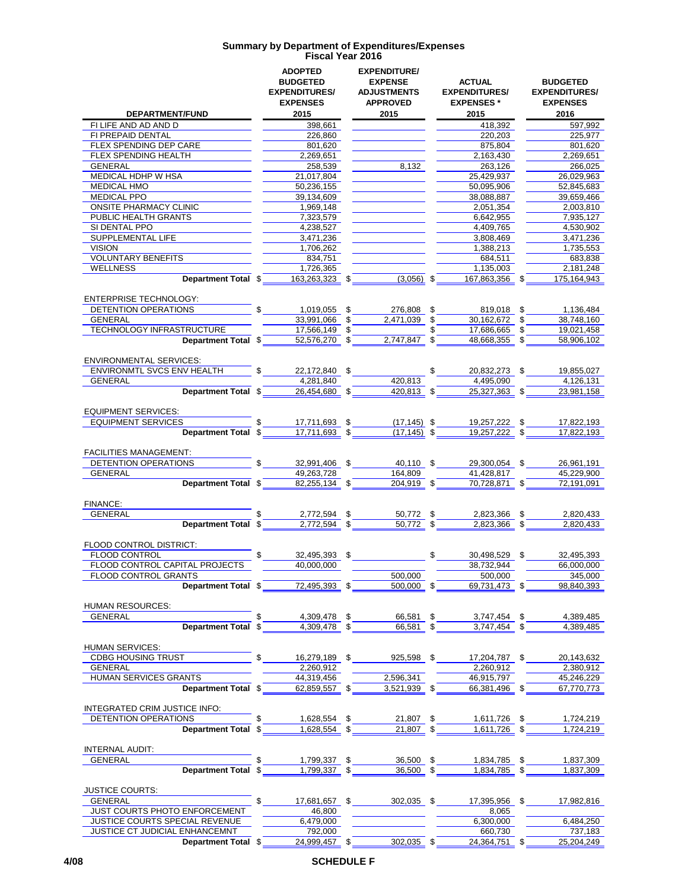|                                                       |    | <b>ADOPTED</b><br><b>BUDGETED</b><br><b>EXPENDITURES/</b> |    | <b>EXPENDITURE/</b><br><b>EXPENSE</b><br><b>ADJUSTMENTS</b> |               | <b>ACTUAL</b><br><b>EXPENDITURES/</b> | <b>BUDGETED</b><br><b>EXPENDITURES/</b> |  |
|-------------------------------------------------------|----|-----------------------------------------------------------|----|-------------------------------------------------------------|---------------|---------------------------------------|-----------------------------------------|--|
|                                                       |    | <b>EXPENSES</b>                                           |    | <b>APPROVED</b>                                             |               | <b>EXPENSES*</b>                      | <b>EXPENSES</b>                         |  |
| DEPARTMENT/FUND                                       |    | 2015                                                      |    | 2015                                                        |               | 2015                                  | 2016                                    |  |
| FI LIFE AND AD AND D                                  |    | 398,661                                                   |    |                                                             |               | 418.392                               | 597,992                                 |  |
| FI PREPAID DENTAL                                     |    | 226,860                                                   |    |                                                             |               | 220.203                               | 225,977                                 |  |
| FLEX SPENDING DEP CARE                                |    | 801,620                                                   |    |                                                             |               | 875,804                               | 801,620                                 |  |
| FLEX SPENDING HEALTH                                  |    | 2,269,651                                                 |    |                                                             |               | 2,163,430                             | 2,269,651                               |  |
| GENERAL                                               |    | 258,539                                                   |    | 8,132                                                       |               | 263,126                               | 266,025                                 |  |
| MEDICAL HDHP W HSA                                    |    | 21,017,804                                                |    |                                                             |               | 25,429,937                            | 26,029,963                              |  |
| <b>MEDICAL HMO</b>                                    |    | 50,236,155                                                |    |                                                             |               | 50,095,906                            | 52,845,683                              |  |
| <b>MEDICAL PPO</b>                                    |    | 39,134,609                                                |    |                                                             |               | 38,088,887                            | 39,659,466                              |  |
| <b>ONSITE PHARMACY CLINIC</b>                         |    | 1,969,148                                                 |    |                                                             |               | 2,051,354                             | 2,003,810                               |  |
| PUBLIC HEALTH GRANTS                                  |    | 7,323,579                                                 |    |                                                             |               | 6,642,955                             | 7,935,127                               |  |
| SI DENTAL PPO<br>SUPPLEMENTAL LIFE                    |    | 4.238.527                                                 |    |                                                             |               | 4,409,765<br>3,808,469                | 4,530,902<br>3,471,236                  |  |
| <b>VISION</b>                                         |    | 3,471,236<br>1,706,262                                    |    |                                                             |               | 1,388,213                             | 1,735,553                               |  |
| <b>VOLUNTARY BENEFITS</b>                             |    | 834,751                                                   |    |                                                             |               | 684,511                               | 683,838                                 |  |
| WELLNESS                                              |    | 1,726,365                                                 |    |                                                             |               | 1,135,003                             | 2,181,248                               |  |
| Department Total \$                                   |    | 163,263,323                                               | \$ | $(3,056)$ \$                                                |               | 167,863,356<br>\$.                    | 175,164,943                             |  |
|                                                       |    |                                                           |    |                                                             |               |                                       |                                         |  |
| <b>ENTERPRISE TECHNOLOGY:</b>                         |    |                                                           |    |                                                             |               |                                       |                                         |  |
| <b>DETENTION OPERATIONS</b>                           |    | 1,019,055                                                 | \$ | 276.808                                                     | \$            | 819,018 \$                            | 1,136,484                               |  |
| <b>GENERAL</b>                                        |    | 33.991.066                                                | \$ | 2.471.039                                                   | \$            | 30,162,672 \$                         | 38,748,160                              |  |
| TECHNOLOGY INFRASTRUCTURE                             |    | 17,566,149                                                | \$ |                                                             | \$            | 17,686,665<br>\$                      | 19,021,458                              |  |
| Department Total \$                                   |    | 52,576,270                                                | \$ | 2,747,847                                                   | \$            | 48,668,355                            | 58,906,102                              |  |
|                                                       |    |                                                           |    |                                                             |               |                                       |                                         |  |
| <b>ENVIRONMENTAL SERVICES:</b>                        |    |                                                           |    |                                                             |               |                                       |                                         |  |
| ENVIRONMTL SVCS ENV HEALTH                            |    | 22,172,840 \$                                             |    |                                                             |               | 20,832,273 \$                         | 19,855,027                              |  |
| <b>GENERAL</b>                                        |    | 4,281,840                                                 |    | 420.813                                                     |               | 4,495,090                             | 4,126,131                               |  |
| Department Total \$                                   |    | 26.454.680 \$                                             |    | 420,813 \$                                                  |               | 25,327,363 \$                         | 23,981,158                              |  |
|                                                       |    |                                                           |    |                                                             |               |                                       |                                         |  |
| <b>EQUIPMENT SERVICES:</b>                            |    |                                                           |    |                                                             |               |                                       |                                         |  |
| <b>EQUIPMENT SERVICES</b>                             |    | 17,711,693                                                | \$ | $(17, 145)$ \$                                              |               | 19,257,222 \$                         | 17,822,193                              |  |
| Department Total \$                                   |    | 17,711,693                                                | \$ | $(17, 145)$ \$                                              |               | 19,257,222 \$                         | 17,822,193                              |  |
|                                                       |    |                                                           |    |                                                             |               |                                       |                                         |  |
| <b>FACILITIES MANAGEMENT:</b><br>DETENTION OPERATIONS |    | 32,991,406 \$                                             |    | 40,110 \$                                                   |               | 29,300,054 \$                         | 26,961,191                              |  |
| GENERAL                                               |    | 49,263,728                                                |    | 164,809                                                     |               | 41,428,817                            | 45,229,900                              |  |
| Department Total \$                                   |    | 82,255,134 \$                                             |    | 204,919 \$                                                  |               | 70,728,871 \$                         | 72,191,091                              |  |
|                                                       |    |                                                           |    |                                                             |               |                                       |                                         |  |
| FINANCE:                                              |    |                                                           |    |                                                             |               |                                       |                                         |  |
| <b>GENERAL</b>                                        |    | 2,772,594                                                 | \$ | 50,772 \$                                                   |               | 2,823,366<br>\$                       | 2,820,433                               |  |
| <b>Department Total</b>                               | \$ | $2,772,594$ \$                                            |    | 50,772 \$                                                   |               | 2,823,366<br>\$                       | 2,820,433                               |  |
|                                                       |    |                                                           |    |                                                             |               |                                       |                                         |  |
| FLOOD CONTROL DISTRICT:                               |    |                                                           |    |                                                             |               |                                       |                                         |  |
| <b>FLOOD CONTROL</b>                                  |    | 32,495,393 \$                                             |    |                                                             | $\mathfrak s$ | 30,498,529<br>\$                      | 32,495,393                              |  |
| FLOOD CONTROL CAPITAL PROJECTS                        |    | 40,000,000                                                |    |                                                             |               | 38,732,944                            | 66,000,000                              |  |
| FLOOD CONTROL GRANTS                                  |    |                                                           |    | 500,000                                                     |               | 500,000                               | 345,000                                 |  |
| Department Total \$                                   |    | 72,495,393                                                | \$ | 500.000                                                     | \$            | 69.731.473                            | 98.840.393                              |  |
|                                                       |    |                                                           |    |                                                             |               |                                       |                                         |  |
| <b>HUMAN RESOURCES:</b>                               |    |                                                           |    |                                                             |               |                                       |                                         |  |
| <b>GENERAL</b>                                        |    | 4,309,478                                                 | \$ | 66,581                                                      | \$            | 3,747,454<br>\$                       | 4,389,485                               |  |
| <b>Department Total</b>                               | \$ | 4,309,478                                                 | \$ | 66,581                                                      | \$            | 3,747,454                             | 4,389,485                               |  |
|                                                       |    |                                                           |    |                                                             |               |                                       |                                         |  |
| <b>HUMAN SERVICES:</b>                                | \$ |                                                           |    |                                                             |               |                                       |                                         |  |
| <b>CDBG HOUSING TRUST</b>                             |    | 16,279,189 \$<br>2,260,912                                |    | 925,598 \$                                                  |               | 17,204,787 \$<br>2,260,912            | 20,143,632                              |  |
| <b>GENERAL</b><br>HUMAN SERVICES GRANTS               |    | 44,319,456                                                |    |                                                             |               | 46,915,797                            | 2,380,912                               |  |
| Department Total \$                                   |    | 62,859,557 \$                                             |    | 2,596,341<br>3,521,939 \$                                   |               | 66,381,496 \$                         | 45,246,229<br>67,770,773                |  |
|                                                       |    |                                                           |    |                                                             |               |                                       |                                         |  |
| INTEGRATED CRIM JUSTICE INFO:                         |    |                                                           |    |                                                             |               |                                       |                                         |  |
| DETENTION OPERATIONS                                  | \$ | 1,628,554 \$                                              |    | 21,807 \$                                                   |               | 1,611,726 \$                          | 1,724,219                               |  |
| Department Total \$                                   |    | 1,628,554 \$                                              |    | $21,807$ \$                                                 |               | 1,611,726 \$                          | 1,724,219                               |  |
|                                                       |    |                                                           |    |                                                             |               |                                       |                                         |  |
| INTERNAL AUDIT:                                       |    |                                                           |    |                                                             |               |                                       |                                         |  |
| GENERAL                                               |    | 1,799,337                                                 | \$ | 36,500 \$                                                   |               | 1,834,785                             | 1,837,309                               |  |
| <b>Department Total</b>                               | \$ | 1,799,337 \$                                              |    | $36,500$ \$                                                 |               | 1,834,785 \$                          | 1,837,309                               |  |
|                                                       |    |                                                           |    |                                                             |               |                                       |                                         |  |
| <b>JUSTICE COURTS:</b>                                |    |                                                           |    |                                                             |               |                                       |                                         |  |
| GENERAL                                               | \$ | 17,681,657                                                | \$ | 302,035 \$                                                  |               | 17,395,956<br>S                       | 17,982,816                              |  |
| JUST COURTS PHOTO ENFORCEMENT                         |    | 46,800                                                    |    |                                                             |               | 8,065                                 |                                         |  |
| JUSTICE COURTS SPECIAL REVENUE                        |    | 6,479,000                                                 |    |                                                             |               | 6,300,000                             | 6,484,250                               |  |
| JUSTICE CT JUDICIAL ENHANCEMNT                        |    | 792,000                                                   |    |                                                             |               | 660,730                               | 737,183                                 |  |
| Department Total \$                                   |    | 24,999,457 \$                                             |    | $302,035$ \$                                                |               | 24,364,751 \$                         | 25,204,249                              |  |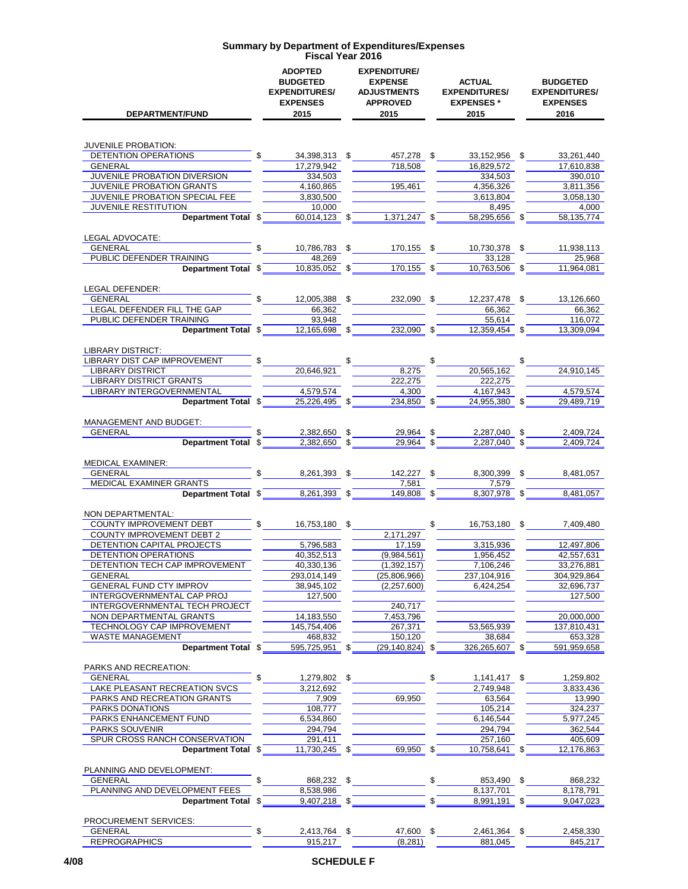| <b>DEPARTMENT/FUND</b>                                |    | <b>ADOPTED</b><br><b>BUDGETED</b><br><b>EXPENDITURES/</b><br><b>EXPENSES</b><br>2015 |    | <b>EXPENDITURE/</b><br><b>EXPENSE</b><br><b>ADJUSTMENTS</b><br><b>APPROVED</b><br>2015 | <b>ACTUAL</b><br><b>EXPENDITURES/</b><br><b>EXPENSES</b> *<br>2015 |    | <b>BUDGETED</b><br><b>EXPENDITURES/</b><br><b>EXPENSES</b><br>2016 |  |
|-------------------------------------------------------|----|--------------------------------------------------------------------------------------|----|----------------------------------------------------------------------------------------|--------------------------------------------------------------------|----|--------------------------------------------------------------------|--|
| <b>JUVENILE PROBATION:</b>                            |    |                                                                                      |    |                                                                                        |                                                                    |    |                                                                    |  |
| DETENTION OPERATIONS                                  |    | 34,398,313 \$                                                                        |    | 457,278 \$                                                                             | 33,152,956 \$                                                      |    | 33,261,440                                                         |  |
| <b>GENERAL</b>                                        |    | 17,279,942                                                                           |    | 718,508                                                                                | 16,829,572                                                         |    | 17,610,838                                                         |  |
| JUVENILE PROBATION DIVERSION                          |    | 334,503                                                                              |    |                                                                                        | 334,503                                                            |    | 390,010                                                            |  |
| JUVENILE PROBATION GRANTS                             |    | 4,160,865                                                                            |    | 195,461                                                                                | 4.356.326                                                          |    | 3,811,356                                                          |  |
| JUVENILE PROBATION SPECIAL FEE                        |    | 3,830,500                                                                            |    |                                                                                        | 3.613.804                                                          |    | 3.058.130                                                          |  |
| <b>JUVENILE RESTITUTION</b>                           |    | 10,000                                                                               |    |                                                                                        | 8,495                                                              |    | 4,000                                                              |  |
| Department Total \$                                   |    | 60,014,123 \$                                                                        |    | 1,371,247 \$                                                                           | 58,295,656 \$                                                      |    | 58,135,774                                                         |  |
| LEGAL ADVOCATE:<br><b>GENERAL</b>                     |    | 10,786,783 \$                                                                        |    |                                                                                        |                                                                    |    | 11,938,113                                                         |  |
| PUBLIC DEFENDER TRAINING                              |    | 48,269                                                                               |    | 170,155 \$                                                                             | 10,730,378 \$<br>33,128                                            |    | 25,968                                                             |  |
| Department Total \$                                   |    | 10,835,052 \$                                                                        |    | 170,155 \$                                                                             | 10,763,506 \$                                                      |    | 11,964,081                                                         |  |
| LEGAL DEFENDER:                                       |    |                                                                                      |    |                                                                                        |                                                                    |    |                                                                    |  |
| <b>GENERAL</b>                                        |    | 12,005,388 \$                                                                        |    | 232.090 \$                                                                             | 12,237,478 \$                                                      |    | 13,126,660                                                         |  |
| LEGAL DEFENDER FILL THE GAP                           |    | 66.362                                                                               |    |                                                                                        | 66.362                                                             |    | 66,362                                                             |  |
| PUBLIC DEFENDER TRAINING                              |    | 93,948                                                                               |    |                                                                                        | 55,614                                                             |    | 116,072                                                            |  |
| Department Total \$                                   |    | 12.165.698 \$                                                                        |    | $232,090$ \$                                                                           | 12,359,454 \$                                                      |    | 13,309,094                                                         |  |
| <b>LIBRARY DISTRICT:</b>                              |    |                                                                                      |    |                                                                                        |                                                                    |    |                                                                    |  |
| LIBRARY DIST CAP IMPROVEMENT                          |    |                                                                                      |    |                                                                                        |                                                                    |    |                                                                    |  |
| <b>LIBRARY DISTRICT</b>                               |    | 20,646,921                                                                           |    | 8,275                                                                                  | 20,565,162                                                         |    | 24,910,145                                                         |  |
| <b>LIBRARY DISTRICT GRANTS</b>                        |    |                                                                                      |    | 222,275                                                                                | 222,275                                                            |    |                                                                    |  |
| LIBRARY INTERGOVERNMENTAL                             |    | 4,579,574                                                                            |    | 4,300                                                                                  | 4,167,943                                                          |    | 4,579,574                                                          |  |
| Department Total \$                                   |    | 25,226,495 \$                                                                        |    | 234,850 \$                                                                             | 24,955,380 \$                                                      |    | 29,489,719                                                         |  |
| <b>MANAGEMENT AND BUDGET:</b>                         |    |                                                                                      |    |                                                                                        |                                                                    |    |                                                                    |  |
| GENERAL<br>Department Total \$                        |    | 2,382,650<br>$2,382,650$ \$                                                          | \$ | 29,964<br>29,964 \$                                                                    | \$<br>2,287,040<br>2,287,040                                       | \$ | 2,409,724<br>2,409,724                                             |  |
|                                                       |    |                                                                                      |    |                                                                                        |                                                                    |    |                                                                    |  |
| <b>MEDICAL EXAMINER:</b>                              |    |                                                                                      |    |                                                                                        |                                                                    |    |                                                                    |  |
| <b>GENERAL</b>                                        | \$ | 8,261,393 \$                                                                         |    | 142,227 \$                                                                             | 8,300,399                                                          | \$ | 8,481,057                                                          |  |
| MEDICAL EXAMINER GRANTS                               |    |                                                                                      |    | 7,581                                                                                  | 7,579                                                              |    |                                                                    |  |
| Department Total \$                                   |    | 8,261,393 \$                                                                         |    | 149,808 \$                                                                             | 8,307,978 \$                                                       |    | 8,481,057                                                          |  |
| NON DEPARTMENTAL:                                     |    |                                                                                      |    |                                                                                        |                                                                    |    |                                                                    |  |
| COUNTY IMPROVEMENT DEBT                               | \$ | 16,753,180 \$                                                                        |    |                                                                                        | \$<br>16,753,180 \$                                                |    | 7,409,480                                                          |  |
| <b>COUNTY IMPROVEMENT DEBT 2</b>                      |    |                                                                                      |    | 2,171,297                                                                              |                                                                    |    |                                                                    |  |
| DETENTION CAPITAL PROJECTS                            |    | 5,796,583                                                                            |    | 17,159                                                                                 | 3.315.936                                                          |    | 12.497.806                                                         |  |
| <b>DETENTION OPERATIONS</b>                           |    | 40,352,513                                                                           |    | (9,984,561)                                                                            | 1,956,452                                                          |    | 42,557,631                                                         |  |
| DETENTION TECH CAP IMPROVEMENT                        |    | 40,330,136                                                                           |    | (1, 392, 157)                                                                          | 7,106,246                                                          |    | 33,276,881                                                         |  |
| <b>GENERAL</b>                                        |    | 293,014,149                                                                          |    | (25,806,966)                                                                           | 237,104,916                                                        |    | 304,929,864                                                        |  |
| GENERAL FUND CTY IMPROV<br>INTERGOVERNMENTAL CAP PROJ |    | 38,945,102<br>127,500                                                                |    | (2, 257, 600)                                                                          | 6,424,254                                                          |    | 32,696,737<br>127,500                                              |  |
| INTERGOVERNMENTAL TECH PROJECT                        |    |                                                                                      |    | 240,717                                                                                |                                                                    |    |                                                                    |  |
| NON DEPARTMENTAL GRANTS                               |    | 14,183,550                                                                           |    | 7,453,796                                                                              |                                                                    |    | 20,000,000                                                         |  |
| <b>TECHNOLOGY CAP IMPROVEMENT</b>                     |    | 145,754,406                                                                          |    | 267,371                                                                                | 53,565,939                                                         |    | 137,810,431                                                        |  |
| WASTE MANAGEMENT                                      |    | 468,832                                                                              |    | 150,120                                                                                | 38,684                                                             |    | 653,328                                                            |  |
| <b>Department Total</b>                               | \$ | 595,725,951 \$                                                                       |    | $(29.140.824)$ \$                                                                      | 326,265,607 \$                                                     |    | 591,959,658                                                        |  |
| PARKS AND RECREATION:                                 |    |                                                                                      |    |                                                                                        |                                                                    |    |                                                                    |  |
| <b>GENERAL</b>                                        | \$ | 1,279,802 \$                                                                         |    |                                                                                        | \$<br>$1,141,417$ \$                                               |    | 1,259,802                                                          |  |
| LAKE PLEASANT RECREATION SVCS                         |    | 3,212,692                                                                            |    |                                                                                        | 2.749.948                                                          |    | 3.833.436                                                          |  |
| PARKS AND RECREATION GRANTS                           |    | 7,909                                                                                |    | 69,950                                                                                 | 63,564                                                             |    | 13,990                                                             |  |
| PARKS DONATIONS                                       |    | 108,777                                                                              |    |                                                                                        | 105,214                                                            |    | 324,237                                                            |  |
| PARKS ENHANCEMENT FUND                                |    | 6,534,860                                                                            |    |                                                                                        | 6,146,544                                                          |    | 5,977,245                                                          |  |
| PARKS SOUVENIR                                        |    | 294,794                                                                              |    |                                                                                        | 294,794                                                            |    | 362,544                                                            |  |
| SPUR CROSS RANCH CONSERVATION<br>Department Total \$  |    | 291,411<br>11,730,245 \$                                                             |    | 69,950 \$                                                                              | 257,160<br>10,758,641                                              |    | 405,609<br>12,176,863                                              |  |
|                                                       |    |                                                                                      |    |                                                                                        |                                                                    |    |                                                                    |  |
| PLANNING AND DEVELOPMENT:<br><b>GENERAL</b>           | \$ | 868,232 \$                                                                           |    |                                                                                        | \$<br>853,490 \$                                                   |    | 868,232                                                            |  |
| PLANNING AND DEVELOPMENT FEES                         |    | 8,538,986                                                                            |    |                                                                                        | 8,137,701                                                          |    | 8,178,791                                                          |  |
| Department Total \$                                   |    | 9,407,218 \$                                                                         |    |                                                                                        | \$<br>8,991,191 \$                                                 |    | 9,047,023                                                          |  |
|                                                       |    |                                                                                      |    |                                                                                        |                                                                    |    |                                                                    |  |
| PROCUREMENT SERVICES:<br><b>GENERAL</b>               | \$ | 2,413,764 \$                                                                         |    | 47,600 \$                                                                              | 2,461,364 \$                                                       |    | 2,458,330                                                          |  |
| <b>REPROGRAPHICS</b>                                  |    | 915,217                                                                              |    | (8, 281)                                                                               | 881,045                                                            |    | 845,217                                                            |  |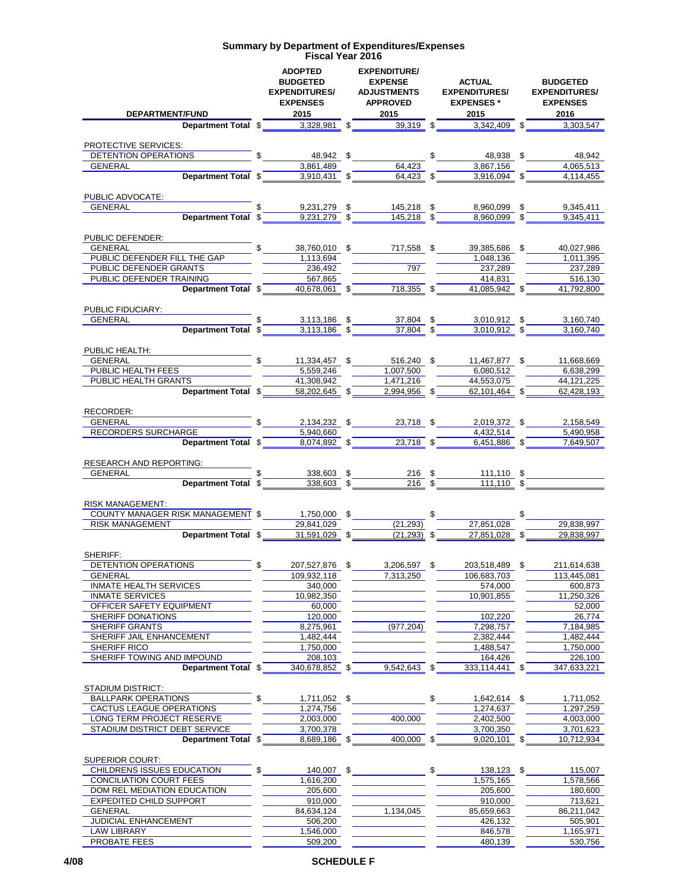| DEPARTMENT/FUND                                                                                                                                                                                                                                                                                                                             | <b>ADOPTED</b><br><b>BUDGETED</b><br><b>EXPENDITURES/</b><br><b>EXPENSES</b>                                                                                                                                                   | <b>EXPENDITURE/</b><br><b>EXPENSE</b><br><b>ADJUSTMENTS</b><br><b>APPROVED</b> | <b>ACTUAL</b><br><b>EXPENDITURES/</b><br><b>EXPENSES</b> *<br>The UND contract to the contract of the contract of the contract of the contract of the contract of the contract of the contract of the contract of the contract of the contract of the contract of the contract of the contra |                               |      | <b>BUDGETED</b><br><b>EXPENDITURES/</b><br><b>EXPENSES</b> |  |  |
|---------------------------------------------------------------------------------------------------------------------------------------------------------------------------------------------------------------------------------------------------------------------------------------------------------------------------------------------|--------------------------------------------------------------------------------------------------------------------------------------------------------------------------------------------------------------------------------|--------------------------------------------------------------------------------|----------------------------------------------------------------------------------------------------------------------------------------------------------------------------------------------------------------------------------------------------------------------------------------------|-------------------------------|------|------------------------------------------------------------|--|--|
|                                                                                                                                                                                                                                                                                                                                             |                                                                                                                                                                                                                                |                                                                                |                                                                                                                                                                                                                                                                                              |                               |      |                                                            |  |  |
|                                                                                                                                                                                                                                                                                                                                             |                                                                                                                                                                                                                                |                                                                                |                                                                                                                                                                                                                                                                                              |                               |      |                                                            |  |  |
| PROTECTIVE SERVICES:                                                                                                                                                                                                                                                                                                                        |                                                                                                                                                                                                                                |                                                                                |                                                                                                                                                                                                                                                                                              |                               |      |                                                            |  |  |
| <u>DETENTION OPERATIONS<br/> GENERAL Department Total <math>\frac{48,942}{3,861,489}</math> <math>\frac{48,942}{3,861,489}</math> <math>\frac{64,423}{64,423}</math> <math>\frac{48,938}{3,867,156}</math> <math>\frac{4,065,513}{4,065,513}</math></u>                                                                                     |                                                                                                                                                                                                                                |                                                                                |                                                                                                                                                                                                                                                                                              |                               |      |                                                            |  |  |
|                                                                                                                                                                                                                                                                                                                                             |                                                                                                                                                                                                                                |                                                                                |                                                                                                                                                                                                                                                                                              |                               |      |                                                            |  |  |
|                                                                                                                                                                                                                                                                                                                                             |                                                                                                                                                                                                                                |                                                                                |                                                                                                                                                                                                                                                                                              |                               |      |                                                            |  |  |
| PUBLIC ADVOCATE:                                                                                                                                                                                                                                                                                                                            |                                                                                                                                                                                                                                |                                                                                |                                                                                                                                                                                                                                                                                              |                               |      |                                                            |  |  |
| <b>GENERAL</b>                                                                                                                                                                                                                                                                                                                              |                                                                                                                                                                                                                                |                                                                                |                                                                                                                                                                                                                                                                                              |                               |      |                                                            |  |  |
|                                                                                                                                                                                                                                                                                                                                             | <b>Example 18</b> 5 5 5 5 5 6 6,960,099 5 5 5,345,411<br>Department Total $\frac{1}{3}$ 5 5 5 6,960,099 5 5 5,345,411                                                                                                          |                                                                                |                                                                                                                                                                                                                                                                                              |                               |      | 9,345,411                                                  |  |  |
|                                                                                                                                                                                                                                                                                                                                             |                                                                                                                                                                                                                                |                                                                                |                                                                                                                                                                                                                                                                                              |                               |      |                                                            |  |  |
| PUBLIC DEFENDER:                                                                                                                                                                                                                                                                                                                            |                                                                                                                                                                                                                                |                                                                                |                                                                                                                                                                                                                                                                                              |                               |      |                                                            |  |  |
|                                                                                                                                                                                                                                                                                                                                             |                                                                                                                                                                                                                                |                                                                                |                                                                                                                                                                                                                                                                                              | 39,385,686 \$                 |      | 40,027,986                                                 |  |  |
|                                                                                                                                                                                                                                                                                                                                             | $\frac{1}{20}$ $\frac{1,113,694}{236,492}$ $\frac{1}{20}$ $\frac{797}{797}$                                                                                                                                                    |                                                                                |                                                                                                                                                                                                                                                                                              | 1,048,136                     |      | 1,011,395                                                  |  |  |
| PUBLIC DEFENDER GRANTS 236,492<br>PUBLIC DEFENDER TRAINING 567,865                                                                                                                                                                                                                                                                          |                                                                                                                                                                                                                                |                                                                                |                                                                                                                                                                                                                                                                                              | 237,289                       |      | 237,289                                                    |  |  |
|                                                                                                                                                                                                                                                                                                                                             | AINING 667,865 567,865 567,865 516,130 414,831 516,130 516,130 516,130 516,130 516,130 516,130 516,130 516,130 516,130 516,130 516,130 516,130 516,130 516,130 516,130 516,130 516,130 516,130 516,130 516,130 516,130 516,130 |                                                                                |                                                                                                                                                                                                                                                                                              | 414,831                       |      | $\overline{516,130}$                                       |  |  |
|                                                                                                                                                                                                                                                                                                                                             |                                                                                                                                                                                                                                |                                                                                |                                                                                                                                                                                                                                                                                              |                               |      |                                                            |  |  |
| PUBLIC FIDUCIARY:                                                                                                                                                                                                                                                                                                                           |                                                                                                                                                                                                                                |                                                                                |                                                                                                                                                                                                                                                                                              |                               |      |                                                            |  |  |
|                                                                                                                                                                                                                                                                                                                                             | $\frac{1}{2}$ $\frac{3,113,186}{2}$ $\frac{5}{2}$ $\frac{37,804}{2}$ $\frac{5}{2}$ $\frac{3,010,912}{2}$ $\frac{5}{2}$ $\frac{3,160,740}{2}$                                                                                   |                                                                                |                                                                                                                                                                                                                                                                                              |                               |      |                                                            |  |  |
|                                                                                                                                                                                                                                                                                                                                             |                                                                                                                                                                                                                                |                                                                                |                                                                                                                                                                                                                                                                                              |                               |      | 3.160.740                                                  |  |  |
|                                                                                                                                                                                                                                                                                                                                             |                                                                                                                                                                                                                                |                                                                                |                                                                                                                                                                                                                                                                                              |                               |      |                                                            |  |  |
|                                                                                                                                                                                                                                                                                                                                             |                                                                                                                                                                                                                                |                                                                                |                                                                                                                                                                                                                                                                                              |                               |      |                                                            |  |  |
| PUBLIC HEALTH:<br>GENERAL<br>PUBLIC HEALTH FEES $\begin{array}{ l l l }\n\hline\n6\text{ENERAL} & \text{S} & \text{11,334,457} & \text{S} & \text{516,240} & \text{S} & \text{11,467,877} & \text{S} & \text{11,668,669} \\ \hline\n\text{PUBLIC HEALTH FEES} & \text{S} & \text{5,559,246} & \text{1,007,500} & \text{6,080,512} & \text{$ |                                                                                                                                                                                                                                |                                                                                |                                                                                                                                                                                                                                                                                              |                               |      |                                                            |  |  |
|                                                                                                                                                                                                                                                                                                                                             |                                                                                                                                                                                                                                |                                                                                |                                                                                                                                                                                                                                                                                              |                               |      |                                                            |  |  |
|                                                                                                                                                                                                                                                                                                                                             |                                                                                                                                                                                                                                |                                                                                |                                                                                                                                                                                                                                                                                              |                               |      |                                                            |  |  |
|                                                                                                                                                                                                                                                                                                                                             | Department Total \$ 58,202,645 \$ 2,994,956 \$ 62,101,464 \$ 62,428,193                                                                                                                                                        |                                                                                |                                                                                                                                                                                                                                                                                              |                               |      |                                                            |  |  |
|                                                                                                                                                                                                                                                                                                                                             |                                                                                                                                                                                                                                |                                                                                |                                                                                                                                                                                                                                                                                              |                               |      |                                                            |  |  |
| RECORDER:<br>GENERAL<br>RECORDERS SURCHARGE 5,940,660<br>RECORDERS SURCHARGE 5,940,660<br>CORDERS SURCHARGE 5,490,958                                                                                                                                                                                                                       |                                                                                                                                                                                                                                |                                                                                |                                                                                                                                                                                                                                                                                              |                               |      |                                                            |  |  |
|                                                                                                                                                                                                                                                                                                                                             |                                                                                                                                                                                                                                |                                                                                |                                                                                                                                                                                                                                                                                              |                               |      |                                                            |  |  |
|                                                                                                                                                                                                                                                                                                                                             |                                                                                                                                                                                                                                | $\frac{5,940,660}{8,074,892}$ \$ $\frac{23,718}{8}$ \$                         |                                                                                                                                                                                                                                                                                              |                               |      |                                                            |  |  |
| Department Total \$                                                                                                                                                                                                                                                                                                                         |                                                                                                                                                                                                                                |                                                                                |                                                                                                                                                                                                                                                                                              | $6,451,886$ \$                |      | 7,649,507                                                  |  |  |
| RESEARCH AND REPORTING:                                                                                                                                                                                                                                                                                                                     |                                                                                                                                                                                                                                |                                                                                |                                                                                                                                                                                                                                                                                              |                               |      |                                                            |  |  |
| GENERAL <b>Experimental CONTRACT CONTROL</b>                                                                                                                                                                                                                                                                                                |                                                                                                                                                                                                                                |                                                                                |                                                                                                                                                                                                                                                                                              |                               |      |                                                            |  |  |
|                                                                                                                                                                                                                                                                                                                                             |                                                                                                                                                                                                                                |                                                                                |                                                                                                                                                                                                                                                                                              |                               |      |                                                            |  |  |
|                                                                                                                                                                                                                                                                                                                                             |                                                                                                                                                                                                                                |                                                                                |                                                                                                                                                                                                                                                                                              |                               |      |                                                            |  |  |
| <b>RISK MANAGEMENT:</b>                                                                                                                                                                                                                                                                                                                     |                                                                                                                                                                                                                                |                                                                                |                                                                                                                                                                                                                                                                                              |                               |      |                                                            |  |  |
|                                                                                                                                                                                                                                                                                                                                             |                                                                                                                                                                                                                                |                                                                                |                                                                                                                                                                                                                                                                                              |                               |      |                                                            |  |  |
| <b>RISK MANAGEMENT</b>                                                                                                                                                                                                                                                                                                                      | 29,841,029                                                                                                                                                                                                                     | (21, 293)                                                                      |                                                                                                                                                                                                                                                                                              | 27.851.028                    |      | 29,838,997                                                 |  |  |
|                                                                                                                                                                                                                                                                                                                                             | <b>Department Total \$2.631,691,029 \$2.632,997 \$2.632,997 \$2.634,028 \$2.633,997 \$2.64</b>                                                                                                                                 |                                                                                |                                                                                                                                                                                                                                                                                              |                               |      |                                                            |  |  |
|                                                                                                                                                                                                                                                                                                                                             |                                                                                                                                                                                                                                |                                                                                |                                                                                                                                                                                                                                                                                              |                               |      |                                                            |  |  |
| SHERIFF:                                                                                                                                                                                                                                                                                                                                    | \$                                                                                                                                                                                                                             |                                                                                |                                                                                                                                                                                                                                                                                              |                               |      |                                                            |  |  |
| DETENTION OPERATIONS<br><b>GENERAL</b>                                                                                                                                                                                                                                                                                                      | 207,527,876 \$<br>109,932,118                                                                                                                                                                                                  | 3,206,597 \$<br>7,313,250                                                      |                                                                                                                                                                                                                                                                                              | 203,518,489 \$<br>106,683,703 |      | 211,614,638<br>113,445,081                                 |  |  |
| <b>INMATE HEALTH SERVICES</b>                                                                                                                                                                                                                                                                                                               | 340,000                                                                                                                                                                                                                        |                                                                                |                                                                                                                                                                                                                                                                                              | 574,000                       |      | 600,873                                                    |  |  |
| <b>INMATE SERVICES</b>                                                                                                                                                                                                                                                                                                                      | 10.982.350                                                                                                                                                                                                                     |                                                                                |                                                                                                                                                                                                                                                                                              | 10,901,855                    |      | 11,250,326                                                 |  |  |
| OFFICER SAFETY EQUIPMENT                                                                                                                                                                                                                                                                                                                    | 60,000                                                                                                                                                                                                                         |                                                                                |                                                                                                                                                                                                                                                                                              |                               |      | 52,000                                                     |  |  |
| SHERIFF DONATIONS                                                                                                                                                                                                                                                                                                                           | 120,000                                                                                                                                                                                                                        |                                                                                |                                                                                                                                                                                                                                                                                              | 102,220                       |      | 26,774                                                     |  |  |
| SHERIFF GRANTS                                                                                                                                                                                                                                                                                                                              | 8,275,961                                                                                                                                                                                                                      | (977, 204)                                                                     |                                                                                                                                                                                                                                                                                              | 7,298,757                     |      | 7,184,985                                                  |  |  |
| SHERIFF JAIL ENHANCEMENT                                                                                                                                                                                                                                                                                                                    | 1,482,444                                                                                                                                                                                                                      |                                                                                |                                                                                                                                                                                                                                                                                              | 2,382,444                     |      | 1,482,444                                                  |  |  |
| SHERIFF RICO                                                                                                                                                                                                                                                                                                                                | 1,750,000                                                                                                                                                                                                                      |                                                                                |                                                                                                                                                                                                                                                                                              | 1,488,547                     |      | 1,750,000                                                  |  |  |
| SHERIFF TOWING AND IMPOUND                                                                                                                                                                                                                                                                                                                  | 208,103                                                                                                                                                                                                                        |                                                                                |                                                                                                                                                                                                                                                                                              | 164,426                       |      | 226,100                                                    |  |  |
| Department Total \$                                                                                                                                                                                                                                                                                                                         | 340,678,852                                                                                                                                                                                                                    | \$<br>9,542,643                                                                | \$                                                                                                                                                                                                                                                                                           | 333,114,441 \$                |      | 347,633,221                                                |  |  |
|                                                                                                                                                                                                                                                                                                                                             |                                                                                                                                                                                                                                |                                                                                |                                                                                                                                                                                                                                                                                              |                               |      |                                                            |  |  |
| <b>STADIUM DISTRICT:</b><br><b>BALLPARK OPERATIONS</b>                                                                                                                                                                                                                                                                                      | \$<br>1,711,052 \$                                                                                                                                                                                                             |                                                                                | \$                                                                                                                                                                                                                                                                                           | 1,642,614 \$                  |      | 1,711,052                                                  |  |  |
| CACTUS LEAGUE OPERATIONS                                                                                                                                                                                                                                                                                                                    | 1,274,756                                                                                                                                                                                                                      |                                                                                |                                                                                                                                                                                                                                                                                              | 1,274,637                     |      | 1,297,259                                                  |  |  |
| LONG TERM PROJECT RESERVE                                                                                                                                                                                                                                                                                                                   | 2,003,000                                                                                                                                                                                                                      | 400,000                                                                        |                                                                                                                                                                                                                                                                                              | 2,402,500                     |      | 4,003,000                                                  |  |  |
| STADIUM DISTRICT DEBT SERVICE                                                                                                                                                                                                                                                                                                               | 3,700,378                                                                                                                                                                                                                      |                                                                                |                                                                                                                                                                                                                                                                                              | 3,700,350                     |      | 3,701,623                                                  |  |  |
| Department Total \$                                                                                                                                                                                                                                                                                                                         | 8,689,186 \$                                                                                                                                                                                                                   | 400,000 \$                                                                     |                                                                                                                                                                                                                                                                                              | $9,020,101$ \$                |      | 10,712,934                                                 |  |  |
|                                                                                                                                                                                                                                                                                                                                             |                                                                                                                                                                                                                                |                                                                                |                                                                                                                                                                                                                                                                                              |                               |      |                                                            |  |  |
| <b>SUPERIOR COURT:</b>                                                                                                                                                                                                                                                                                                                      |                                                                                                                                                                                                                                |                                                                                |                                                                                                                                                                                                                                                                                              |                               |      |                                                            |  |  |
| CHILDRENS ISSUES EDUCATION                                                                                                                                                                                                                                                                                                                  | \$<br>140,007 \$                                                                                                                                                                                                               |                                                                                | \$                                                                                                                                                                                                                                                                                           | 138,123                       | - \$ | 115,007                                                    |  |  |
| CONCILIATION COURT FEES                                                                                                                                                                                                                                                                                                                     | 1,616,200                                                                                                                                                                                                                      |                                                                                |                                                                                                                                                                                                                                                                                              | 1,575,165                     |      | 1,578,566                                                  |  |  |
| DOM REL MEDIATION EDUCATION                                                                                                                                                                                                                                                                                                                 | 205,600                                                                                                                                                                                                                        |                                                                                |                                                                                                                                                                                                                                                                                              | 205,600                       |      | 180,600                                                    |  |  |
| <b>EXPEDITED CHILD SUPPORT</b>                                                                                                                                                                                                                                                                                                              | 910,000                                                                                                                                                                                                                        |                                                                                |                                                                                                                                                                                                                                                                                              | 910,000                       |      | 713,621                                                    |  |  |
| <b>GENERAL</b>                                                                                                                                                                                                                                                                                                                              | 84,634,124                                                                                                                                                                                                                     | 1,134,045                                                                      |                                                                                                                                                                                                                                                                                              | 85,659,663                    |      | 86,211,042                                                 |  |  |
| JUDICIAL ENHANCEMENT                                                                                                                                                                                                                                                                                                                        | 506,200                                                                                                                                                                                                                        |                                                                                |                                                                                                                                                                                                                                                                                              | 426,132                       |      | 505,901                                                    |  |  |
| <b>LAW LIBRARY</b><br>PROBATE FEES                                                                                                                                                                                                                                                                                                          | 1,546,000<br>509,200                                                                                                                                                                                                           |                                                                                |                                                                                                                                                                                                                                                                                              | 846,578<br>480,139            |      | 1,165,971<br>530,756                                       |  |  |
|                                                                                                                                                                                                                                                                                                                                             |                                                                                                                                                                                                                                |                                                                                |                                                                                                                                                                                                                                                                                              |                               |      |                                                            |  |  |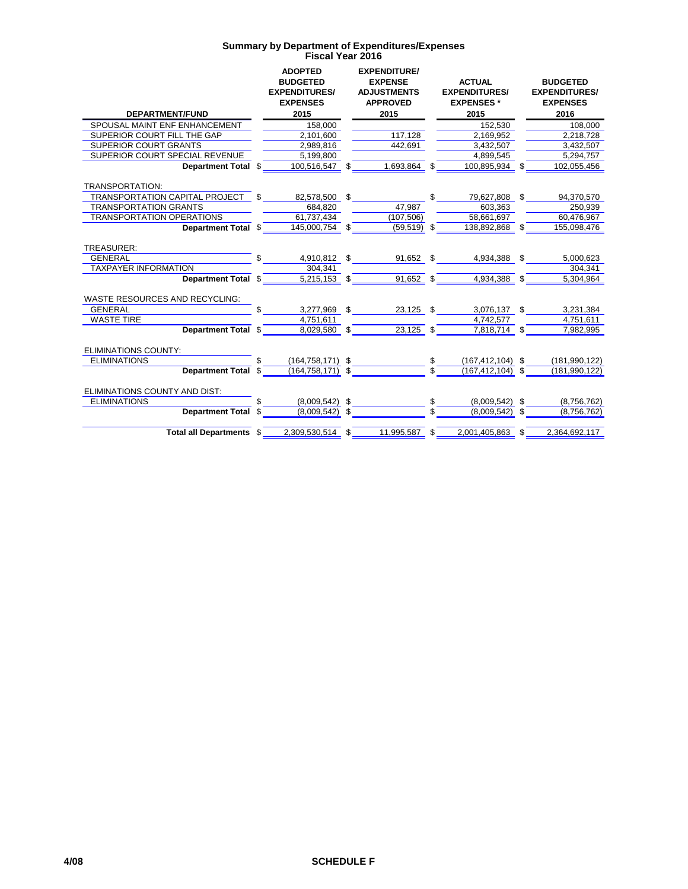|                                       |     | <b>ADOPTED</b><br><b>BUDGETED</b><br><b>EXPENDITURES/</b><br><b>EXPENSES</b> |    | <b>EXPENDITURE/</b><br><b>EXPENSE</b><br><b>ADJUSTMENTS</b><br><b>APPROVED</b> | <b>ACTUAL</b><br><b>EXPENDITURES/</b><br><b>EXPENSES*</b> |     | <b>BUDGETED</b><br><b>EXPENDITURES/</b><br><b>EXPENSES</b> |
|---------------------------------------|-----|------------------------------------------------------------------------------|----|--------------------------------------------------------------------------------|-----------------------------------------------------------|-----|------------------------------------------------------------|
| <b>DEPARTMENT/FUND</b>                |     | 2015                                                                         |    | 2015                                                                           | 2015                                                      |     | 2016                                                       |
| SPOUSAL MAINT ENF ENHANCEMENT         |     | 158,000                                                                      |    |                                                                                | 152,530                                                   |     | 108,000                                                    |
| SUPERIOR COURT FILL THE GAP           |     | 2,101,600                                                                    |    | 117,128                                                                        | 2,169,952                                                 |     | 2,218,728                                                  |
| <b>SUPERIOR COURT GRANTS</b>          |     | 2,989,816                                                                    |    | 442.691                                                                        | 3.432.507                                                 |     | 3,432,507                                                  |
| SUPERIOR COURT SPECIAL REVENUE        |     | 5,199,800                                                                    |    |                                                                                | 4,899,545                                                 |     | 5,294,757                                                  |
| Department Total \$                   |     | 100,516,547 \$                                                               |    | 1,693,864 \$                                                                   | 100,895,934                                               |     | 102,055,456                                                |
| TRANSPORTATION:                       |     |                                                                              |    |                                                                                |                                                           |     |                                                            |
| TRANSPORTATION CAPITAL PROJECT        | \$  | 82,578,500 \$                                                                |    |                                                                                | \$<br>79,627,808                                          | \$  | 94,370,570                                                 |
| <b>TRANSPORTATION GRANTS</b>          |     | 684.820                                                                      |    | 47.987                                                                         | 603,363                                                   |     | 250,939                                                    |
| <b>TRANSPORTATION OPERATIONS</b>      |     | 61,737,434                                                                   |    | (107, 506)                                                                     | 58,661,697                                                |     | 60,476,967                                                 |
| <b>Department Total</b>               | \$  | 145.000.754                                                                  | \$ | $(59,519)$ \$                                                                  | 138,892,868                                               | \$  | 155.098.476                                                |
| TREASURER:                            |     |                                                                              |    |                                                                                |                                                           |     |                                                            |
| <b>GENERAL</b>                        | \$  | 4,910,812 \$                                                                 |    | 91,652 \$                                                                      | 4,934,388                                                 | \$  | 5,000,623                                                  |
| <b>TAXPAYER INFORMATION</b>           |     | 304,341                                                                      |    |                                                                                |                                                           |     | 304,341                                                    |
| <b>Department Total</b>               | \$. | 5,215,153 \$                                                                 |    | 91,652 \$                                                                      | 4,934,388                                                 | \$  | 5,304,964                                                  |
| <b>WASTE RESOURCES AND RECYCLING:</b> |     |                                                                              |    |                                                                                |                                                           |     |                                                            |
| <b>GENERAL</b>                        | \$. | 3,277,969 \$                                                                 |    | 23,125 \$                                                                      | 3,076,137                                                 | \$  | 3,231,384                                                  |
| <b>WASTE TIRE</b>                     |     | 4,751,611                                                                    |    |                                                                                | 4,742,577                                                 |     | 4,751,611                                                  |
| <b>Department Total</b>               | \$  | 8.029.580                                                                    | \$ | $23,125$ \$                                                                    | 7,818,714                                                 | \$  | 7.982.995                                                  |
| <b>ELIMINATIONS COUNTY:</b>           |     |                                                                              |    |                                                                                |                                                           |     |                                                            |
| <b>ELIMINATIONS</b>                   |     | $(164, 758, 171)$ \$                                                         |    |                                                                                | \$<br>$(167, 412, 104)$ \$                                |     | (181, 990, 122)                                            |
| <b>Department Total</b>               | \$. | $(164, 758, 171)$ \$                                                         |    |                                                                                | \$<br>$(167, 412, 104)$ \$                                |     | (181, 990, 122)                                            |
| ELIMINATIONS COUNTY AND DIST:         |     |                                                                              |    |                                                                                |                                                           |     |                                                            |
| <b>ELIMINATIONS</b>                   |     | (8,009,542)                                                                  | \$ |                                                                                | \$<br>(8,009,542)                                         | \$  | (8,756,762)                                                |
| <b>Department Total</b>               | \$  | (8,009,542)                                                                  | S. |                                                                                | \$<br>(8,009,542)                                         | \$. | (8,756,762)                                                |
| Total all Departments \$              |     | 2,309,530,514                                                                | \$ | 11,995,587                                                                     | \$<br>2,001,405,863                                       | \$  | 2,364,692,117                                              |
|                                       |     |                                                                              |    |                                                                                |                                                           |     |                                                            |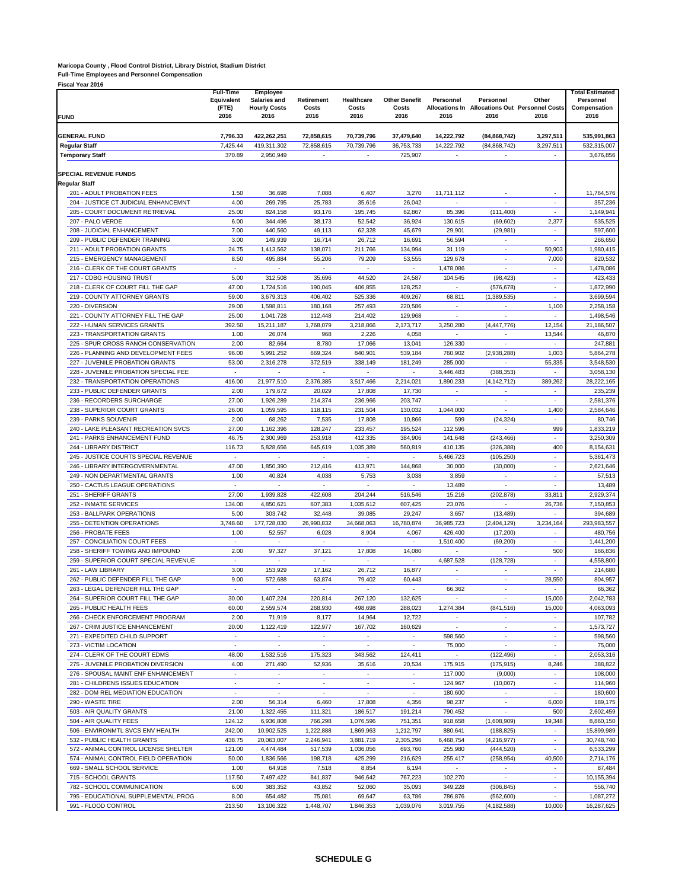#### **Maricopa County , Flood Control District, Library District, Stadium District**

**Full-Time Employees and Personnel Compensation**

| <b>FUND</b>                                                                  | <b>Full-Time</b><br>Equivalent<br>(FTE)<br>2016 | <b>Employee</b><br>Salaries and<br><b>Hourly Costs</b><br>2016 | <b>Retirement</b><br>Costs<br>2016 | Healthcare<br>Costs<br>2016 | <b>Other Benefit</b><br>Costs<br>2016                | Personnel<br>2016        | Personnel<br>Allocations In Allocations Out Personnel Costs<br>2016 | Other<br>2016                      | <b>Total Estimated</b><br>Personnel<br>Compensation<br>2016 |
|------------------------------------------------------------------------------|-------------------------------------------------|----------------------------------------------------------------|------------------------------------|-----------------------------|------------------------------------------------------|--------------------------|---------------------------------------------------------------------|------------------------------------|-------------------------------------------------------------|
|                                                                              |                                                 |                                                                |                                    |                             |                                                      |                          |                                                                     |                                    |                                                             |
| <b>GENERAL FUND</b>                                                          | 7,796.33                                        | 422,262,251<br>419.311.302                                     | 72,858,615                         | 70,739,796                  | 37,479,640                                           | 14,222,792               | (84, 868, 742)                                                      | 3,297,511                          | 535,991,863                                                 |
| <b>Regular Staff</b><br><b>Temporary Staff</b>                               | 7,425.44<br>370.89                              | 2.950.949                                                      | 72,858,615                         | 70,739,796                  | 36,753,733<br>725,907                                | 14,222,792               | (84, 868, 742)                                                      | 3,297,511                          | 532,315,007<br>3,676,856                                    |
|                                                                              |                                                 |                                                                |                                    |                             |                                                      |                          |                                                                     |                                    |                                                             |
| <b>SPECIAL REVENUE FUNDS</b><br><b>Regular Staff</b>                         |                                                 |                                                                |                                    |                             |                                                      |                          |                                                                     |                                    |                                                             |
| 201 - ADULT PROBATION FEES                                                   | 1.50                                            | 36,698                                                         | 7,088                              | 6,407                       | 3,270                                                | 11.711.112               |                                                                     |                                    | 11,764,576                                                  |
| 204 - JUSTICE CT JUDICIAL ENHANCEMNT                                         | 4.00                                            | 269,795                                                        | 25,783                             | 35,616                      | 26,042                                               |                          |                                                                     | ÷.                                 | 357,236                                                     |
| 205 - COURT DOCUMENT RETRIEVAL                                               | 25.00                                           | 824,158                                                        | 93,176                             | 195,745                     | 62,867                                               | 85,396                   | (111, 400)                                                          | $\sim$                             | 1,149,941                                                   |
| 207 - PALO VERDE                                                             | 6.00                                            | 344,496                                                        | 38,173                             | 52,542                      | 36,924                                               | 130,615                  | (69, 602)                                                           | 2,377                              | 535.525                                                     |
| 208 - JUDICIAL ENHANCEMENT<br>209 - PUBLIC DEFENDER TRAINING                 | 7.00<br>3.00                                    | 440,560<br>149,939                                             | 49,113<br>16,714                   | 62,328<br>26,712            | 45,679<br>16,691                                     | 29,901<br>56,594         | (29, 981)<br>$\sim$                                                 | $\overline{\phantom{a}}$<br>$\sim$ | 597,600<br>266,650                                          |
| 211 - ADULT PROBATION GRANTS                                                 | 24.75                                           | 1,413,562                                                      | 138,071                            | 211,766                     | 134,994                                              | 31,119                   | ä,                                                                  | 50,903                             | 1,980,415                                                   |
| 215 - EMERGENCY MANAGEMENT                                                   | 8.50                                            | 495,884                                                        | 55,206                             | 79,209                      | 53,555                                               | 129,678                  | ÷.                                                                  | 7,000                              | 820,532                                                     |
| 216 - CLERK OF THE COURT GRANTS                                              | $\sim$                                          | $\overline{\phantom{a}}$                                       | $\sim$                             | $\sim$                      | $\overline{\phantom{a}}$                             | 1,478,086                | $\sim$                                                              | $\sim$                             | 1,478,086                                                   |
| 217 - CDBG HOUSING TRUST                                                     | 5.00                                            | 312,508                                                        | 35,696                             | 44,520                      | 24,587                                               | 104,545                  | (98, 423)                                                           | ٠                                  | 423,433                                                     |
| 218 - CLERK OF COURT FILL THE GAP                                            | 47.00                                           | 1,724,516                                                      | 190,045                            | 406,855                     | 128,252                                              | $\overline{\phantom{a}}$ | (576, 678)                                                          | $\sim$                             | 1,872,990                                                   |
| 219 - COUNTY ATTORNEY GRANTS<br>220 - DIVERSION                              | 59.00<br>29.00                                  | 3,679,313<br>1,598,811                                         | 406,402<br>180,168                 | 525,336<br>257,493          | 409,267<br>220,586                                   | 68,811<br>÷,             | (1, 389, 535)<br>$\sim$                                             | ×.<br>1,100                        | 3,699,594<br>2,258,158                                      |
| 221 - COUNTY ATTORNEY FILL THE GAP                                           | 25.00                                           | 1,041,728                                                      | 112,448                            | 214,402                     | 129,968                                              | $\overline{\phantom{a}}$ |                                                                     | $\overline{\phantom{a}}$           | 1,498,546                                                   |
| 222 - HUMAN SERVICES GRANTS                                                  | 392.50                                          | 15,211,187                                                     | 1,768,079                          | 3,218,866                   | 2,173,717                                            | 3,250,280                | (4, 447, 776)                                                       | 12,154                             | 21,186,507                                                  |
| 223 - TRANSPORTATION GRANTS                                                  | 1.00                                            | 26,074                                                         | 968                                | 2,226                       | 4,058                                                | $\overline{\phantom{a}}$ | ٠                                                                   | 13,544                             | 46,870                                                      |
| 225 - SPUR CROSS RANCH CONSERVATION                                          | 2.00                                            | 82,664                                                         | 8,780                              | 17,066                      | 13,041                                               | 126,330                  | ÷.                                                                  | ×,                                 | 247,881                                                     |
| 226 - PLANNING AND DEVELOPMENT FEES                                          | 96.00                                           | 5,991,252                                                      | 669,324                            | 840,901                     | 539,184                                              | 760,902                  | (2,938,288)                                                         | 1,003                              | 5,864,278                                                   |
| 227 - JUVENILE PROBATION GRANTS<br>228 - JUVENILE PROBATION SPECIAL FEE      | 53.00<br>٠                                      | 2,316,278<br>$\overline{\phantom{a}}$                          | 372,519<br>٠                       | 338.149<br>٠                | 181,249<br>$\overline{\phantom{a}}$                  | 285,000<br>3,446,483     | (388, 353)                                                          | 55,335<br>٠                        | 3,548,530<br>3,058,130                                      |
| 232 - TRANSPORTATION OPERATIONS                                              | 416.00                                          | 21,977,510                                                     | 2,376,385                          | 3,517,466                   | 2,214,021                                            | 1,890,233                | (4, 142, 712)                                                       | 389,262                            | 28,222,165                                                  |
| 233 - PUBLIC DEFENDER GRANTS                                                 | 2.00                                            | 179,672                                                        | 20,029                             | 17,808                      | 17,730                                               |                          |                                                                     | ÷,                                 | 235,239                                                     |
| 236 - RECORDERS SURCHARGE                                                    | 27.00                                           | 1,926,289                                                      | 214,374                            | 236,966                     | 203,747                                              | ÷                        | ×,                                                                  | ÷                                  | 2,581,376                                                   |
| 238 - SUPERIOR COURT GRANTS                                                  | 26.00                                           | 1,059,595                                                      | 118,115                            | 231,504                     | 130,032                                              | 1,044,000                | $\epsilon$                                                          | 1,400                              | 2,584,646                                                   |
| 239 - PARKS SOUVENIR                                                         | 2.00                                            | 68,262                                                         | 7,535                              | 17,808                      | 10,866                                               | 599                      | (24, 324)                                                           | $\sim$                             | 80,746                                                      |
| 240 - LAKE PLEASANT RECREATION SVCS<br>241 - PARKS ENHANCEMENT FUND          | 27.00<br>46.75                                  | 1,162,396<br>2,300,969                                         | 128,247<br>253,918                 | 233,457<br>412,335          | 195,524<br>384,906                                   | 112,596<br>141,648       | (243, 466)                                                          | 999                                | 1,833,219<br>3,250,309                                      |
| 244 - LIBRARY DISTRICT                                                       | 116.73                                          | 5,828,656                                                      | 645,619                            | 1,035,389                   | 560,819                                              | 410,135                  | (326, 388)                                                          | 400                                | 8,154,631                                                   |
| 245 - JUSTICE COURTS SPECIAL REVENUE                                         | $\sim$                                          |                                                                | ä,                                 | ä,                          | $\overline{\phantom{a}}$                             | 5,466,723                | (105, 250)                                                          | $\overline{\phantom{a}}$           | 5,361,473                                                   |
| 246 - LIBRARY INTERGOVERNMENTAL                                              | 47.00                                           | 1,850,390                                                      | 212,416                            | 413,971                     | 144,868                                              | 30,000                   | (30,000)                                                            | ٠                                  | 2,621,646                                                   |
| 249 - NON DEPARTMENTAL GRANTS                                                | 1.00                                            | 40,824                                                         | 4,038                              | 5,753                       | 3,038                                                | 3,859                    | $\sim$                                                              | ٠                                  | 57,513                                                      |
| 250 - CACTUS LEAGUE OPERATIONS                                               | ÷.                                              |                                                                | ä,                                 | ÷.                          | ÷                                                    | 13,489                   |                                                                     | ×.                                 | 13,489                                                      |
| 251 - SHERIFF GRANTS<br>252 - INMATE SERVICES                                | 27.00<br>134.00                                 | 1,939,828<br>4,850,621                                         | 422,608<br>607,383                 | 204,244<br>1,035,612        | 516,546<br>607,425                                   | 15,216<br>23,076         | (202, 878)<br>ä,                                                    | 33,811<br>26,736                   | 2,929,374<br>7,150,853                                      |
| 253 - BALLPARK OPERATIONS                                                    | 5.00                                            | 303,742                                                        | 32,448                             | 39,085                      | 29,247                                               | 3,657                    | (13, 489)                                                           | ٠                                  | 394,689                                                     |
| 255 - DETENTION OPERATIONS                                                   | 3,748.60                                        | 177,728,030                                                    | 26,990,832                         | 34,668,063                  | 16,780,874                                           | 36,985,723               | (2,404,129)                                                         | 3,234,164                          | 293,983,557                                                 |
| 256 - PROBATE FEES                                                           | 1.00                                            | 52,557                                                         | 6,028                              | 8,904                       | 4,067                                                | 426,400                  | (17, 200)                                                           | ÷,                                 | 480,756                                                     |
| 257 - CONCILIATION COURT FEES                                                | $\sim$                                          | $\overline{\phantom{a}}$                                       | ÷.                                 | ×.                          | $\overline{\phantom{a}}$                             | 1,510,400                | (69, 200)                                                           | ÷                                  | 1,441,200                                                   |
| 258 - SHERIFF TOWING AND IMPOUND                                             | 2.00                                            | 97,327                                                         | 37,121                             | 17,808                      | 14,080                                               | $\overline{\phantom{a}}$ |                                                                     | 500                                | 166,836                                                     |
| 259 - SUPERIOR COURT SPECIAL REVENUE<br>261 - LAW LIBRARY                    | ٠<br>3.00                                       | $\overline{\phantom{a}}$<br>153,929                            | ٠<br>17,162                        | ٠<br>26,712                 | $\overline{\phantom{a}}$<br>16,877                   | 4,687,528<br>$\sim$      | (128, 728)                                                          | $\sim$<br>$\overline{\phantom{a}}$ | 4,558,800<br>214,680                                        |
| 262 - PUBLIC DEFENDER FILL THE GAP                                           | 9.00                                            | 572.688                                                        | 63,874                             | 79,402                      | 60,443                                               |                          |                                                                     | 28,550                             | 804,957                                                     |
| 263 - LEGAL DEFENDER FILL THE GAP                                            |                                                 |                                                                |                                    |                             |                                                      | 66,362                   |                                                                     | $\sim$                             | 66,362                                                      |
| 264 - SUPERIOR COURT FILL THE GAP                                            | 30.00                                           | 1,407,224                                                      | 220,814                            | 267,120                     | 132,625                                              |                          | $\sim$                                                              | 15,000                             | 2,042,783                                                   |
| 265 - PUBLIC HEALTH FEES                                                     | 60.00                                           | 2,559,574                                                      | 268,930                            | 498,698                     | 288,023                                              | 1,274,384                | (841, 516)                                                          | 15,000                             | 4,063,093                                                   |
| 266 - CHECK ENFORCEMENT PROGRAM                                              | 2.00<br>20.00                                   | 71,919<br>1,122,419                                            | 8,177<br>122,977                   | 14,964<br>167,702           | 12,722<br>160,629                                    | $\sim$                   | $\mathcal{L}_{\mathcal{A}}$                                         | $\sim$<br>$\sim$                   | 107,782<br>1,573,727                                        |
| 267 - CRIM JUSTICE ENHANCEMENT<br>271 - EXPEDITED CHILD SUPPORT              | $\sim$                                          | $\overline{\phantom{a}}$                                       | $\overline{\phantom{a}}$           | $\sim$                      | $\overline{\phantom{a}}$                             | 598,560                  | $\sim$                                                              | $\sim$                             | 598,560                                                     |
| 273 - VICTIM LOCATION                                                        | $\mathcal{L}^{\mathcal{L}}$                     | $\overline{\phantom{a}}$                                       | $\overline{\phantom{a}}$           | $\sim$                      | $\overline{\phantom{a}}$                             | 75,000                   | $\sim$                                                              | $\sim$                             | 75,000                                                      |
| 274 - CLERK OF THE COURT EDMS                                                | 48.00                                           | 1,532,516                                                      | 175,323                            | 343,562                     | 124,411                                              | $\sim$                   | (122, 496)                                                          | $\sim$                             | 2,053,316                                                   |
| 275 - JUVENILE PROBATION DIVERSION                                           | 4.00                                            | 271,490                                                        | 52,936                             | 35,616                      | 20,534                                               | 175,915                  | (175, 915)                                                          | 8,246                              | 388,822                                                     |
| 276 - SPOUSAL MAINT ENF ENHANCEMENT                                          | $\overline{\phantom{a}}$                        |                                                                | ÷                                  | ä,                          | ÷.                                                   | 117,000                  | (9,000)                                                             | ÷.                                 | 108,000                                                     |
| 281 - CHILDRENS ISSUES EDUCATION<br>282 - DOM REL MEDIATION EDUCATION        | ÷.<br>$\sim$                                    | $\overline{\phantom{a}}$<br>$\overline{\phantom{a}}$           | $\sim$<br>$\sim$                   | $\sim$<br>$\sim$            | $\overline{\phantom{a}}$<br>$\overline{\phantom{a}}$ | 124,967<br>180,600       | (10,007)<br>$\sim$                                                  | $\sim$<br>$\sim$                   | 114,960<br>180,600                                          |
| 290 - WASTE TIRE                                                             | 2.00                                            | 56,314                                                         | 6,460                              | 17,808                      | 4,356                                                | 98,237                   | $\overline{\phantom{a}}$                                            | 6,000                              | 189,175                                                     |
| 503 - AIR QUALITY GRANTS                                                     | 21.00                                           | 1,322,455                                                      | 111,321                            | 186,517                     | 191,214                                              | 790,452                  | $\sim$                                                              | 500                                | 2,602,459                                                   |
| 504 - AIR QUALITY FEES                                                       | 124.12                                          | 6,936,808                                                      | 766,298                            | 1,076,596                   | 751,351                                              | 918,658                  | (1,608,909)                                                         | 19,348                             | 8,860,150                                                   |
| 506 - ENVIRONMTL SVCS ENV HEALTH                                             | 242.00                                          | 10,902,525                                                     | 1,222,888                          | 1,869,963                   | 1,212,797                                            | 880,641                  | (188, 825)                                                          | ÷                                  | 15,899,989                                                  |
| 532 - PUBLIC HEALTH GRANTS                                                   | 438.75                                          | 20,063,007                                                     | 2,246,941                          | 3,881,719                   | 2,305,296                                            | 6,468,754                | (4,216,977)                                                         | $\sim$                             | 30,748,740                                                  |
| 572 - ANIMAL CONTROL LICENSE SHELTER<br>574 - ANIMAL CONTROL FIELD OPERATION | 121.00<br>50.00                                 | 4,474,484<br>1,836,566                                         | 517,539<br>198,718                 | 1,036,056<br>425,299        | 693,760<br>216,629                                   | 255,980<br>255,417       | (444, 520)<br>(258, 954)                                            | $\overline{\phantom{a}}$<br>40,500 | 6,533,299<br>2,714,176                                      |
| 669 - SMALL SCHOOL SERVICE                                                   | 1.00                                            | 64,918                                                         | 7,518                              | 8,854                       | 6,194                                                |                          |                                                                     | $\overline{\phantom{a}}$           | 87,484                                                      |
| 715 - SCHOOL GRANTS                                                          | 117.50                                          | 7,497,422                                                      | 841,837                            | 946,642                     | 767,223                                              | 102,270                  | $\epsilon$                                                          | $\overline{\phantom{a}}$           | 10,155,394                                                  |
| 782 - SCHOOL COMMUNICATION                                                   | 6.00                                            | 383,352                                                        | 43,852                             | 52,060                      | 35,093                                               | 349,228                  | (306, 845)                                                          | $\sim$                             | 556,740                                                     |
| 795 - EDUCATIONAL SUPPLEMENTAL PROG                                          | 8.00                                            | 654,482                                                        | 75,081                             | 69,647                      | 63,786                                               | 786,876                  | (562, 600)                                                          | $\sim$                             | 1,087,272                                                   |
| 991 - FLOOD CONTROL                                                          | 213.50                                          | 13,106,322                                                     | 1,448,707                          | 1,846,353                   | 1,039,076                                            | 3,019,755                | (4, 182, 588)                                                       | 10,000                             | 16,287,625                                                  |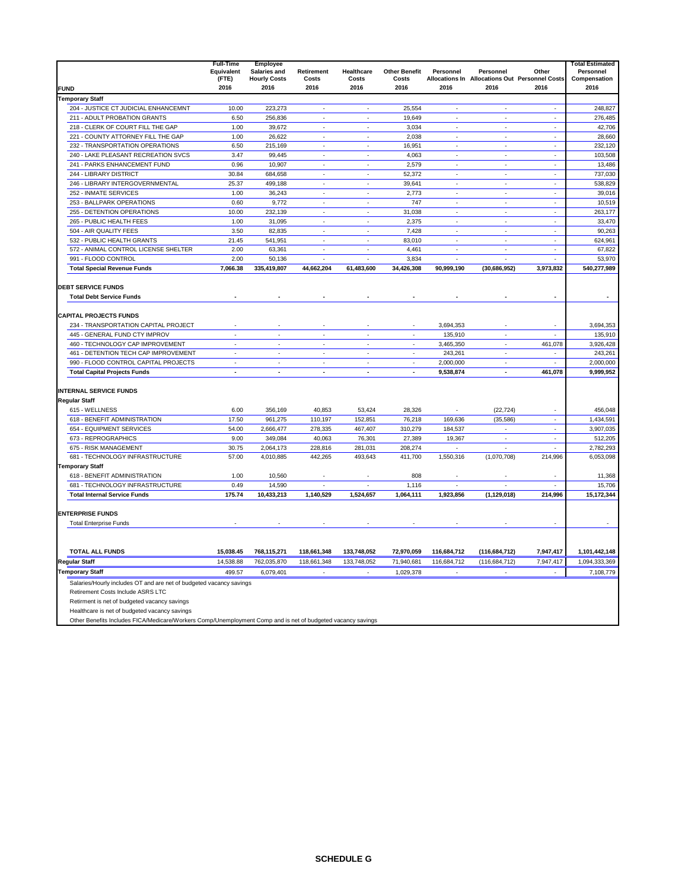|                                                                                                                                                                                                                                                                                                                          | <b>Full-Time</b><br>Equivalent<br>(FTE) | Employee<br>Salaries and<br><b>Hourly Costs</b> | <b>Retirement</b><br>Costs | Healthcare<br>Costs      | <b>Other Benefit</b><br>Costs | Personnel                | Personnel<br>Allocations In Allocations Out Personnel Costs | Other                    | <b>Total Estimated</b><br>Personnel<br>Compensation |
|--------------------------------------------------------------------------------------------------------------------------------------------------------------------------------------------------------------------------------------------------------------------------------------------------------------------------|-----------------------------------------|-------------------------------------------------|----------------------------|--------------------------|-------------------------------|--------------------------|-------------------------------------------------------------|--------------------------|-----------------------------------------------------|
| <b>FUND</b>                                                                                                                                                                                                                                                                                                              | 2016                                    | 2016                                            | 2016                       | 2016                     | 2016                          | 2016                     | 2016                                                        | 2016                     | 2016                                                |
| <b>Temporary Staff</b>                                                                                                                                                                                                                                                                                                   |                                         |                                                 |                            |                          |                               |                          |                                                             |                          |                                                     |
| 204 - JUSTICE CT JUDICIAL ENHANCEMNT                                                                                                                                                                                                                                                                                     | 10.00                                   | 223,273                                         | ×.                         | ÷.                       | 25,554                        | ÷.                       | J.                                                          | $\sim$                   | 248,827                                             |
| 211 - ADULT PROBATION GRANTS                                                                                                                                                                                                                                                                                             | 6.50                                    | 256,836                                         | ÷,                         | $\sim$                   | 19,649                        | $\overline{\phantom{a}}$ | $\overline{\phantom{a}}$                                    | $\sim$                   | 276,485                                             |
| 218 - CLERK OF COURT FILL THE GAP                                                                                                                                                                                                                                                                                        | 1.00                                    | 39,672                                          |                            | J.                       | 3,034                         | J.                       |                                                             | ÷                        | 42,706                                              |
| 221 - COUNTY ATTORNEY FILL THE GAP                                                                                                                                                                                                                                                                                       | 1.00                                    | 26,622                                          | ÷,                         | ÷.                       | 2,038                         | $\overline{\phantom{a}}$ | $\overline{\phantom{a}}$                                    | $\sim$                   | 28,660                                              |
| 232 - TRANSPORTATION OPERATIONS                                                                                                                                                                                                                                                                                          | 6.50                                    | 215,169                                         | ÷,                         | ÷,                       | 16,951                        | $\overline{\phantom{a}}$ | ÷,                                                          | $\mathcal{L}$            | 232,120                                             |
| 240 - LAKE PLEASANT RECREATION SVCS                                                                                                                                                                                                                                                                                      | 3.47                                    | 99.445                                          | ä,                         | ÷,                       | 4.063                         | $\overline{\phantom{a}}$ | $\overline{\phantom{a}}$                                    | $\sim$                   | 103.508                                             |
| 241 - PARKS ENHANCEMENT FUND                                                                                                                                                                                                                                                                                             | 0.96                                    | 10,907                                          | ä,                         | ÷.                       | 2,579                         | $\mathbf{r}$             | ÷.                                                          | $\sim$                   | 13,486                                              |
| 244 - LIBRARY DISTRICT                                                                                                                                                                                                                                                                                                   | 30.84                                   | 684,658                                         | ÷                          | ÷                        | 52,372                        | $\overline{\phantom{a}}$ | ÷,                                                          | $\sim$                   | 737,030                                             |
| 246 - LIBRARY INTERGOVERNMENTAL                                                                                                                                                                                                                                                                                          | 25.37                                   | 499,188                                         | ä,                         | ÷.                       | 39.641                        | $\mathcal{L}$            | ÷.                                                          | $\sim$                   | 538.829                                             |
| 252 - INMATE SERVICES                                                                                                                                                                                                                                                                                                    | 1.00                                    | 36,243                                          |                            |                          | 2,773                         |                          |                                                             |                          | 39,016                                              |
| 253 - BALLPARK OPERATIONS                                                                                                                                                                                                                                                                                                | 0.60                                    | 9,772                                           | ä,                         | $\sim$                   | 747                           | $\overline{\phantom{a}}$ | $\sim$                                                      | $\sim$                   | 10,519                                              |
| 255 - DETENTION OPERATIONS                                                                                                                                                                                                                                                                                               | 10.00                                   | 232,139                                         | ä,                         | ÷,                       | 31,038                        | ÷.                       | ä,                                                          | $\mathcal{L}$            | 263,177                                             |
| 265 - PUBLIC HEALTH FEES                                                                                                                                                                                                                                                                                                 | 1.00                                    | 31,095                                          | $\overline{\phantom{a}}$   | $\sim$                   | 2,375                         | $\overline{\phantom{a}}$ | $\overline{\phantom{a}}$                                    | $\sim$                   | 33,470                                              |
| 504 - AIR QUALITY FEES                                                                                                                                                                                                                                                                                                   | 3.50                                    | 82,835                                          | ä,                         | $\epsilon$               | 7,428                         | $\overline{\phantom{a}}$ | ä,                                                          | $\sim$                   | 90.263                                              |
| 532 - PUBLIC HEALTH GRANTS                                                                                                                                                                                                                                                                                               | 21.45                                   | 541,951                                         | ÷,                         | $\sim$                   | 83,010                        | $\sim$                   | $\sim$                                                      | $\sim$                   | 624,961                                             |
| 572 - ANIMAL CONTROL LICENSE SHELTER                                                                                                                                                                                                                                                                                     | 2.00                                    | 63,361                                          | ×.                         | J.                       | 4,461                         | ÷,                       | ä,                                                          | $\mathcal{L}$            | 67,822                                              |
| 991 - FLOOD CONTROL                                                                                                                                                                                                                                                                                                      | 2.00                                    | 50,136                                          | ÷,                         | ÷,                       | 3,834                         | ÷.                       | ÷.                                                          | ÷                        | 53,970                                              |
| <b>Total Special Revenue Funds</b>                                                                                                                                                                                                                                                                                       | 7,066.38                                | 335,419,807                                     | 44,662,204                 | 61,483,600               | 34,426,308                    | 90,999,190               | (30, 686, 952)                                              | 3,973,832                | 540,277,989                                         |
| <b>DEBT SERVICE FUNDS</b><br><b>Total Debt Service Funds</b>                                                                                                                                                                                                                                                             |                                         |                                                 |                            |                          |                               |                          |                                                             | $\blacksquare$           | $\blacksquare$                                      |
| <b>CAPITAL PROJECTS FUNDS</b>                                                                                                                                                                                                                                                                                            |                                         |                                                 |                            |                          |                               |                          |                                                             |                          |                                                     |
| 234 - TRANSPORTATION CAPITAL PROJECT                                                                                                                                                                                                                                                                                     |                                         |                                                 |                            |                          |                               | 3,694,353                |                                                             |                          | 3,694,353                                           |
| 445 - GENERAL FUND CTY IMPROV                                                                                                                                                                                                                                                                                            | $\bar{z}$                               | $\epsilon$                                      | $\overline{\phantom{a}}$   | $\overline{\phantom{a}}$ | $\overline{\phantom{a}}$      | 135,910                  | $\bar{z}$                                                   | $\overline{\phantom{a}}$ | 135,910                                             |
| 460 - TECHNOLOGY CAP IMPROVEMENT                                                                                                                                                                                                                                                                                         | ÷.                                      | $\mathbf{r}$                                    | ä,                         | ÷.                       | $\mathbf{r}$                  | 3,465,350                | $\mathbf{r}$                                                | 461,078                  | 3.926.428                                           |
| 461 - DETENTION TECH CAP IMPROVEMENT                                                                                                                                                                                                                                                                                     | $\sim$                                  | $\overline{\phantom{a}}$                        | $\tilde{\phantom{a}}$      | $\overline{\phantom{a}}$ | $\overline{\phantom{a}}$      | 243,261                  | $\overline{\phantom{a}}$                                    | $\overline{\phantom{a}}$ | 243,261                                             |
| 990 - FLOOD CONTROL CAPITAL PROJECTS                                                                                                                                                                                                                                                                                     | $\mathcal{L}$                           | $\mathbf{r}$                                    | ä,                         | ÷.                       | $\mathbf{r}$                  | 2,000,000                | ÷.                                                          | ÷.                       | 2,000,000                                           |
| <b>Total Capital Projects Funds</b>                                                                                                                                                                                                                                                                                      | $\blacksquare$                          | $\blacksquare$                                  | $\blacksquare$             | $\blacksquare$           | $\overline{a}$                | 9,538,874                | $\ddot{\phantom{a}}$                                        | 461,078                  | 9,999,952                                           |
| <b>INTERNAL SERVICE FUNDS</b><br><b>Regular Staff</b>                                                                                                                                                                                                                                                                    |                                         |                                                 |                            |                          |                               |                          |                                                             |                          |                                                     |
| 615 - WELLNESS                                                                                                                                                                                                                                                                                                           | 6.00                                    | 356,169                                         | 40,853                     | 53,424                   | 28,326                        |                          | (22, 724)                                                   |                          | 456,048                                             |
| 618 - BENEFIT ADMINISTRATION                                                                                                                                                                                                                                                                                             | 17.50                                   | 961,275                                         | 110,197                    | 152,851                  | 76,218                        | 169,636                  | (35,586)                                                    | $\sim$                   | 1,434,591                                           |
| 654 - EQUIPMENT SERVICES                                                                                                                                                                                                                                                                                                 | 54.00                                   | 2,666,477                                       | 278,335                    | 467,407                  | 310,279                       | 184,537                  |                                                             | $\overline{\phantom{a}}$ | 3,907,035                                           |
| 673 - REPROGRAPHICS                                                                                                                                                                                                                                                                                                      | 9.00                                    | 349,084                                         | 40,063                     | 76,301                   | 27,389                        | 19,367<br>L.             | $\sim$<br>×.                                                | $\sim$<br>ä,             | 512,205                                             |
| 675 - RISK MANAGEMENT                                                                                                                                                                                                                                                                                                    | 30.75                                   | 2,064,173                                       | 228,816                    | 281,031                  | 208,274                       |                          |                                                             |                          | 2,782,293                                           |
| 681 - TECHNOLOGY INFRASTRUCTURE                                                                                                                                                                                                                                                                                          | 57.00                                   | 4,010,885                                       | 442,265                    | 493,643                  | 411,700                       | 1,550,316                | (1,070,708)                                                 | 214,996                  | 6,053,098                                           |
| <b>Temporary Staff</b><br>618 - BENEFIT ADMINISTRATION                                                                                                                                                                                                                                                                   | 1.00                                    |                                                 |                            |                          |                               |                          |                                                             | ٠                        | 11,368                                              |
| 681 - TECHNOLOGY INFRASTRUCTURE                                                                                                                                                                                                                                                                                          | 0.49                                    | 10,560<br>14,590                                |                            | J.                       | 808<br>1,116                  | J.                       |                                                             | ÷.                       | 15,706                                              |
| <b>Total Internal Service Funds</b>                                                                                                                                                                                                                                                                                      | 175.74                                  | 10,433,213                                      | 1,140,529                  | 1,524,657                | 1,064,111                     | 1,923,856                | (1, 129, 018)                                               | 214,996                  | 15,172,344                                          |
| <b>ENTERPRISE FUNDS</b><br><b>Total Enterprise Funds</b>                                                                                                                                                                                                                                                                 |                                         |                                                 |                            |                          |                               |                          |                                                             |                          |                                                     |
|                                                                                                                                                                                                                                                                                                                          |                                         |                                                 |                            |                          |                               |                          |                                                             |                          |                                                     |
| <b>TOTAL ALL FUNDS</b>                                                                                                                                                                                                                                                                                                   | 15,038.45                               | 768,115,271                                     | 118,661,348                | 133,748,052              | 72,970,059                    | 116,684,712              | (116, 684, 712)                                             | 7,947,417                | 1,101,442,148                                       |
| <b>Regular Staff</b>                                                                                                                                                                                                                                                                                                     | 14,538.88                               | 762,035,870                                     | 118,661,348                | 133,748,052              | 71,940,681                    | 116,684,712              | (116, 684, 712)                                             | 7,947,417                | 1,094,333,369                                       |
| <b>Temporary Staff</b>                                                                                                                                                                                                                                                                                                   | 499.57                                  | 6,079,401                                       | $\sim$                     | $\sim$                   | 1,029,378                     | $\epsilon$               | $\tilde{\phantom{a}}$                                       | $\sim$                   | 7,108,779                                           |
| Salaries/Hourly includes OT and are net of budgeted vacancy savings<br>Retirement Costs Include ASRS LTC<br>Retirment is net of budgeted vacancy savings<br>Healthcare is net of budgeted vacancy savings<br>Other Benefits Includes FICA/Medicare/Workers Comp/Unemployment Comp and is net of budgeted vacancy savings |                                         |                                                 |                            |                          |                               |                          |                                                             |                          |                                                     |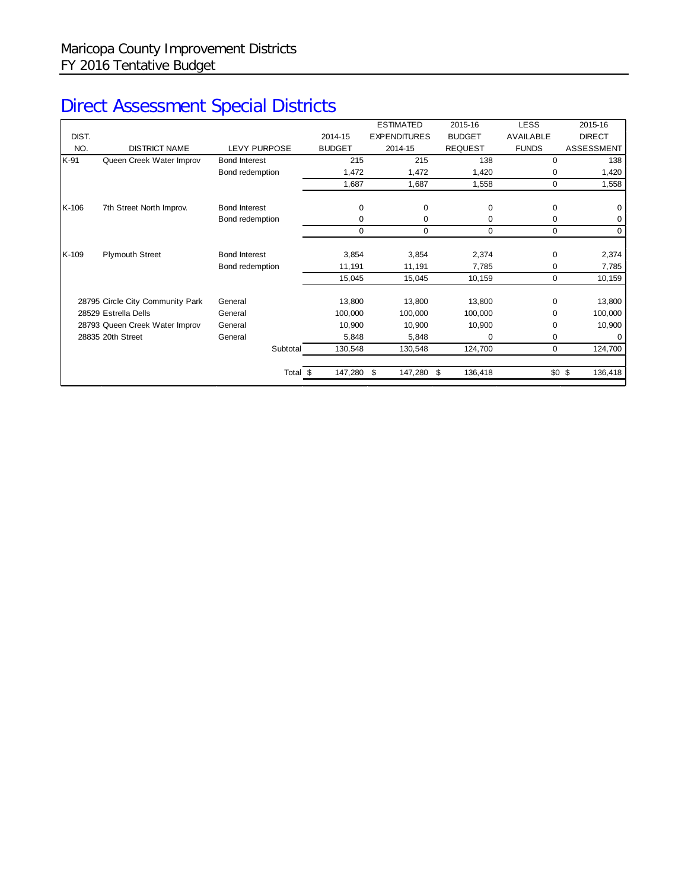# Direct Assessment Special Districts

|       |                                  |                      |               | <b>ESTIMATED</b>    | 2015-16        | <b>LESS</b>  | 2015-16            |
|-------|----------------------------------|----------------------|---------------|---------------------|----------------|--------------|--------------------|
| DIST. |                                  |                      | 2014-15       | <b>EXPENDITURES</b> | <b>BUDGET</b>  | AVAILABLE    | <b>DIRECT</b>      |
| NO.   | <b>DISTRICT NAME</b>             | <b>LEVY PURPOSE</b>  | <b>BUDGET</b> | 2014-15             | <b>REQUEST</b> | <b>FUNDS</b> | <b>ASSESSMENT</b>  |
| K-91  | Queen Creek Water Improv         | <b>Bond Interest</b> | 215           | 215                 | 138            | $\Omega$     | 138                |
|       |                                  | Bond redemption      | 1,472         | 1,472               | 1,420          | 0            | 1,420              |
|       |                                  |                      | 1,687         | 1,687               | 1,558          | $\mathbf 0$  | 1,558              |
| K-106 | 7th Street North Improv.         | <b>Bond Interest</b> | $\mathbf 0$   | $\mathbf 0$         | $\Omega$       | 0            | $\Omega$           |
|       |                                  | Bond redemption      | 0             | 0                   | 0              | 0            | 0                  |
|       |                                  |                      | 0             | $\mathbf 0$         | 0              | 0            | $\mathbf 0$        |
| K-109 | <b>Plymouth Street</b>           | <b>Bond Interest</b> | 3,854         | 3,854               | 2,374          | 0            | 2,374              |
|       |                                  | Bond redemption      | 11,191        | 11,191              | 7,785          | 0            | 7,785              |
|       |                                  |                      | 15,045        | 15,045              | 10,159         | $\mathbf 0$  | 10,159             |
|       | 28795 Circle City Community Park | General              | 13,800        | 13,800              | 13,800         | $\mathbf 0$  | 13,800             |
|       | 28529 Estrella Dells             | General              | 100,000       | 100,000             | 100,000        | $\Omega$     | 100,000            |
|       | 28793 Queen Creek Water Improv   | General              | 10,900        | 10,900              | 10,900         | $\Omega$     | 10,900             |
|       | 28835 20th Street                | General              | 5,848         | 5,848               | $\Omega$       | 0            |                    |
|       |                                  | Subtotal             | 130,548       | 130,548             | 124,700        | $\Omega$     | 124,700            |
|       |                                  | Total \$             | 147,280       | - \$<br>147,280     | \$<br>136,418  |              | 136,418<br>$$0$ \$ |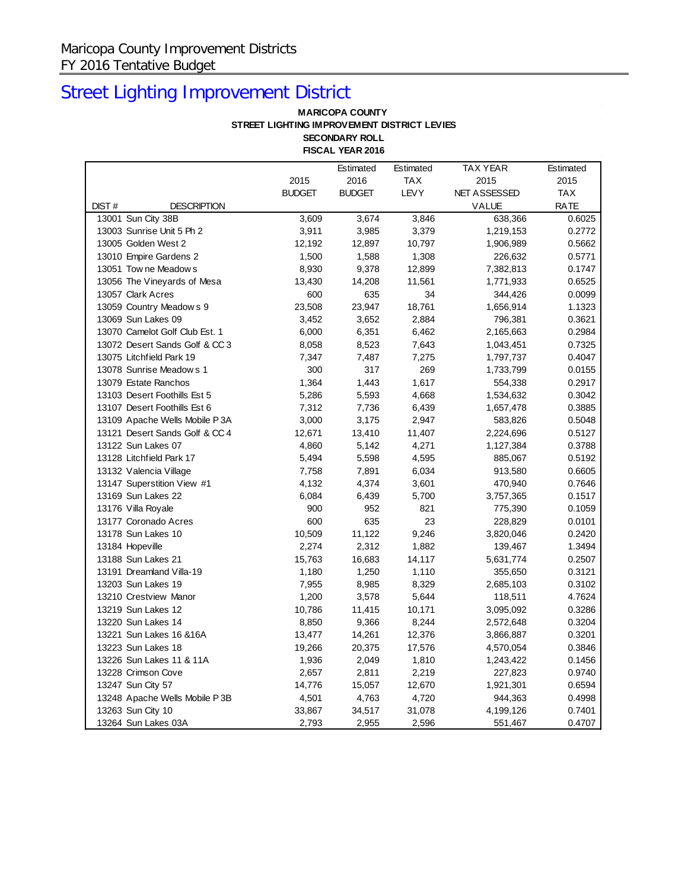# Street Lighting Improvement District

### **MARICOPA COUNTY STREET LIGHTING IMPROVEMENT DISTRICT LEVIES SECONDARY ROLL FISCAL YEAR 2016**

|                           |                                |               | Estimated     | Estimated   | TAX YEAR            | Estimated   |
|---------------------------|--------------------------------|---------------|---------------|-------------|---------------------|-------------|
|                           |                                | 2015          | 2016          | TAX         | 2015                | 2015        |
|                           |                                | <b>BUDGET</b> | <b>BUDGET</b> | <b>LEVY</b> | <b>NET ASSESSED</b> | <b>TAX</b>  |
| DIST#                     | <b>DESCRIPTION</b>             |               |               |             | VALUE               | <b>RATE</b> |
| 13001 Sun City 38B        |                                | 3,609         | 3,674         | 3,846       | 638,366             | 0.6025      |
| 13003 Sunrise Unit 5 Ph 2 |                                | 3,911         | 3,985         | 3,379       | 1,219,153           | 0.2772      |
| 13005 Golden West 2       |                                | 12,192        | 12,897        | 10,797      | 1,906,989           | 0.5662      |
| 13010 Empire Gardens 2    |                                | 1,500         | 1,588         | 1,308       | 226,632             | 0.5771      |
| 13051 Tow ne Meadow s     |                                | 8,930         | 9,378         | 12,899      | 7,382,813           | 0.1747      |
|                           | 13056 The Vineyards of Mesa    | 13,430        | 14,208        | 11,561      | 1,771,933           | 0.6525      |
| 13057 Clark Acres         |                                | 600           | 635           | 34          | 344,426             | 0.0099      |
|                           | 13059 Country Meadows 9        | 23,508        | 23,947        | 18,761      | 1,656,914           | 1.1323      |
| 13069 Sun Lakes 09        |                                | 3,452         | 3,652         | 2,884       | 796,381             | 0.3621      |
|                           | 13070 Camelot Golf Club Est. 1 | 6,000         | 6,351         | 6,462       | 2,165,663           | 0.2984      |
|                           | 13072 Desert Sands Golf & CC 3 | 8,058         | 8,523         | 7,643       | 1,043,451           | 0.7325      |
| 13075 Litchfield Park 19  |                                | 7,347         | 7,487         | 7,275       | 1,797,737           | 0.4047      |
| 13078 Sunrise Meadows 1   |                                | 300           | 317           | 269         | 1,733,799           | 0.0155      |
| 13079 Estate Ranchos      |                                | 1,364         | 1,443         | 1,617       | 554,338             | 0.2917      |
|                           | 13103 Desert Foothills Est 5   | 5,286         | 5,593         | 4,668       | 1,534,632           | 0.3042      |
|                           | 13107 Desert Foothills Est 6   | 7,312         | 7,736         | 6,439       | 1,657,478           | 0.3885      |
|                           | 13109 Apache Wells Mobile P3A  | 3,000         | 3,175         | 2,947       | 583,826             | 0.5048      |
|                           | 13121 Desert Sands Golf & CC 4 | 12,671        | 13,410        | 11,407      | 2,224,696           | 0.5127      |
| 13122 Sun Lakes 07        |                                | 4,860         | 5,142         | 4,271       | 1,127,384           | 0.3788      |
| 13128 Litchfield Park 17  |                                | 5,494         | 5,598         | 4,595       | 885,067             | 0.5192      |
| 13132 Valencia Village    |                                | 7,758         | 7,891         | 6,034       | 913,580             | 0.6605      |
|                           | 13147 Superstition View #1     | 4,132         | 4,374         | 3,601       | 470,940             | 0.7646      |
| 13169 Sun Lakes 22        |                                | 6,084         | 6,439         | 5,700       | 3,757,365           | 0.1517      |
| 13176 Villa Royale        |                                | 900           | 952           | 821         | 775,390             | 0.1059      |
| 13177 Coronado Acres      |                                | 600           | 635           | 23          | 228,829             | 0.0101      |
| 13178 Sun Lakes 10        |                                | 10,509        | 11,122        | 9,246       | 3,820,046           | 0.2420      |
| 13184 Hopeville           |                                | 2,274         | 2,312         | 1,882       | 139,467             | 1.3494      |
| 13188 Sun Lakes 21        |                                | 15,763        | 16,683        | 14,117      | 5,631,774           | 0.2507      |
| 13191 Dreamland Villa-19  |                                | 1,180         | 1,250         | 1,110       | 355,650             | 0.3121      |
| 13203 Sun Lakes 19        |                                | 7,955         | 8,985         | 8,329       | 2,685,103           | 0.3102      |
| 13210 Crestview Manor     |                                | 1,200         | 3,578         | 5,644       | 118,511             | 4.7624      |
| 13219 Sun Lakes 12        |                                | 10,786        | 11,415        | 10,171      | 3,095,092           | 0.3286      |
| 13220 Sun Lakes 14        |                                | 8,850         | 9,366         | 8,244       | 2,572,648           | 0.3204      |
| 13221 Sun Lakes 16 & 16A  |                                | 13,477        | 14,261        | 12,376      | 3,866,887           | 0.3201      |
| 13223 Sun Lakes 18        |                                | 19,266        | 20,375        | 17,576      | 4,570,054           | 0.3846      |
|                           | 13226 Sun Lakes 11 & 11A       | 1,936         | 2,049         | 1,810       | 1,243,422           | 0.1456      |
| 13228 Crimson Cove        |                                | 2,657         | 2,811         | 2,219       | 227,823             | 0.9740      |
| 13247 Sun City 57         |                                | 14,776        | 15,057        | 12,670      | 1,921,301           | 0.6594      |
|                           | 13248 Apache Wells Mobile P3B  | 4,501         | 4,763         | 4,720       | 944,363             | 0.4998      |
| 13263 Sun City 10         |                                | 33,867        | 34,517        | 31,078      | 4,199,126           | 0.7401      |
| 13264 Sun Lakes 03A       |                                | 2,793         | 2,955         | 2,596       | 551,467             | 0.4707      |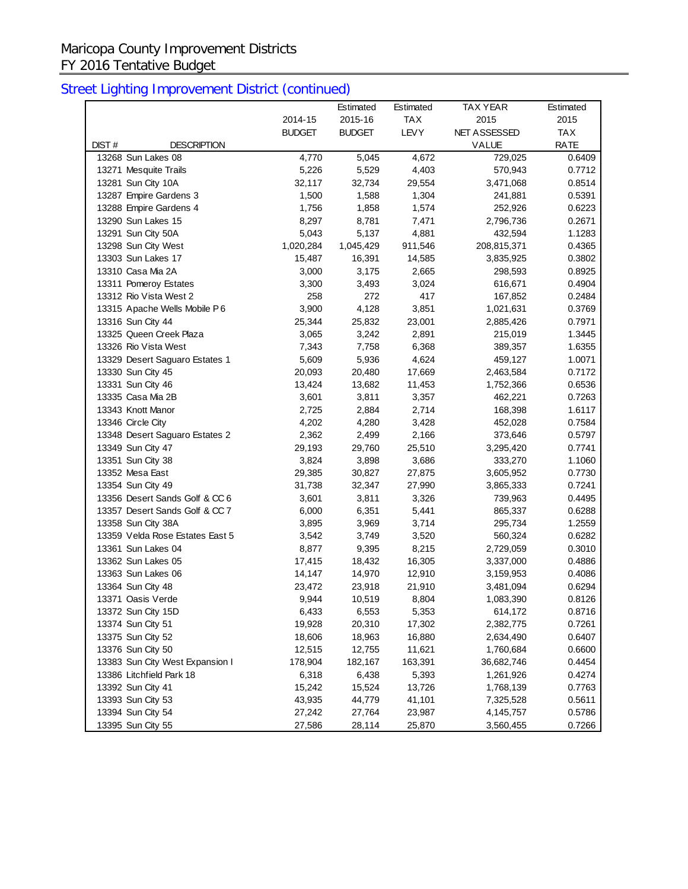|                                 |               | Estimated     | Estimated  | <b>TAX YEAR</b> | Estimated   |
|---------------------------------|---------------|---------------|------------|-----------------|-------------|
|                                 | 2014-15       | 2015-16       | <b>TAX</b> | 2015            | 2015        |
|                                 | <b>BUDGET</b> | <b>BUDGET</b> | LEVY       | NET ASSESSED    | TAX         |
| DIST#<br><b>DESCRIPTION</b>     |               |               |            | <b>VALUE</b>    | <b>RATE</b> |
| 13268 Sun Lakes 08              | 4,770         | 5,045         | 4,672      | 729,025         | 0.6409      |
| 13271 Mesquite Trails           | 5,226         | 5,529         | 4,403      | 570,943         | 0.7712      |
| 13281 Sun City 10A              | 32,117        | 32,734        | 29,554     | 3,471,068       | 0.8514      |
| 13287 Empire Gardens 3          | 1,500         | 1,588         | 1,304      | 241,881         | 0.5391      |
| 13288 Empire Gardens 4          | 1,756         | 1,858         | 1,574      | 252,926         | 0.6223      |
| 13290 Sun Lakes 15              | 8,297         | 8,781         | 7,471      | 2,796,736       | 0.2671      |
| 13291 Sun City 50A              | 5,043         | 5,137         | 4,881      | 432,594         | 1.1283      |
| 13298 Sun City West             | 1,020,284     | 1,045,429     | 911,546    | 208,815,371     | 0.4365      |
| 13303 Sun Lakes 17              | 15,487        | 16,391        | 14,585     | 3,835,925       | 0.3802      |
| 13310 Casa Mia 2A               | 3,000         | 3,175         | 2,665      | 298,593         | 0.8925      |
| 13311 Pomeroy Estates           | 3,300         | 3,493         | 3,024      | 616,671         | 0.4904      |
| 13312 Rio Vista West 2          | 258           | 272           | 417        | 167,852         | 0.2484      |
| 13315 Apache Wells Mobile P6    | 3,900         | 4,128         | 3,851      | 1,021,631       | 0.3769      |
| 13316 Sun City 44               | 25,344        | 25,832        | 23,001     | 2,885,426       | 0.7971      |
| 13325 Queen Creek Plaza         | 3,065         | 3,242         | 2,891      | 215,019         | 1.3445      |
| 13326 Rio Vista West            | 7,343         | 7,758         | 6,368      | 389,357         | 1.6355      |
| 13329 Desert Saguaro Estates 1  | 5,609         | 5,936         | 4,624      | 459,127         | 1.0071      |
| 13330 Sun City 45               | 20,093        | 20,480        | 17,669     | 2,463,584       | 0.7172      |
| 13331 Sun City 46               | 13,424        | 13,682        | 11,453     | 1,752,366       | 0.6536      |
| 13335 Casa Mia 2B               | 3,601         | 3,811         | 3,357      | 462,221         | 0.7263      |
| 13343 Knott Manor               | 2,725         | 2,884         | 2,714      | 168,398         | 1.6117      |
| 13346 Circle City               | 4,202         | 4,280         | 3,428      | 452,028         | 0.7584      |
| 13348 Desert Saguaro Estates 2  | 2,362         | 2,499         | 2,166      | 373,646         | 0.5797      |
| 13349 Sun City 47               | 29,193        | 29,760        | 25,510     | 3,295,420       | 0.7741      |
| 13351 Sun City 38               | 3,824         | 3,898         | 3,686      | 333,270         | 1.1060      |
| 13352 Mesa East                 | 29,385        | 30,827        | 27,875     | 3,605,952       | 0.7730      |
| 13354 Sun City 49               | 31,738        | 32,347        | 27,990     | 3,865,333       | 0.7241      |
| 13356 Desert Sands Golf & CC 6  | 3,601         | 3,811         | 3,326      | 739,963         | 0.4495      |
| 13357 Desert Sands Golf & CC 7  | 6,000         | 6,351         | 5,441      | 865,337         | 0.6288      |
| 13358 Sun City 38A              | 3,895         | 3,969         | 3,714      | 295,734         | 1.2559      |
| 13359 Velda Rose Estates East 5 | 3,542         | 3,749         | 3,520      | 560,324         | 0.6282      |
| 13361 Sun Lakes 04              | 8,877         | 9,395         | 8,215      | 2,729,059       | 0.3010      |
| 13362 Sun Lakes 05              | 17,415        | 18,432        | 16,305     | 3,337,000       | 0.4886      |
| 13363 Sun Lakes 06              | 14,147        | 14,970        | 12,910     | 3,159,953       | 0.4086      |
| 13364 Sun City 48               | 23,472        | 23,918        | 21,910     | 3,481,094       | 0.6294      |
| 13371 Oasis Verde               | 9,944         | 10,519        | 8,804      | 1,083,390       | 0.8126      |
| 13372 Sun City 15D              | 6,433         | 6,553         | 5,353      | 614,172         | 0.8716      |
| 13374 Sun City 51               | 19,928        | 20,310        | 17,302     | 2,382,775       | 0.7261      |
| 13375 Sun City 52               | 18,606        | 18,963        | 16,880     | 2,634,490       | 0.6407      |
| 13376 Sun City 50               | 12,515        | 12,755        | 11,621     | 1,760,684       | 0.6600      |
| 13383 Sun City West Expansion I | 178,904       | 182,167       | 163,391    | 36,682,746      | 0.4454      |
| 13386 Litchfield Park 18        | 6,318         | 6,438         | 5,393      | 1,261,926       | 0.4274      |
| 13392 Sun City 41               | 15,242        | 15,524        | 13,726     | 1,768,139       | 0.7763      |
| 13393 Sun City 53               | 43,935        | 44,779        | 41,101     | 7,325,528       | 0.5611      |
| 13394 Sun City 54               | 27,242        | 27,764        | 23,987     | 4,145,757       | 0.5786      |
| 13395 Sun City 55               | 27,586        | 28,114        | 25,870     | 3,560,455       | 0.7266      |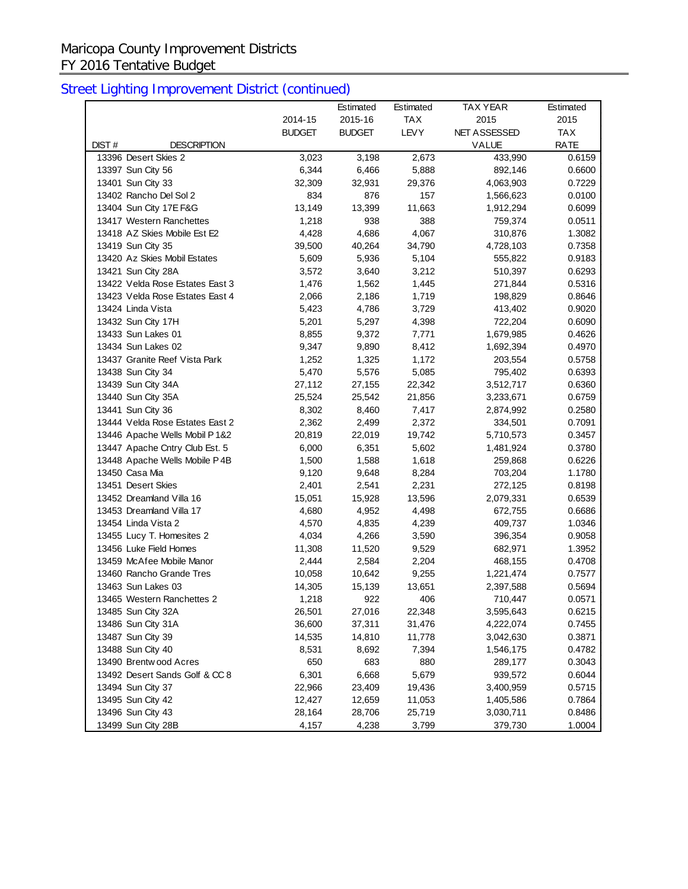## Maricopa County Improvement Districts FY 2016 Tentative Budget

|                                 |               | Estimated     | Estimated   | <b>TAX YEAR</b>     | Estimated  |
|---------------------------------|---------------|---------------|-------------|---------------------|------------|
|                                 | 2014-15       | 2015-16       | <b>TAX</b>  | 2015                | 2015       |
|                                 | <b>BUDGET</b> | <b>BUDGET</b> | <b>LEVY</b> | <b>NET ASSESSED</b> | <b>TAX</b> |
| DIST#<br><b>DESCRIPTION</b>     |               |               |             | VALUE               | RATE       |
| 13396 Desert Skies 2            | 3,023         | 3,198         | 2,673       | 433,990             | 0.6159     |
| 13397 Sun City 56               | 6,344         | 6,466         | 5,888       | 892,146             | 0.6600     |
| 13401 Sun City 33               | 32,309        | 32,931        | 29,376      | 4,063,903           | 0.7229     |
| 13402 Rancho Del Sol 2          | 834           | 876           | 157         | 1,566,623           | 0.0100     |
| 13404 Sun City 17E F&G          | 13,149        | 13,399        | 11,663      | 1,912,294           | 0.6099     |
| 13417 Western Ranchettes        | 1,218         | 938           | 388         | 759,374             | 0.0511     |
| 13418 AZ Skies Mobile Est E2    | 4,428         | 4,686         | 4,067       | 310,876             | 1.3082     |
| 13419 Sun City 35               | 39,500        | 40,264        | 34,790      | 4,728,103           | 0.7358     |
| 13420 Az Skies Mobil Estates    | 5,609         | 5,936         | 5,104       | 555,822             | 0.9183     |
| 13421 Sun City 28A              | 3,572         | 3,640         | 3,212       | 510,397             | 0.6293     |
| 13422 Velda Rose Estates East 3 | 1,476         | 1,562         | 1,445       | 271,844             | 0.5316     |
| 13423 Velda Rose Estates East 4 | 2,066         | 2,186         | 1,719       | 198,829             | 0.8646     |
| 13424 Linda Vista               | 5,423         | 4,786         | 3,729       | 413,402             | 0.9020     |
| 13432 Sun City 17H              | 5,201         | 5,297         | 4,398       | 722,204             | 0.6090     |
| 13433 Sun Lakes 01              | 8,855         | 9,372         | 7,771       | 1,679,985           | 0.4626     |
| 13434 Sun Lakes 02              | 9,347         | 9,890         | 8,412       | 1,692,394           | 0.4970     |
| 13437 Granite Reef Vista Park   | 1,252         | 1,325         | 1,172       | 203,554             | 0.5758     |
| 13438 Sun City 34               | 5,470         | 5,576         | 5,085       | 795,402             | 0.6393     |
| 13439 Sun City 34A              | 27,112        | 27,155        | 22,342      | 3,512,717           | 0.6360     |
| 13440 Sun City 35A              | 25,524        | 25,542        | 21,856      | 3,233,671           | 0.6759     |
| 13441 Sun City 36               | 8,302         | 8,460         | 7,417       | 2,874,992           | 0.2580     |
| 13444 Velda Rose Estates East 2 | 2,362         | 2,499         | 2,372       | 334,501             | 0.7091     |
| 13446 Apache Wells Mobil P 1&2  | 20,819        | 22,019        | 19,742      | 5,710,573           | 0.3457     |
| 13447 Apache Cntry Club Est. 5  | 6,000         | 6,351         | 5,602       | 1,481,924           | 0.3780     |
| 13448 Apache Wells Mobile P4B   | 1,500         | 1,588         | 1,618       | 259,868             | 0.6226     |
| 13450 Casa Mia                  | 9,120         | 9,648         | 8,284       | 703,204             | 1.1780     |
| 13451 Desert Skies              | 2,401         | 2,541         | 2,231       | 272,125             | 0.8198     |
| 13452 Dreamland Villa 16        | 15,051        | 15,928        | 13,596      | 2,079,331           | 0.6539     |
| 13453 Dreamland Villa 17        | 4,680         | 4,952         | 4,498       | 672,755             | 0.6686     |
| 13454 Linda Vista 2             | 4,570         | 4,835         | 4,239       | 409,737             | 1.0346     |
| 13455 Lucy T. Homesites 2       | 4,034         | 4,266         | 3,590       | 396,354             | 0.9058     |
| 13456 Luke Field Homes          | 11,308        | 11,520        | 9,529       | 682,971             | 1.3952     |
| 13459 McAfee Mobile Manor       | 2,444         | 2,584         | 2,204       | 468,155             | 0.4708     |
| 13460 Rancho Grande Tres        | 10,058        | 10,642        | 9,255       | 1,221,474           | 0.7577     |
| 13463 Sun Lakes 03              | 14,305        | 15,139        | 13,651      | 2,397,588           | 0.5694     |
| 13465 Western Ranchettes 2      | 1,218         | 922           | 406         | 710,447             | 0.0571     |
| 13485 Sun City 32A              | 26,501        | 27,016        | 22,348      | 3,595,643           | 0.6215     |
| 13486 Sun City 31A              | 36,600        | 37,311        | 31,476      | 4,222,074           | 0.7455     |
| 13487 Sun City 39               | 14,535        | 14,810        | 11,778      | 3,042,630           | 0.3871     |
| 13488 Sun City 40               | 8,531         | 8,692         | 7,394       | 1,546,175           | 0.4782     |
| 13490 Brentw ood Acres          | 650           | 683           | 880         | 289,177             | 0.3043     |
| 13492 Desert Sands Golf & CC 8  | 6,301         | 6,668         | 5,679       | 939,572             | 0.6044     |
| 13494 Sun City 37               | 22,966        | 23,409        | 19,436      | 3,400,959           | 0.5715     |
| 13495 Sun City 42               | 12,427        | 12,659        | 11,053      | 1,405,586           | 0.7864     |
| 13496 Sun City 43               | 28,164        | 28,706        | 25,719      | 3,030,711           | 0.8486     |
| 13499 Sun City 28B              | 4,157         | 4,238         | 3,799       | 379,730             | 1.0004     |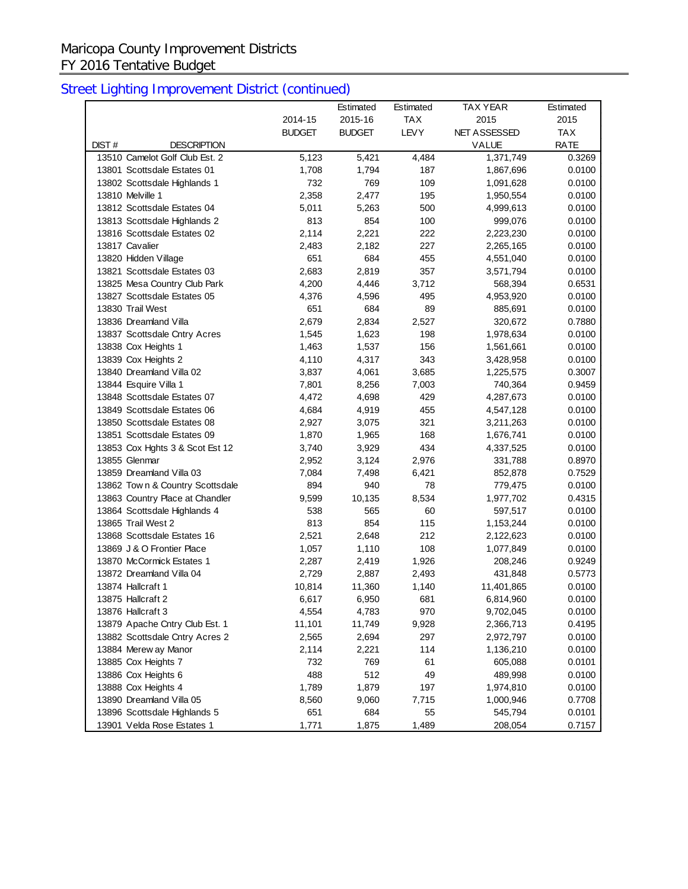## Maricopa County Improvement Districts FY 2016 Tentative Budget

|                                                 |               | Estimated     | Estimated   | <b>TAX YEAR</b> | Estimated   |
|-------------------------------------------------|---------------|---------------|-------------|-----------------|-------------|
|                                                 | 2014-15       | 2015-16       | <b>TAX</b>  | 2015            | 2015        |
|                                                 | <b>BUDGET</b> | <b>BUDGET</b> | <b>LEVY</b> | NET ASSESSED    | TAX         |
| DIST#<br><b>DESCRIPTION</b>                     |               |               |             | <b>VALUE</b>    | <b>RATE</b> |
| 13510 Camelot Golf Club Est. 2                  | 5,123         | 5,421         | 4,484       | 1,371,749       | 0.3269      |
| 13801 Scottsdale Estates 01                     | 1,708         | 1,794         | 187         | 1,867,696       | 0.0100      |
| 13802 Scottsdale Highlands 1                    | 732           | 769           | 109         | 1,091,628       | 0.0100      |
| 13810 Melville 1                                | 2,358         | 2,477         | 195         | 1,950,554       | 0.0100      |
| 13812 Scottsdale Estates 04                     | 5,011         | 5,263         | 500         | 4,999,613       | 0.0100      |
| 13813 Scottsdale Highlands 2                    | 813           | 854           | 100         | 999,076         | 0.0100      |
| 13816 Scottsdale Estates 02                     | 2,114         | 2,221         | 222         | 2,223,230       | 0.0100      |
| 13817 Cavalier                                  | 2,483         | 2,182         | 227         | 2,265,165       | 0.0100      |
| 13820 Hidden Village                            | 651           | 684           | 455         | 4,551,040       | 0.0100      |
| 13821 Scottsdale Estates 03                     | 2,683         | 2,819         | 357         | 3,571,794       | 0.0100      |
| 13825 Mesa Country Club Park                    | 4,200         | 4,446         | 3,712       | 568,394         | 0.6531      |
| 13827 Scottsdale Estates 05                     | 4,376         | 4,596         | 495         | 4,953,920       | 0.0100      |
| 13830 Trail West                                | 651           | 684           | 89          | 885,691         | 0.0100      |
| 13836 Dreamland Villa                           | 2,679         | 2,834         | 2,527       | 320,672         | 0.7880      |
| 13837 Scottsdale Cntry Acres                    | 1,545         | 1,623         | 198         | 1,978,634       | 0.0100      |
| 13838 Cox Heights 1                             | 1,463         | 1,537         | 156         | 1,561,661       | 0.0100      |
| 13839 Cox Heights 2                             | 4,110         | 4,317         | 343         | 3,428,958       | 0.0100      |
| 13840 Dreamland Villa 02                        | 3,837         | 4,061         | 3,685       | 1,225,575       | 0.3007      |
| 13844 Esquire Villa 1                           | 7,801         | 8,256         | 7,003       | 740,364         | 0.9459      |
| 13848 Scottsdale Estates 07                     | 4,472         | 4,698         | 429         | 4,287,673       | 0.0100      |
| 13849 Scottsdale Estates 06                     | 4,684         | 4,919         | 455         | 4,547,128       | 0.0100      |
| 13850 Scottsdale Estates 08                     | 2,927         | 3,075         | 321         | 3,211,263       | 0.0100      |
| 13851 Scottsdale Estates 09                     | 1,870         | 1,965         | 168         | 1,676,741       | 0.0100      |
| 13853 Cox Hghts 3 & Scot Est 12                 | 3,740         | 3,929         | 434         | 4,337,525       | 0.0100      |
| 13855 Glenmar                                   | 2,952         | 3,124         | 2,976       | 331,788         | 0.8970      |
| 13859 Dreamland Villa 03                        | 7,084         | 7,498         | 6,421       | 852,878         | 0.7529      |
| 13862 Town & Country Scottsdale                 | 894           | 940           | 78          | 779,475         | 0.0100      |
| 13863 Country Place at Chandler                 | 9,599         | 10,135        | 8,534       | 1,977,702       | 0.4315      |
| 13864 Scottsdale Highlands 4                    | 538           | 565           | 60          | 597,517         | 0.0100      |
| 13865 Trail West 2                              | 813           | 854           | 115         | 1,153,244       | 0.0100      |
| 13868 Scottsdale Estates 16                     | 2,521         | 2,648         | 212         | 2,122,623       | 0.0100      |
| 13869 J & O Frontier Place                      | 1,057         | 1,110         | 108         | 1,077,849       | 0.0100      |
| 13870 McCormick Estates 1                       | 2,287         | 2,419         | 1,926       | 208,246         | 0.9249      |
| 13872 Dreamland Villa 04                        | 2,729         | 2,887         | 2,493       | 431,848         | 0.5773      |
| 13874 Hallcraft 1                               | 10,814        | 11,360        | 1,140       | 11,401,865      | 0.0100      |
| 13875 Hallcraft 2                               | 6,617         | 6,950         | 681         | 6,814,960       | 0.0100      |
| 13876 Hallcraft 3                               | 4,554         | 4,783         | 970         | 9,702,045       | 0.0100      |
| 13879 Apache Cntry Club Est. 1                  | 11,101        | 11,749        | 9,928       | 2,366,713       | 0.4195      |
| 13882 Scottsdale Cntry Acres 2                  | 2,565         | 2,694         | 297         | 2,972,797       | 0.0100      |
| 13884 Merew ay Manor                            | 2,114         | 2,221         | 114         | 1,136,210       | 0.0100      |
| 13885 Cox Heights 7                             | 732           | 769           | 61          | 605,088         | 0.0101      |
| 13886 Cox Heights 6                             | 488           | 512           | 49          | 489,998         | 0.0100      |
|                                                 |               |               | 197         | 1,974,810       |             |
| 13888 Cox Heights 4<br>13890 Dreamland Villa 05 | 1,789         | 1,879         |             | 1,000,946       | 0.0100      |
| 13896 Scottsdale Highlands 5                    | 8,560<br>651  | 9,060<br>684  | 7,715<br>55 | 545,794         | 0.7708      |
|                                                 |               |               |             |                 | 0.0101      |
| 13901 Velda Rose Estates 1                      | 1,771         | 1,875         | 1,489       | 208,054         | 0.7157      |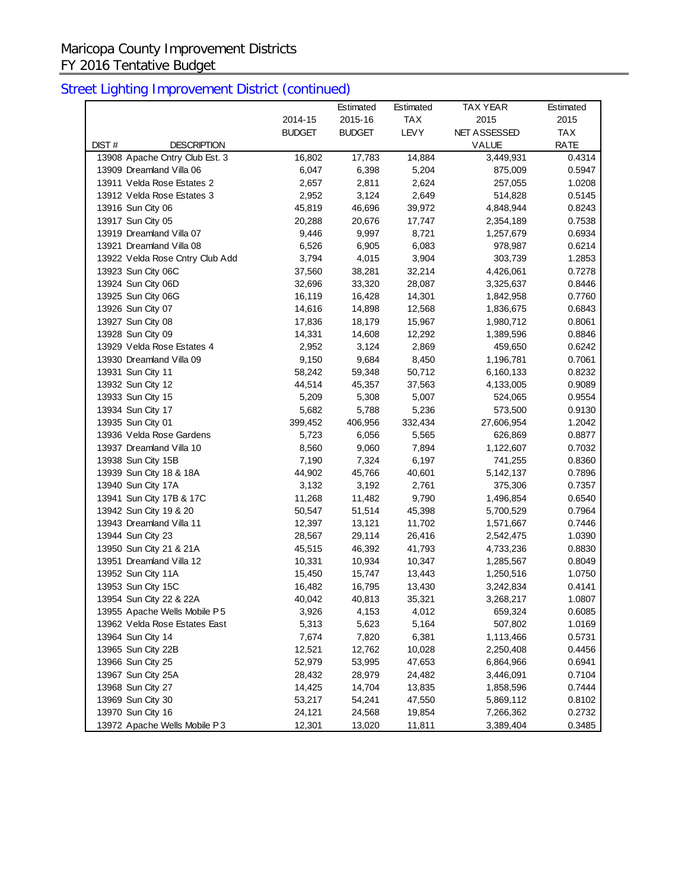## Maricopa County Improvement Districts FY 2016 Tentative Budget

|                                 |               | Estimated     | Estimated   | <b>TAX YEAR</b> | Estimated   |
|---------------------------------|---------------|---------------|-------------|-----------------|-------------|
|                                 | 2014-15       | 2015-16       | <b>TAX</b>  | 2015            | 2015        |
|                                 | <b>BUDGET</b> | <b>BUDGET</b> | <b>LEVY</b> | NET ASSESSED    | <b>TAX</b>  |
| DIST#<br><b>DESCRIPTION</b>     |               |               |             | VALUE           | <b>RATE</b> |
| 13908 Apache Cntry Club Est. 3  | 16,802        | 17,783        | 14,884      | 3,449,931       | 0.4314      |
| 13909 Dreamland Villa 06        | 6,047         | 6,398         | 5,204       | 875,009         | 0.5947      |
| 13911 Velda Rose Estates 2      | 2,657         | 2,811         | 2,624       | 257,055         | 1.0208      |
| 13912 Velda Rose Estates 3      | 2,952         | 3,124         | 2,649       | 514,828         | 0.5145      |
| 13916 Sun City 06               | 45,819        | 46,696        | 39,972      | 4,848,944       | 0.8243      |
| 13917 Sun City 05               | 20,288        | 20,676        | 17,747      | 2,354,189       | 0.7538      |
| 13919 Dreamland Villa 07        | 9,446         | 9,997         | 8,721       | 1,257,679       | 0.6934      |
| 13921 Dreamland Villa 08        | 6,526         | 6,905         | 6,083       | 978,987         | 0.6214      |
| 13922 Velda Rose Cntry Club Add | 3,794         | 4,015         | 3,904       | 303,739         | 1.2853      |
| 13923 Sun City 06C              | 37,560        | 38,281        | 32,214      | 4,426,061       | 0.7278      |
| 13924 Sun City 06D              | 32,696        | 33,320        | 28,087      | 3,325,637       | 0.8446      |
| 13925 Sun City 06G              | 16,119        | 16,428        | 14,301      | 1,842,958       | 0.7760      |
| 13926 Sun City 07               | 14,616        | 14,898        | 12,568      | 1,836,675       | 0.6843      |
| 13927 Sun City 08               | 17,836        | 18,179        | 15,967      | 1,980,712       | 0.8061      |
| 13928 Sun City 09               | 14,331        | 14,608        | 12,292      | 1,389,596       | 0.8846      |
| 13929 Velda Rose Estates 4      | 2,952         | 3,124         | 2,869       | 459,650         | 0.6242      |
| 13930 Dreamland Villa 09        | 9,150         | 9,684         | 8,450       | 1,196,781       | 0.7061      |
| 13931 Sun City 11               | 58,242        | 59,348        | 50,712      | 6,160,133       | 0.8232      |
| 13932 Sun City 12               | 44,514        | 45,357        | 37,563      | 4,133,005       | 0.9089      |
| 13933 Sun City 15               | 5,209         | 5,308         | 5,007       | 524,065         | 0.9554      |
| 13934 Sun City 17               | 5,682         | 5,788         | 5,236       | 573,500         | 0.9130      |
| 13935 Sun City 01               | 399,452       | 406,956       | 332,434     | 27,606,954      | 1.2042      |
| 13936 Velda Rose Gardens        | 5,723         | 6,056         | 5,565       | 626,869         | 0.8877      |
| 13937 Dreamland Villa 10        | 8,560         | 9,060         | 7,894       | 1,122,607       | 0.7032      |
| 13938 Sun City 15B              | 7,190         | 7,324         | 6,197       | 741,255         | 0.8360      |
| 13939 Sun City 18 & 18A         | 44,902        | 45,766        | 40,601      | 5,142,137       | 0.7896      |
| 13940 Sun City 17A              | 3,132         | 3,192         | 2,761       | 375,306         | 0.7357      |
| 13941 Sun City 17B & 17C        | 11,268        | 11,482        | 9,790       | 1,496,854       | 0.6540      |
| 13942 Sun City 19 & 20          | 50,547        | 51,514        | 45,398      | 5,700,529       | 0.7964      |
| 13943 Dreamland Villa 11        | 12,397        | 13,121        | 11,702      | 1,571,667       | 0.7446      |
| 13944 Sun City 23               | 28,567        | 29,114        | 26,416      | 2,542,475       | 1.0390      |
| 13950 Sun City 21 & 21A         | 45,515        | 46,392        | 41,793      | 4,733,236       | 0.8830      |
| 13951 Dreamland Villa 12        | 10,331        | 10,934        | 10,347      | 1,285,567       | 0.8049      |
| 13952 Sun City 11A              | 15,450        | 15,747        | 13,443      | 1,250,516       | 1.0750      |
| 13953 Sun City 15C              | 16,482        | 16,795        | 13,430      | 3,242,834       | 0.4141      |
| 13954 Sun City 22 & 22A         | 40,042        | 40,813        | 35,321      | 3,268,217       | 1.0807      |
| 13955 Apache Wells Mobile P5    | 3,926         | 4,153         | 4,012       | 659,324         | 0.6085      |
| 13962 Velda Rose Estates East   | 5,313         | 5,623         | 5,164       | 507,802         | 1.0169      |
| 13964 Sun City 14               | 7,674         | 7,820         | 6,381       | 1,113,466       | 0.5731      |
| 13965 Sun City 22B              | 12,521        | 12,762        | 10,028      | 2,250,408       | 0.4456      |
| 13966 Sun City 25               | 52,979        | 53,995        | 47,653      | 6,864,966       | 0.6941      |
| 13967 Sun City 25A              | 28,432        | 28,979        | 24,482      | 3,446,091       | 0.7104      |
| 13968 Sun City 27               | 14,425        | 14,704        | 13,835      | 1,858,596       | 0.7444      |
| 13969 Sun City 30               | 53,217        | 54,241        | 47,550      | 5,869,112       | 0.8102      |
| 13970 Sun City 16               | 24,121        | 24,568        | 19,854      | 7,266,362       | 0.2732      |
| 13972 Apache Wells Mobile P3    | 12,301        | 13,020        | 11,811      | 3,389,404       | 0.3485      |